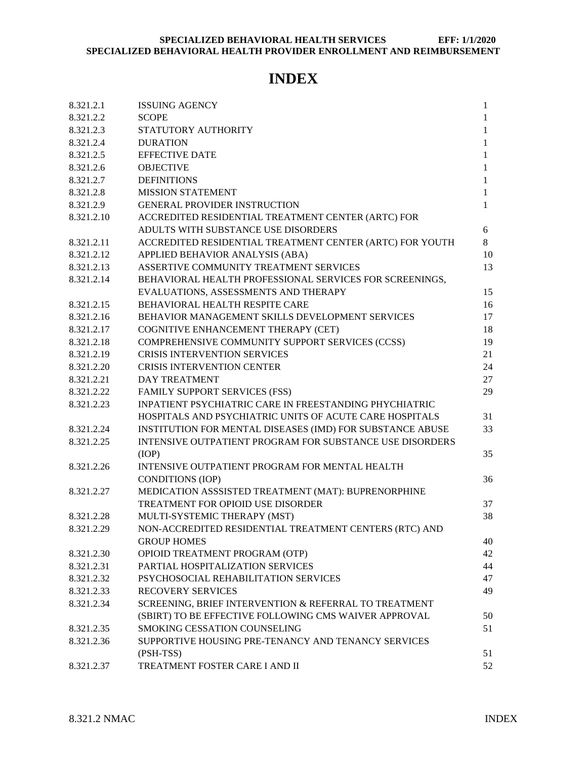# **INDEX**

<span id="page-0-0"></span>

| 8.321.2.1  | <b>ISSUING AGENCY</b>                                         | $\mathbf{1}$ |  |  |  |
|------------|---------------------------------------------------------------|--------------|--|--|--|
| 8.321.2.2  | <b>SCOPE</b>                                                  | 1            |  |  |  |
| 8.321.2.3  | STATUTORY AUTHORITY                                           | 1            |  |  |  |
| 8.321.2.4  | <b>DURATION</b>                                               | $\mathbf{1}$ |  |  |  |
| 8.321.2.5  | EFFECTIVE DATE                                                | $\mathbf{1}$ |  |  |  |
| 8.321.2.6  | <b>OBJECTIVE</b>                                              | $\mathbf{1}$ |  |  |  |
| 8.321.2.7  | <b>DEFINITIONS</b>                                            | $\mathbf{1}$ |  |  |  |
| 8.321.2.8  | <b>MISSION STATEMENT</b>                                      | $\mathbf{1}$ |  |  |  |
| 8.321.2.9  | <b>GENERAL PROVIDER INSTRUCTION</b>                           | $\mathbf{1}$ |  |  |  |
| 8.321.2.10 | ACCREDITED RESIDENTIAL TREATMENT CENTER (ARTC) FOR            |              |  |  |  |
|            | ADULTS WITH SUBSTANCE USE DISORDERS                           | 6            |  |  |  |
| 8.321.2.11 | ACCREDITED RESIDENTIAL TREATMENT CENTER (ARTC) FOR YOUTH      | 8            |  |  |  |
| 8.321.2.12 | APPLIED BEHAVIOR ANALYSIS (ABA)                               | 10           |  |  |  |
| 8.321.2.13 | ASSERTIVE COMMUNITY TREATMENT SERVICES<br>13                  |              |  |  |  |
| 8.321.2.14 | BEHAVIORAL HEALTH PROFESSIONAL SERVICES FOR SCREENINGS,       |              |  |  |  |
|            | EVALUATIONS, ASSESSMENTS AND THERAPY                          | 15           |  |  |  |
| 8.321.2.15 | BEHAVIORAL HEALTH RESPITE CARE                                | 16           |  |  |  |
| 8.321.2.16 | BEHAVIOR MANAGEMENT SKILLS DEVELOPMENT SERVICES               | 17           |  |  |  |
| 8.321.2.17 | COGNITIVE ENHANCEMENT THERAPY (CET)                           | 18           |  |  |  |
| 8.321.2.18 | COMPREHENSIVE COMMUNITY SUPPORT SERVICES (CCSS)               | 19           |  |  |  |
| 8.321.2.19 | <b>CRISIS INTERVENTION SERVICES</b>                           | 21           |  |  |  |
| 8.321.2.20 | <b>CRISIS INTERVENTION CENTER</b>                             | 24           |  |  |  |
| 8.321.2.21 | <b>DAY TREATMENT</b>                                          | 27           |  |  |  |
| 8.321.2.22 | FAMILY SUPPORT SERVICES (FSS)                                 | 29           |  |  |  |
| 8.321.2.23 | <b>INPATIENT PSYCHIATRIC CARE IN FREESTANDING PHYCHIATRIC</b> |              |  |  |  |
|            | HOSPITALS AND PSYCHIATRIC UNITS OF ACUTE CARE HOSPITALS       | 31           |  |  |  |
| 8.321.2.24 | INSTITUTION FOR MENTAL DISEASES (IMD) FOR SUBSTANCE ABUSE     | 33           |  |  |  |
| 8.321.2.25 | INTENSIVE OUTPATIENT PROGRAM FOR SUBSTANCE USE DISORDERS      |              |  |  |  |
|            | (IOP)                                                         | 35           |  |  |  |
| 8.321.2.26 | INTENSIVE OUTPATIENT PROGRAM FOR MENTAL HEALTH                |              |  |  |  |
|            | <b>CONDITIONS (IOP)</b>                                       | 36           |  |  |  |
| 8.321.2.27 | MEDICATION ASSSISTED TREATMENT (MAT): BUPRENORPHINE           |              |  |  |  |
|            | TREATMENT FOR OPIOID USE DISORDER                             | 37           |  |  |  |
| 8.321.2.28 | MULTI-SYSTEMIC THERAPY (MST)                                  | 38           |  |  |  |
| 8.321.2.29 | NON-ACCREDITED RESIDENTIAL TREATMENT CENTERS (RTC) AND        |              |  |  |  |
|            | <b>GROUP HOMES</b>                                            | 40           |  |  |  |
| 8.321.2.30 | OPIOID TREATMENT PROGRAM (OTP)                                | 42           |  |  |  |
| 8.321.2.31 | PARTIAL HOSPITALIZATION SERVICES                              | 44           |  |  |  |
| 8.321.2.32 | PSYCHOSOCIAL REHABILITATION SERVICES                          | 47           |  |  |  |
| 8.321.2.33 | <b>RECOVERY SERVICES</b>                                      | 49           |  |  |  |
| 8.321.2.34 | SCREENING, BRIEF INTERVENTION & REFERRAL TO TREATMENT         |              |  |  |  |
|            | (SBIRT) TO BE EFFECTIVE FOLLOWING CMS WAIVER APPROVAL         | 50           |  |  |  |
| 8.321.2.35 | <b>SMOKING CESSATION COUNSELING</b>                           | 51           |  |  |  |
| 8.321.2.36 | SUPPORTIVE HOUSING PRE-TENANCY AND TENANCY SERVICES           |              |  |  |  |
|            | (PSH-TSS)                                                     | 51           |  |  |  |
| 8.321.2.37 | TREATMENT FOSTER CARE I AND II                                | 52           |  |  |  |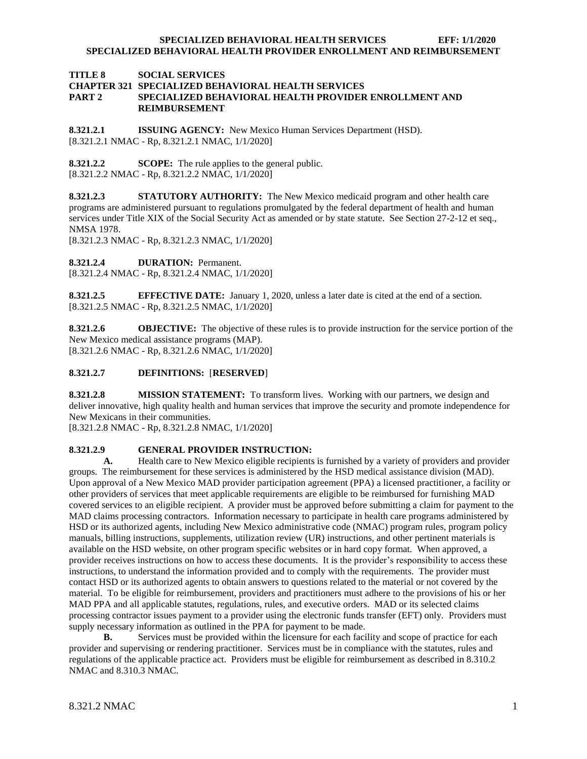#### **TITLE 8 SOCIAL SERVICES CHAPTER 321 SPECIALIZED BEHAVIORAL HEALTH SERVICES PART 2 SPECIALIZED BEHAVIORAL HEALTH PROVIDER ENROLLMENT AND REIMBURSEMENT**

<span id="page-1-0"></span>**8.321.2.1 ISSUING AGENCY:** New Mexico Human Services Department (HSD). [8.321.2.1 NMAC - Rp, 8.321.2.1 NMAC, 1/1/2020]

<span id="page-1-1"></span>**8.321.2.2 SCOPE:** The rule applies to the general public. [8.321.2.2 NMAC - Rp, 8.321.2.2 NMAC, 1/1/2020]

<span id="page-1-2"></span>**8.321.2.3 STATUTORY AUTHORITY:** The New Mexico medicaid program and other health care programs are administered pursuant to regulations promulgated by the federal department of health and human services under Title XIX of the Social Security Act as amended or by state statute. See Section 27-2-12 et seq., NMSA 1978.

[8.321.2.3 NMAC - Rp, 8.321.2.3 NMAC, 1/1/2020]

<span id="page-1-3"></span>**8.321.2.4 DURATION:** Permanent.

[8.321.2.4 NMAC - Rp, 8.321.2.4 NMAC, 1/1/2020]

<span id="page-1-4"></span>**8.321.2.5 EFFECTIVE DATE:** January 1, 2020, unless a later date is cited at the end of a section. [8.321.2.5 NMAC - Rp, 8.321.2.5 NMAC, 1/1/2020]

<span id="page-1-5"></span>**8.321.2.6 OBJECTIVE:** The objective of these rules is to provide instruction for the service portion of the New Mexico medical assistance programs (MAP). [8.321.2.6 NMAC - Rp, 8.321.2.6 NMAC, 1/1/2020]

#### <span id="page-1-6"></span>**8.321.2.7 DEFINITIONS:** [**RESERVED**]

<span id="page-1-7"></span>**8.321.2.8 MISSION STATEMENT:** To transform lives. Working with our partners, we design and deliver innovative, high quality health and human services that improve the security and promote independence for New Mexicans in their communities.

[8.321.2.8 NMAC - Rp, 8.321.2.8 NMAC, 1/1/2020]

#### <span id="page-1-8"></span>**8.321.2.9 GENERAL PROVIDER INSTRUCTION:**

**A.** Health care to New Mexico eligible recipients is furnished by a variety of providers and provider groups. The reimbursement for these services is administered by the HSD medical assistance division (MAD). Upon approval of a New Mexico MAD provider participation agreement (PPA) a licensed practitioner, a facility or other providers of services that meet applicable requirements are eligible to be reimbursed for furnishing MAD covered services to an eligible recipient. A provider must be approved before submitting a claim for payment to the MAD claims processing contractors. Information necessary to participate in health care programs administered by HSD or its authorized agents, including New Mexico administrative code (NMAC) program rules, program policy manuals, billing instructions, supplements, utilization review (UR) instructions, and other pertinent materials is available on the HSD website, on other program specific websites or in hard copy format. When approved, a provider receives instructions on how to access these documents. It is the provider's responsibility to access these instructions, to understand the information provided and to comply with the requirements. The provider must contact HSD or its authorized agents to obtain answers to questions related to the material or not covered by the material. To be eligible for reimbursement, providers and practitioners must adhere to the provisions of his or her MAD PPA and all applicable statutes, regulations, rules, and executive orders. MAD or its selected claims processing contractor issues payment to a provider using the electronic funds transfer (EFT) only. Providers must supply necessary information as outlined in the PPA for payment to be made.

**B.** Services must be provided within the licensure for each facility and scope of practice for each provider and supervising or rendering practitioner. Services must be in compliance with the statutes, rules and regulations of the applicable practice act. Providers must be eligible for reimbursement as described in 8.310.2 NMAC and 8.310.3 NMAC.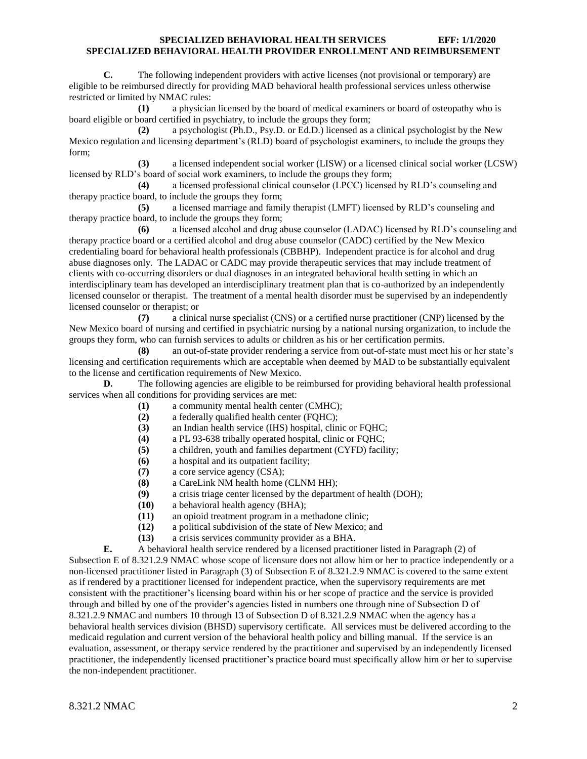**C.** The following independent providers with active licenses (not provisional or temporary) are eligible to be reimbursed directly for providing MAD behavioral health professional services unless otherwise restricted or limited by NMAC rules:

**(1)** a physician licensed by the board of medical examiners or board of osteopathy who is board eligible or board certified in psychiatry, to include the groups they form;

**(2)** a psychologist (Ph.D., Psy.D. or Ed.D.) licensed as a clinical psychologist by the New Mexico regulation and licensing department's (RLD) board of psychologist examiners, to include the groups they form;

**(3)** a licensed independent social worker (LISW) or a licensed clinical social worker (LCSW) licensed by RLD's board of social work examiners, to include the groups they form;

**(4)** a licensed professional clinical counselor (LPCC) licensed by RLD's counseling and therapy practice board, to include the groups they form;

**(5)** a licensed marriage and family therapist (LMFT) licensed by RLD's counseling and therapy practice board, to include the groups they form;

**(6)** a licensed alcohol and drug abuse counselor (LADAC) licensed by RLD's counseling and therapy practice board or a certified alcohol and drug abuse counselor (CADC) certified by the New Mexico credentialing board for behavioral health professionals (CBBHP). Independent practice is for alcohol and drug abuse diagnoses only. The LADAC or CADC may provide therapeutic services that may include treatment of clients with co-occurring disorders or dual diagnoses in an integrated behavioral health setting in which an interdisciplinary team has developed an interdisciplinary treatment plan that is co-authorized by an independently licensed counselor or therapist. The treatment of a mental health disorder must be supervised by an independently licensed counselor or therapist; or

**(7)** a clinical nurse specialist (CNS) or a certified nurse practitioner (CNP) licensed by the New Mexico board of nursing and certified in psychiatric nursing by a national nursing organization, to include the groups they form, who can furnish services to adults or children as his or her certification permits.

**(8)** an out-of-state provider rendering a service from out-of-state must meet his or her state's licensing and certification requirements which are acceptable when deemed by MAD to be substantially equivalent to the license and certification requirements of New Mexico.

**D.** The following agencies are eligible to be reimbursed for providing behavioral health professional services when all conditions for providing services are met:

- **(1)** a community mental health center (CMHC);
- **(2)** a federally qualified health center (FQHC);
- **(3)** an Indian health service (IHS) hospital, clinic or FQHC;
- **(4)** a PL 93-638 tribally operated hospital, clinic or FQHC;
- **(5)** a children, youth and families department (CYFD) facility;
- **(6)** a hospital and its outpatient facility;
- **(7)** a core service agency (CSA);
- **(8)** a CareLink NM health home (CLNM HH);
- **(9)** a crisis triage center licensed by the department of health (DOH);
- **(10)** a behavioral health agency (BHA);
- **(11)** an opioid treatment program in a methadone clinic;
- **(12)** a political subdivision of the state of New Mexico; and
- **(13)** a crisis services community provider as a BHA.
- **E.** A behavioral health service rendered by a licensed practitioner listed in Paragraph (2) of

Subsection E of 8.321.2.9 NMAC whose scope of licensure does not allow him or her to practice independently or a non-licensed practitioner listed in Paragraph (3) of Subsection E of 8.321.2.9 NMAC is covered to the same extent as if rendered by a practitioner licensed for independent practice, when the supervisory requirements are met consistent with the practitioner's licensing board within his or her scope of practice and the service is provided through and billed by one of the provider's agencies listed in numbers one through nine of Subsection D of 8.321.2.9 NMAC and numbers 10 through 13 of Subsection D of 8.321.2.9 NMAC when the agency has a behavioral health services division (BHSD) supervisory certificate. All services must be delivered according to the medicaid regulation and current version of the behavioral health policy and billing manual. If the service is an evaluation, assessment, or therapy service rendered by the practitioner and supervised by an independently licensed practitioner, the independently licensed practitioner's practice board must specifically allow him or her to supervise the non-independent practitioner.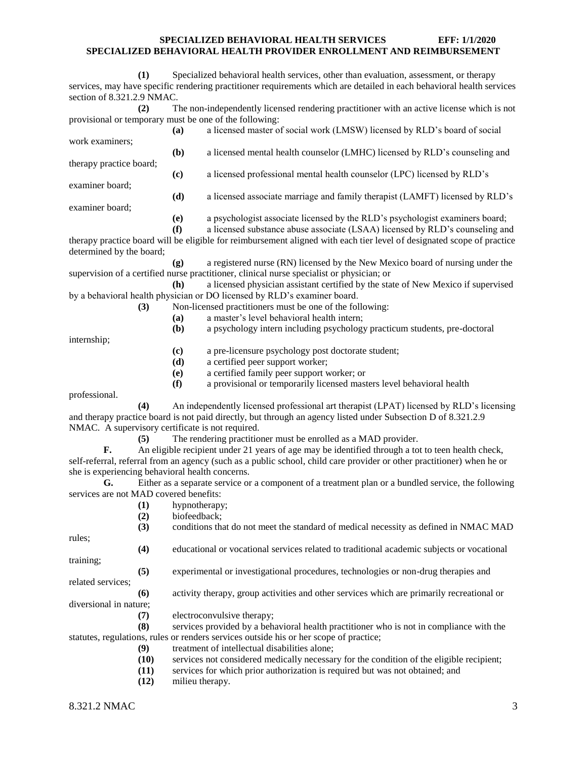|                                                  | (1) |               | Specialized behavioral health services, other than evaluation, assessment, or therapy<br>services, may have specific rendering practitioner requirements which are detailed in each behavioral health services |
|--------------------------------------------------|-----|---------------|----------------------------------------------------------------------------------------------------------------------------------------------------------------------------------------------------------------|
| section of 8.321.2.9 NMAC.                       |     |               |                                                                                                                                                                                                                |
|                                                  | (2) |               | The non-independently licensed rendering practitioner with an active license which is not                                                                                                                      |
|                                                  |     |               | provisional or temporary must be one of the following:                                                                                                                                                         |
|                                                  |     | (a)           | a licensed master of social work (LMSW) licensed by RLD's board of social                                                                                                                                      |
| work examiners;                                  |     |               |                                                                                                                                                                                                                |
|                                                  |     | (b)           | a licensed mental health counselor (LMHC) licensed by RLD's counseling and                                                                                                                                     |
| therapy practice board;                          |     |               |                                                                                                                                                                                                                |
|                                                  |     | (c)           | a licensed professional mental health counselor (LPC) licensed by RLD's                                                                                                                                        |
| examiner board;                                  |     |               |                                                                                                                                                                                                                |
|                                                  |     | (d)           | a licensed associate marriage and family therapist (LAMFT) licensed by RLD's                                                                                                                                   |
| examiner board;                                  |     |               |                                                                                                                                                                                                                |
|                                                  |     | (e)<br>(f)    | a psychologist associate licensed by the RLD's psychologist examiners board;<br>a licensed substance abuse associate (LSAA) licensed by RLD's counseling and                                                   |
|                                                  |     |               | therapy practice board will be eligible for reimbursement aligned with each tier level of designated scope of practice                                                                                         |
| determined by the board;                         |     |               |                                                                                                                                                                                                                |
|                                                  |     | (g)           | a registered nurse (RN) licensed by the New Mexico board of nursing under the                                                                                                                                  |
|                                                  |     |               | supervision of a certified nurse practitioner, clinical nurse specialist or physician; or                                                                                                                      |
|                                                  |     | (h)           | a licensed physician assistant certified by the state of New Mexico if supervised                                                                                                                              |
|                                                  |     |               | by a behavioral health physician or DO licensed by RLD's examiner board.                                                                                                                                       |
|                                                  | (3) |               | Non-licensed practitioners must be one of the following:                                                                                                                                                       |
|                                                  |     | (a)           | a master's level behavioral health intern;                                                                                                                                                                     |
|                                                  |     | (b)           | a psychology intern including psychology practicum students, pre-doctoral                                                                                                                                      |
| internship;                                      |     |               |                                                                                                                                                                                                                |
|                                                  |     | (c)           | a pre-licensure psychology post doctorate student;                                                                                                                                                             |
|                                                  |     | (d)           | a certified peer support worker;                                                                                                                                                                               |
|                                                  |     | (e)           | a certified family peer support worker; or                                                                                                                                                                     |
|                                                  |     | (f)           | a provisional or temporarily licensed masters level behavioral health                                                                                                                                          |
| professional.                                    |     |               |                                                                                                                                                                                                                |
|                                                  | (4) |               | An independently licensed professional art therapist (LPAT) licensed by RLD's licensing                                                                                                                        |
|                                                  |     |               | and therapy practice board is not paid directly, but through an agency listed under Subsection D of 8.321.2.9                                                                                                  |
| NMAC. A supervisory certificate is not required. |     |               | The rendering practitioner must be enrolled as a MAD provider.                                                                                                                                                 |
| F.                                               | (5) |               | An eligible recipient under 21 years of age may be identified through a tot to teen health check,                                                                                                              |
|                                                  |     |               | self-referral, referral from an agency (such as a public school, child care provider or other practitioner) when he or                                                                                         |
| she is experiencing behavioral health concerns.  |     |               |                                                                                                                                                                                                                |
| G.                                               |     |               | Either as a separate service or a component of a treatment plan or a bundled service, the following                                                                                                            |
| services are not MAD covered benefits:           |     |               |                                                                                                                                                                                                                |
|                                                  | (1) | hypnotherapy; |                                                                                                                                                                                                                |
|                                                  | (2) | biofeedback;  |                                                                                                                                                                                                                |
|                                                  | (3) |               | conditions that do not meet the standard of medical necessity as defined in NMAC MAD                                                                                                                           |
| rules;                                           |     |               |                                                                                                                                                                                                                |
|                                                  | (4) |               | educational or vocational services related to traditional academic subjects or vocational                                                                                                                      |
| training;                                        |     |               |                                                                                                                                                                                                                |
|                                                  | (5) |               | experimental or investigational procedures, technologies or non-drug therapies and                                                                                                                             |
| related services;                                |     |               |                                                                                                                                                                                                                |
|                                                  | (6) |               | activity therapy, group activities and other services which are primarily recreational or                                                                                                                      |
| diversional in nature;                           |     |               |                                                                                                                                                                                                                |
|                                                  | (7) |               | electroconvulsive therapy;                                                                                                                                                                                     |

**(8)** services provided by a behavioral health practitioner who is not in compliance with the statutes, regulations, rules or renders services outside his or her scope of practice;

- **(9)** treatment of intellectual disabilities alone;
- **(10)** services not considered medically necessary for the condition of the eligible recipient;
- **(11)** services for which prior authorization is required but was not obtained; and
- **(12)** milieu therapy.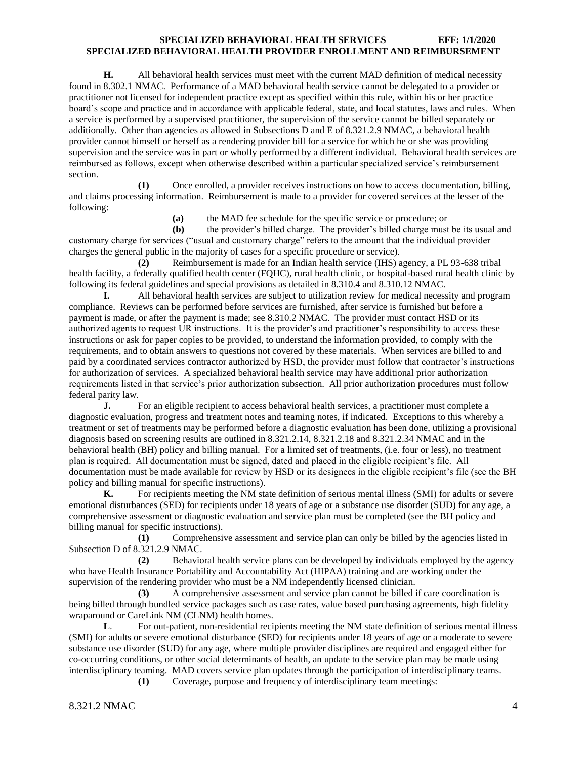**H.** All behavioral health services must meet with the current MAD definition of medical necessity found in 8.302.1 NMAC. Performance of a MAD behavioral health service cannot be delegated to a provider or practitioner not licensed for independent practice except as specified within this rule, within his or her practice board's scope and practice and in accordance with applicable federal, state, and local statutes, laws and rules. When a service is performed by a supervised practitioner, the supervision of the service cannot be billed separately or additionally. Other than agencies as allowed in Subsections D and E of 8.321.2.9 NMAC, a behavioral health provider cannot himself or herself as a rendering provider bill for a service for which he or she was providing supervision and the service was in part or wholly performed by a different individual. Behavioral health services are reimbursed as follows, except when otherwise described within a particular specialized service's reimbursement section.

**(1)** Once enrolled, a provider receives instructions on how to access documentation, billing, and claims processing information. Reimbursement is made to a provider for covered services at the lesser of the following:

**(a)** the MAD fee schedule for the specific service or procedure; or

**(b)** the provider's billed charge. The provider's billed charge must be its usual and customary charge for services ("usual and customary charge" refers to the amount that the individual provider charges the general public in the majority of cases for a specific procedure or service).

**(2)** Reimbursement is made for an Indian health service (IHS) agency, a PL 93-638 tribal health facility, a federally qualified health center (FQHC), rural health clinic, or hospital-based rural health clinic by following its federal guidelines and special provisions as detailed in 8.310.4 and 8.310.12 NMAC.

**I.** All behavioral health services are subject to utilization review for medical necessity and program compliance. Reviews can be performed before services are furnished, after service is furnished but before a payment is made, or after the payment is made; see 8.310.2 NMAC. The provider must contact HSD or its authorized agents to request UR instructions. It is the provider's and practitioner's responsibility to access these instructions or ask for paper copies to be provided, to understand the information provided, to comply with the requirements, and to obtain answers to questions not covered by these materials. When services are billed to and paid by a coordinated services contractor authorized by HSD, the provider must follow that contractor's instructions for authorization of services. A specialized behavioral health service may have additional prior authorization requirements listed in that service's prior authorization subsection. All prior authorization procedures must follow federal parity law.

**J.** For an eligible recipient to access behavioral health services, a practitioner must complete a diagnostic evaluation, progress and treatment notes and teaming notes, if indicated. Exceptions to this whereby a treatment or set of treatments may be performed before a diagnostic evaluation has been done, utilizing a provisional diagnosis based on screening results are outlined in 8.321.2.14, 8.321.2.18 and 8.321.2.34 NMAC and in the behavioral health (BH) policy and billing manual. For a limited set of treatments, (i.e. four or less), no treatment plan is required. All documentation must be signed, dated and placed in the eligible recipient's file. All documentation must be made available for review by HSD or its designees in the eligible recipient's file (see the BH policy and billing manual for specific instructions).

**K.** For recipients meeting the NM state definition of serious mental illness (SMI) for adults or severe emotional disturbances (SED) for recipients under 18 years of age or a substance use disorder (SUD) for any age, a comprehensive assessment or diagnostic evaluation and service plan must be completed (see the BH policy and billing manual for specific instructions).

**(1)** Comprehensive assessment and service plan can only be billed by the agencies listed in Subsection D of 8.321.2.9 NMAC.

**(2)** Behavioral health service plans can be developed by individuals employed by the agency who have Health Insurance Portability and Accountability Act (HIPAA) training and are working under the supervision of the rendering provider who must be a NM independently licensed clinician.

**(3)** A comprehensive assessment and service plan cannot be billed if care coordination is being billed through bundled service packages such as case rates, value based purchasing agreements, high fidelity wraparound or CareLink NM (CLNM) health homes.

**L**. For out-patient, non-residential recipients meeting the NM state definition of serious mental illness (SMI) for adults or severe emotional disturbance (SED) for recipients under 18 years of age or a moderate to severe substance use disorder (SUD) for any age, where multiple provider disciplines are required and engaged either for co-occurring conditions, or other social determinants of health, an update to the service plan may be made using interdisciplinary teaming. MAD covers service plan updates through the participation of interdisciplinary teams.

**(1)** Coverage, purpose and frequency of interdisciplinary team meetings: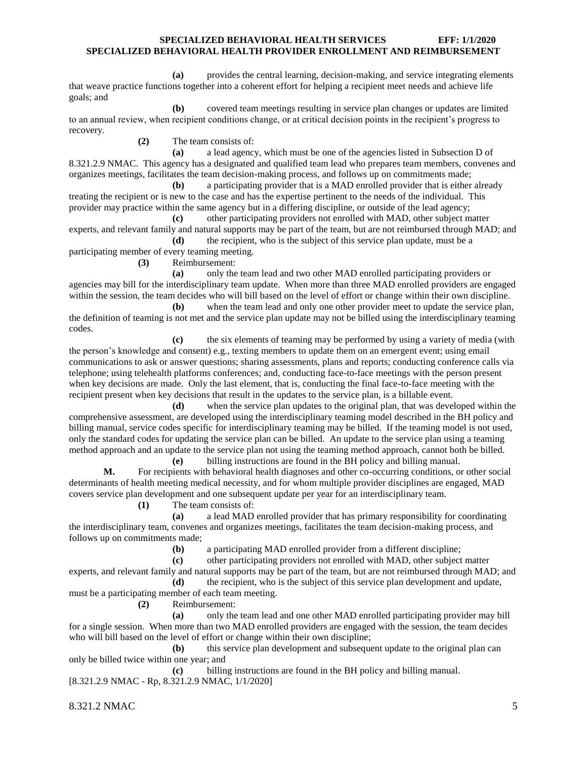**(a)** provides the central learning, decision-making, and service integrating elements that weave practice functions together into a coherent effort for helping a recipient meet needs and achieve life goals; and

**(b)** covered team meetings resulting in service plan changes or updates are limited to an annual review, when recipient conditions change, or at critical decision points in the recipient's progress to recovery.

**(2)** The team consists of:

**(a)** a lead agency, which must be one of the agencies listed in Subsection D of 8.321.2.9 NMAC. This agency has a designated and qualified team lead who prepares team members, convenes and organizes meetings, facilitates the team decision-making process, and follows up on commitments made;

**(b)** a participating provider that is a MAD enrolled provider that is either already treating the recipient or is new to the case and has the expertise pertinent to the needs of the individual. This provider may practice within the same agency but in a differing discipline, or outside of the lead agency;

**(c)** other participating providers not enrolled with MAD, other subject matter experts, and relevant family and natural supports may be part of the team, but are not reimbursed through MAD; and

**(d)** the recipient, who is the subject of this service plan update, must be a participating member of every teaming meeting.

**(3)** Reimbursement:

**(a)** only the team lead and two other MAD enrolled participating providers or agencies may bill for the interdisciplinary team update. When more than three MAD enrolled providers are engaged within the session, the team decides who will bill based on the level of effort or change within their own discipline.

**(b)** when the team lead and only one other provider meet to update the service plan, the definition of teaming is not met and the service plan update may not be billed using the interdisciplinary teaming codes.

**(c)** the six elements of teaming may be performed by using a variety of media (with the person's knowledge and consent) e.g., texting members to update them on an emergent event; using email communications to ask or answer questions; sharing assessments, plans and reports; conducting conference calls via telephone; using telehealth platforms conferences; and, conducting face-to-face meetings with the person present when key decisions are made. Only the last element, that is, conducting the final face-to-face meeting with the recipient present when key decisions that result in the updates to the service plan, is a billable event.

**(d)** when the service plan updates to the original plan, that was developed within the comprehensive assessment, are developed using the interdisciplinary teaming model described in the BH policy and billing manual, service codes specific for interdisciplinary teaming may be billed. If the teaming model is not used, only the standard codes for updating the service plan can be billed. An update to the service plan using a teaming method approach and an update to the service plan not using the teaming method approach, cannot both be billed.

**(e)** billing instructions are found in the BH policy and billing manual. **M.** For recipients with behavioral health diagnoses and other co-occurring conditions, or other social determinants of health meeting medical necessity, and for whom multiple provider disciplines are engaged, MAD covers service plan development and one subsequent update per year for an interdisciplinary team.

**(1)** The team consists of:

**(a)** a lead MAD enrolled provider that has primary responsibility for coordinating the interdisciplinary team, convenes and organizes meetings, facilitates the team decision-making process, and follows up on commitments made;

**(b)** a participating MAD enrolled provider from a different discipline;

**(c)** other participating providers not enrolled with MAD, other subject matter experts, and relevant family and natural supports may be part of the team, but are not reimbursed through MAD; and

**(d)** the recipient, who is the subject of this service plan development and update, must be a participating member of each team meeting.

**(2)** Reimbursement:

**(a)** only the team lead and one other MAD enrolled participating provider may bill for a single session. When more than two MAD enrolled providers are engaged with the session, the team decides who will bill based on the level of effort or change within their own discipline;

**(b)** this service plan development and subsequent update to the original plan can only be billed twice within one year; and

**(c)** billing instructions are found in the BH policy and billing manual. [8.321.2.9 NMAC - Rp, 8.321.2.9 NMAC, 1/1/2020]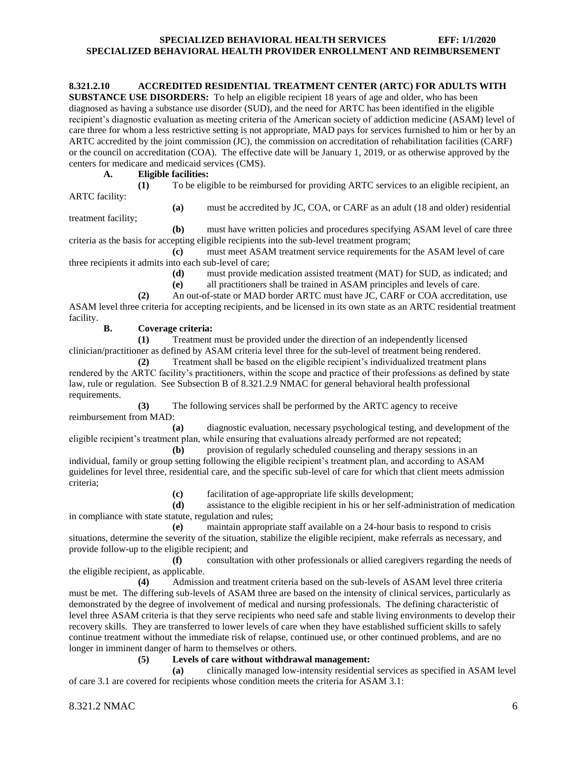#### <span id="page-6-0"></span>**8.321.2.10 ACCREDITED RESIDENTIAL TREATMENT CENTER (ARTC) FOR ADULTS WITH**

**SUBSTANCE USE DISORDERS:** To help an eligible recipient 18 years of age and older, who has been diagnosed as having a substance use disorder (SUD), and the need for ARTC has been identified in the eligible recipient's diagnostic evaluation as meeting criteria of the American society of addiction medicine (ASAM) level of care three for whom a less restrictive setting is not appropriate, MAD pays for services furnished to him or her by an ARTC accredited by the joint commission (JC), the commission on accreditation of rehabilitation facilities (CARF) or the council on accreditation (COA). The effective date will be January 1, 2019, or as otherwise approved by the centers for medicare and medicaid services (CMS).

**A. Eligible facilities:**

**(1)** To be eligible to be reimbursed for providing ARTC services to an eligible recipient, an ARTC facility:

**(a)** must be accredited by JC, COA, or CARF as an adult (18 and older) residential

treatment facility;

**(b)** must have written policies and procedures specifying ASAM level of care three criteria as the basis for accepting eligible recipients into the sub-level treatment program;

**(c)** must meet ASAM treatment service requirements for the ASAM level of care three recipients it admits into each sub-level of care;

> **(d)** must provide medication assisted treatment (MAT) for SUD, as indicated; and **(e)** all practitioners shall be trained in ASAM principles and levels of care.

**(2)** An out-of-state or MAD border ARTC must have JC, CARF or COA accreditation, use ASAM level three criteria for accepting recipients, and be licensed in its own state as an ARTC residential treatment facility.

#### **B. Coverage criteria:**

**(1)** Treatment must be provided under the direction of an independently licensed clinician/practitioner as defined by ASAM criteria level three for the sub-level of treatment being rendered.

**(2)** Treatment shall be based on the eligible recipient's individualized treatment plans rendered by the ARTC facility's practitioners, within the scope and practice of their professions as defined by state law, rule or regulation. See Subsection B of 8.321.2.9 NMAC for general behavioral health professional requirements.

**(3)** The following services shall be performed by the ARTC agency to receive reimbursement from MAD:

**(a)** diagnostic evaluation, necessary psychological testing, and development of the eligible recipient's treatment plan, while ensuring that evaluations already performed are not repeated;

**(b)** provision of regularly scheduled counseling and therapy sessions in an individual, family or group setting following the eligible recipient's treatment plan, and according to ASAM guidelines for level three, residential care, and the specific sub-level of care for which that client meets admission criteria;

**(c)** facilitation of age-appropriate life skills development;

**(d)** assistance to the eligible recipient in his or her self-administration of medication in compliance with state statute, regulation and rules;

**(e)** maintain appropriate staff available on a 24-hour basis to respond to crisis situations, determine the severity of the situation, stabilize the eligible recipient, make referrals as necessary, and provide follow-up to the eligible recipient; and

**(f)** consultation with other professionals or allied caregivers regarding the needs of the eligible recipient, as applicable.

**(4)** Admission and treatment criteria based on the sub-levels of ASAM level three criteria must be met. The differing sub-levels of ASAM three are based on the intensity of clinical services, particularly as demonstrated by the degree of involvement of medical and nursing professionals. The defining characteristic of level three ASAM criteria is that they serve recipients who need safe and stable living environments to develop their recovery skills. They are transferred to lower levels of care when they have established sufficient skills to safely continue treatment without the immediate risk of relapse, continued use, or other continued problems, and are no longer in imminent danger of harm to themselves or others.

#### **(5) Levels of care without withdrawal management:**

**(a)** clinically managed low-intensity residential services as specified in ASAM level of care 3.1 are covered for recipients whose condition meets the criteria for ASAM 3.1: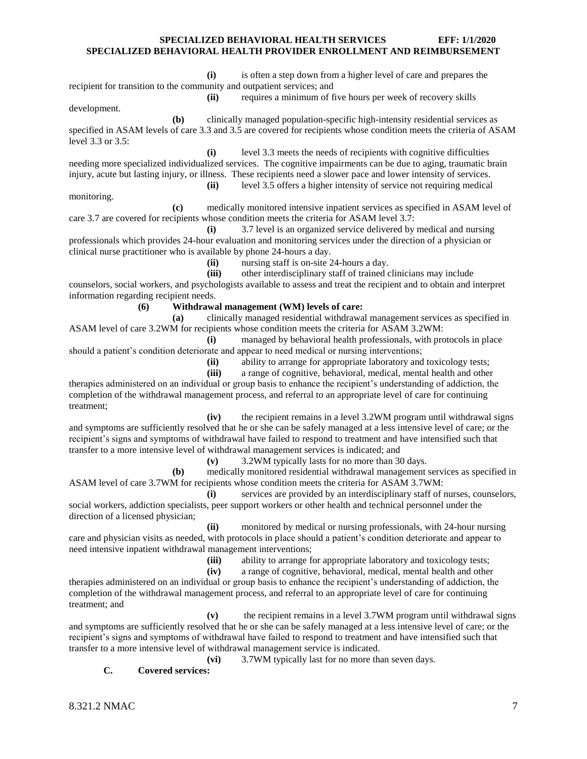**(i)** is often a step down from a higher level of care and prepares the recipient for transition to the community and outpatient services; and **(ii)** requires a minimum of five hours per week of recovery skills

development.

**(b)** clinically managed population-specific high-intensity residential services as specified in ASAM levels of care 3.3 and 3.5 are covered for recipients whose condition meets the criteria of ASAM level 3.3 or 3.5:

**(i)** level 3.3 meets the needs of recipients with cognitive difficulties needing more specialized individualized services. The cognitive impairments can be due to aging, traumatic brain injury, acute but lasting injury, or illness. These recipients need a slower pace and lower intensity of services. **(ii)** level 3.5 offers a higher intensity of service not requiring medical

monitoring.

**(c)** medically monitored intensive inpatient services as specified in ASAM level of care 3.7 are covered for recipients whose condition meets the criteria for ASAM level 3.7:

**(i)** 3.7 level is an organized service delivered by medical and nursing professionals which provides 24-hour evaluation and monitoring services under the direction of a physician or clinical nurse practitioner who is available by phone 24-hours a day.

**(ii)** nursing staff is on-site 24-hours a day.

**(iii)** other interdisciplinary staff of trained clinicians may include counselors, social workers, and psychologists available to assess and treat the recipient and to obtain and interpret information regarding recipient needs.

#### **(6) Withdrawal management (WM) levels of care:**

**(a)** clinically managed residential withdrawal management services as specified in ASAM level of care 3.2WM for recipients whose condition meets the criteria for ASAM 3.2WM:

**(i)** managed by behavioral health professionals, with protocols in place should a patient's condition deteriorate and appear to need medical or nursing interventions;

**(ii)** ability to arrange for appropriate laboratory and toxicology tests;

**(iii)** a range of cognitive, behavioral, medical, mental health and other

therapies administered on an individual or group basis to enhance the recipient's understanding of addiction, the completion of the withdrawal management process, and referral to an appropriate level of care for continuing treatment;

**(iv)** the recipient remains in a level 3.2WM program until withdrawal signs and symptoms are sufficiently resolved that he or she can be safely managed at a less intensive level of care; or the recipient's signs and symptoms of withdrawal have failed to respond to treatment and have intensified such that transfer to a more intensive level of withdrawal management services is indicated; and

**(v)** 3.2WM typically lasts for no more than 30 days.

**(b)** medically monitored residential withdrawal management services as specified in ASAM level of care 3.7WM for recipients whose condition meets the criteria for ASAM 3.7WM:

**(i)** services are provided by an interdisciplinary staff of nurses, counselors, social workers, addiction specialists, peer support workers or other health and technical personnel under the direction of a licensed physician;

**(ii)** monitored by medical or nursing professionals, with 24-hour nursing care and physician visits as needed, with protocols in place should a patient's condition deteriorate and appear to need intensive inpatient withdrawal management interventions;

**(iii)** ability to arrange for appropriate laboratory and toxicology tests;

**(iv)** a range of cognitive, behavioral, medical, mental health and other therapies administered on an individual or group basis to enhance the recipient's understanding of addiction, the completion of the withdrawal management process, and referral to an appropriate level of care for continuing treatment; and

**(v)** the recipient remains in a level 3.7WM program until withdrawal signs and symptoms are sufficiently resolved that he or she can be safely managed at a less intensive level of care; or the recipient's signs and symptoms of withdrawal have failed to respond to treatment and have intensified such that transfer to a more intensive level of withdrawal management service is indicated.

**(vi)** 3.7WM typically last for no more than seven days.

# **C. Covered services:**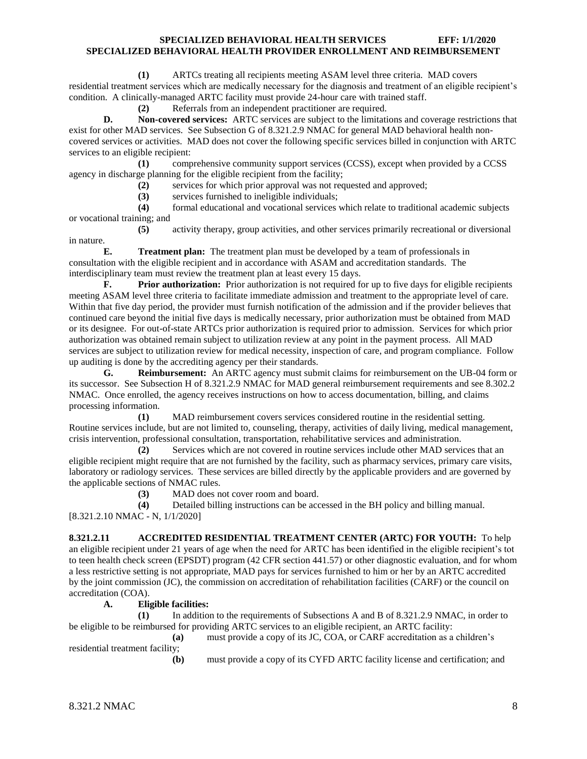**(1)** ARTCs treating all recipients meeting ASAM level three criteria. MAD covers residential treatment services which are medically necessary for the diagnosis and treatment of an eligible recipient's condition. A clinically-managed ARTC facility must provide 24-hour care with trained staff.

**(2)** Referrals from an independent practitioner are required.

**D. Non-covered services:** ARTC services are subject to the limitations and coverage restrictions that exist for other MAD services. See Subsection G of 8.321.2.9 NMAC for general MAD behavioral health noncovered services or activities. MAD does not cover the following specific services billed in conjunction with ARTC services to an eligible recipient:

**(1)** comprehensive community support services (CCSS), except when provided by a CCSS agency in discharge planning for the eligible recipient from the facility;

- **(2)** services for which prior approval was not requested and approved;
	- **(3)** services furnished to ineligible individuals;

**(4)** formal educational and vocational services which relate to traditional academic subjects or vocational training; and

**(5)** activity therapy, group activities, and other services primarily recreational or diversional in nature.

**E. Treatment plan:** The treatment plan must be developed by a team of professionals in consultation with the eligible recipient and in accordance with ASAM and accreditation standards. The interdisciplinary team must review the treatment plan at least every 15 days.

**F. Prior authorization:** Prior authorization is not required for up to five days for eligible recipients meeting ASAM level three criteria to facilitate immediate admission and treatment to the appropriate level of care. Within that five day period, the provider must furnish notification of the admission and if the provider believes that continued care beyond the initial five days is medically necessary, prior authorization must be obtained from MAD or its designee. For out-of-state ARTCs prior authorization is required prior to admission. Services for which prior authorization was obtained remain subject to utilization review at any point in the payment process. All MAD services are subject to utilization review for medical necessity, inspection of care, and program compliance. Follow up auditing is done by the accrediting agency per their standards.

**G. Reimbursement:** An ARTC agency must submit claims for reimbursement on the UB-04 form or its successor. See Subsection H of 8.321.2.9 NMAC for MAD general reimbursement requirements and see 8.302.2 NMAC. Once enrolled, the agency receives instructions on how to access documentation, billing, and claims processing information.

**(1)** MAD reimbursement covers services considered routine in the residential setting. Routine services include, but are not limited to, counseling, therapy, activities of daily living, medical management, crisis intervention, professional consultation, transportation, rehabilitative services and administration.

**(2)** Services which are not covered in routine services include other MAD services that an eligible recipient might require that are not furnished by the facility, such as pharmacy services, primary care visits, laboratory or radiology services. These services are billed directly by the applicable providers and are governed by the applicable sections of NMAC rules.

**(3)** MAD does not cover room and board.

**(4)** Detailed billing instructions can be accessed in the BH policy and billing manual. [8.321.2.10 NMAC - N, 1/1/2020]

#### <span id="page-8-0"></span>**8.321.2.11 ACCREDITED RESIDENTIAL TREATMENT CENTER (ARTC) FOR YOUTH:** To help an eligible recipient under 21 years of age when the need for ARTC has been identified in the eligible recipient's tot to teen health check screen (EPSDT) program (42 CFR section 441.57) or other diagnostic evaluation, and for whom a less restrictive setting is not appropriate, MAD pays for services furnished to him or her by an ARTC accredited by the joint commission (JC), the commission on accreditation of rehabilitation facilities (CARF) or the council on accreditation (COA).

# **A. Eligible facilities:**

**(1)** In addition to the requirements of Subsections A and B of 8.321.2.9 NMAC, in order to be eligible to be reimbursed for providing ARTC services to an eligible recipient, an ARTC facility:

**(a)** must provide a copy of its JC, COA, or CARF accreditation as a children's residential treatment facility;

**(b)** must provide a copy of its CYFD ARTC facility license and certification; and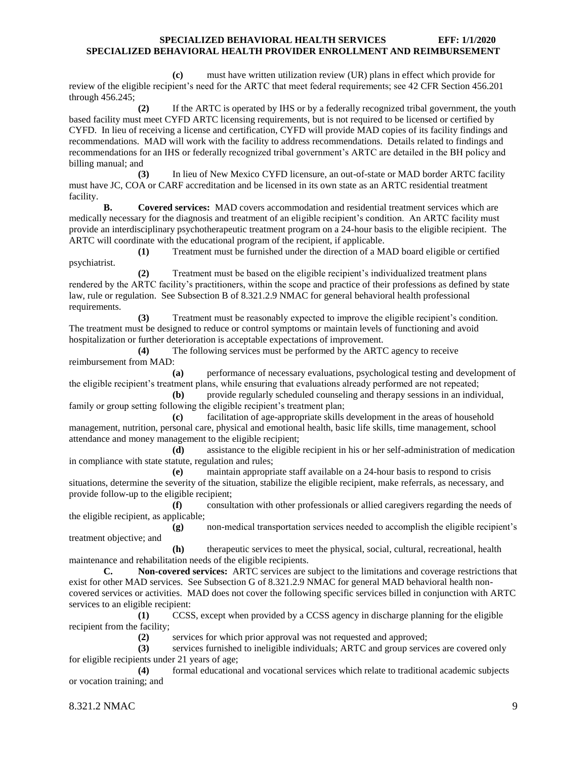**(c)** must have written utilization review (UR) plans in effect which provide for review of the eligible recipient's need for the ARTC that meet federal requirements; see 42 CFR Section 456.201 through 456.245;

**(2)** If the ARTC is operated by IHS or by a federally recognized tribal government, the youth based facility must meet CYFD ARTC licensing requirements, but is not required to be licensed or certified by CYFD. In lieu of receiving a license and certification, CYFD will provide MAD copies of its facility findings and recommendations. MAD will work with the facility to address recommendations. Details related to findings and recommendations for an IHS or federally recognized tribal government's ARTC are detailed in the BH policy and billing manual; and

**(3)** In lieu of New Mexico CYFD licensure, an out-of-state or MAD border ARTC facility must have JC, COA or CARF accreditation and be licensed in its own state as an ARTC residential treatment facility.

**B. Covered services:** MAD covers accommodation and residential treatment services which are medically necessary for the diagnosis and treatment of an eligible recipient's condition. An ARTC facility must provide an interdisciplinary psychotherapeutic treatment program on a 24-hour basis to the eligible recipient. The ARTC will coordinate with the educational program of the recipient, if applicable.

**(1)** Treatment must be furnished under the direction of a MAD board eligible or certified psychiatrist.

**(2)** Treatment must be based on the eligible recipient's individualized treatment plans rendered by the ARTC facility's practitioners, within the scope and practice of their professions as defined by state law, rule or regulation. See Subsection B of 8.321.2.9 NMAC for general behavioral health professional requirements.

**(3)** Treatment must be reasonably expected to improve the eligible recipient's condition. The treatment must be designed to reduce or control symptoms or maintain levels of functioning and avoid hospitalization or further deterioration is acceptable expectations of improvement.

**(4)** The following services must be performed by the ARTC agency to receive reimbursement from MAD:

**(a)** performance of necessary evaluations, psychological testing and development of the eligible recipient's treatment plans, while ensuring that evaluations already performed are not repeated;

**(b)** provide regularly scheduled counseling and therapy sessions in an individual, family or group setting following the eligible recipient's treatment plan;

**(c)** facilitation of age-appropriate skills development in the areas of household management, nutrition, personal care, physical and emotional health, basic life skills, time management, school attendance and money management to the eligible recipient;

**(d)** assistance to the eligible recipient in his or her self-administration of medication in compliance with state statute, regulation and rules;

**(e)** maintain appropriate staff available on a 24-hour basis to respond to crisis situations, determine the severity of the situation, stabilize the eligible recipient, make referrals, as necessary, and provide follow-up to the eligible recipient;

**(f)** consultation with other professionals or allied caregivers regarding the needs of the eligible recipient, as applicable;

**(g)** non-medical transportation services needed to accomplish the eligible recipient's treatment objective; and

**(h)** therapeutic services to meet the physical, social, cultural, recreational, health maintenance and rehabilitation needs of the eligible recipients.

**C. Non-covered services:** ARTC services are subject to the limitations and coverage restrictions that exist for other MAD services. See Subsection G of 8.321.2.9 NMAC for general MAD behavioral health noncovered services or activities. MAD does not cover the following specific services billed in conjunction with ARTC services to an eligible recipient:

**(1)** CCSS, except when provided by a CCSS agency in discharge planning for the eligible recipient from the facility;

**(2)** services for which prior approval was not requested and approved;

**(3)** services furnished to ineligible individuals; ARTC and group services are covered only for eligible recipients under 21 years of age;

**(4)** formal educational and vocational services which relate to traditional academic subjects or vocation training; and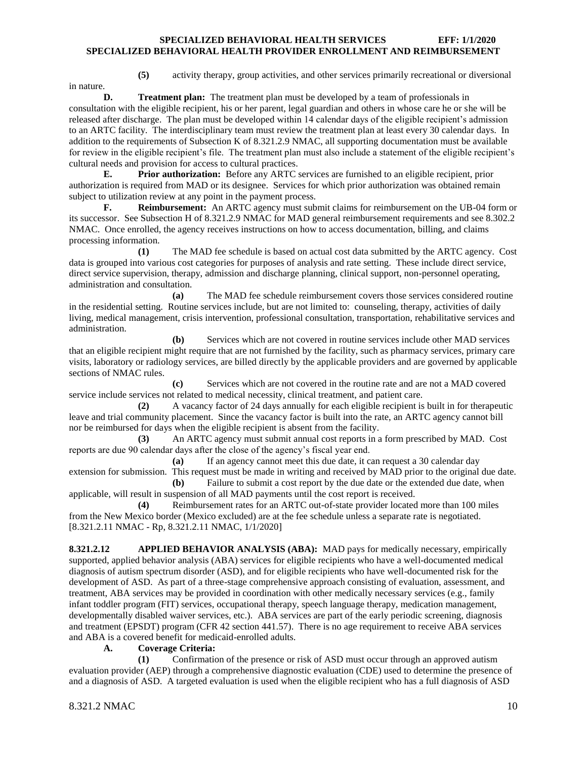in nature.

**(5)** activity therapy, group activities, and other services primarily recreational or diversional

**D. Treatment plan:** The treatment plan must be developed by a team of professionals in consultation with the eligible recipient, his or her parent, legal guardian and others in whose care he or she will be released after discharge. The plan must be developed within 14 calendar days of the eligible recipient's admission to an ARTC facility. The interdisciplinary team must review the treatment plan at least every 30 calendar days. In addition to the requirements of Subsection K of 8.321.2.9 NMAC, all supporting documentation must be available for review in the eligible recipient's file. The treatment plan must also include a statement of the eligible recipient's cultural needs and provision for access to cultural practices.

**E. Prior authorization:** Before any ARTC services are furnished to an eligible recipient, prior authorization is required from MAD or its designee. Services for which prior authorization was obtained remain subject to utilization review at any point in the payment process.

**F. Reimbursement:** An ARTC agency must submit claims for reimbursement on the UB-04 form or its successor. See Subsection H of 8.321.2.9 NMAC for MAD general reimbursement requirements and see 8.302.2 NMAC. Once enrolled, the agency receives instructions on how to access documentation, billing, and claims processing information.

**(1)** The MAD fee schedule is based on actual cost data submitted by the ARTC agency. Cost data is grouped into various cost categories for purposes of analysis and rate setting. These include direct service, direct service supervision, therapy, admission and discharge planning, clinical support, non-personnel operating, administration and consultation.

**(a)** The MAD fee schedule reimbursement covers those services considered routine in the residential setting. Routine services include, but are not limited to: counseling, therapy, activities of daily living, medical management, crisis intervention, professional consultation, transportation, rehabilitative services and administration.

**(b)** Services which are not covered in routine services include other MAD services that an eligible recipient might require that are not furnished by the facility, such as pharmacy services, primary care visits, laboratory or radiology services, are billed directly by the applicable providers and are governed by applicable sections of NMAC rules.

**(c)** Services which are not covered in the routine rate and are not a MAD covered service include services not related to medical necessity, clinical treatment, and patient care.

**(2)** A vacancy factor of 24 days annually for each eligible recipient is built in for therapeutic leave and trial community placement. Since the vacancy factor is built into the rate, an ARTC agency cannot bill nor be reimbursed for days when the eligible recipient is absent from the facility.

**(3)** An ARTC agency must submit annual cost reports in a form prescribed by MAD. Cost reports are due 90 calendar days after the close of the agency's fiscal year end.

**(a)** If an agency cannot meet this due date, it can request a 30 calendar day extension for submission. This request must be made in writing and received by MAD prior to the original due date. **(b)** Failure to submit a cost report by the due date or the extended due date, when

applicable, will result in suspension of all MAD payments until the cost report is received. **(4)** Reimbursement rates for an ARTC out-of-state provider located more than 100 miles

from the New Mexico border (Mexico excluded) are at the fee schedule unless a separate rate is negotiated. [8.321.2.11 NMAC - Rp, 8.321.2.11 NMAC, 1/1/2020]

<span id="page-10-0"></span>**8.321.2.12 APPLIED BEHAVIOR ANALYSIS (ABA):** MAD pays for medically necessary, empirically supported, applied behavior analysis (ABA) services for eligible recipients who have a well-documented medical diagnosis of autism spectrum disorder (ASD), and for eligible recipients who have well-documented risk for the development of ASD. As part of a three-stage comprehensive approach consisting of evaluation, assessment, and treatment, ABA services may be provided in coordination with other medically necessary services (e.g., family infant toddler program (FIT) services, occupational therapy, speech language therapy, medication management, developmentally disabled waiver services, etc.). ABA services are part of the early periodic screening, diagnosis and treatment (EPSDT) program (CFR 42 section 441.57). There is no age requirement to receive ABA services and ABA is a covered benefit for medicaid-enrolled adults.

# **A. Coverage Criteria:**

**(1)** Confirmation of the presence or risk of ASD must occur through an approved autism evaluation provider (AEP) through a comprehensive diagnostic evaluation (CDE) used to determine the presence of and a diagnosis of ASD. A targeted evaluation is used when the eligible recipient who has a full diagnosis of ASD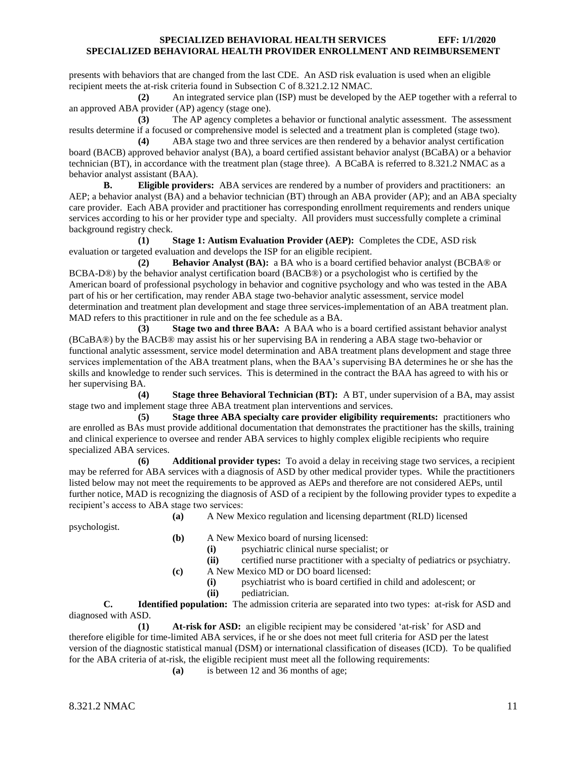presents with behaviors that are changed from the last CDE. An ASD risk evaluation is used when an eligible recipient meets the at-risk criteria found in Subsection C of 8.321.2.12 NMAC.

**(2)** An integrated service plan (ISP) must be developed by the AEP together with a referral to an approved ABA provider (AP) agency (stage one).

**(3)** The AP agency completes a behavior or functional analytic assessment. The assessment results determine if a focused or comprehensive model is selected and a treatment plan is completed (stage two).

**(4)** ABA stage two and three services are then rendered by a behavior analyst certification board (BACB) approved behavior analyst (BA), a board certified assistant behavior analyst (BCaBA) or a behavior technician (BT), in accordance with the treatment plan (stage three). A BCaBA is referred to 8.321.2 NMAC as a behavior analyst assistant (BAA).

**B. Eligible providers:** ABA services are rendered by a number of providers and practitioners: an AEP; a behavior analyst (BA) and a behavior technician (BT) through an ABA provider (AP); and an ABA specialty care provider. Each ABA provider and practitioner has corresponding enrollment requirements and renders unique services according to his or her provider type and specialty. All providers must successfully complete a criminal background registry check.

**(1) Stage 1: Autism Evaluation Provider (AEP):** Completes the CDE, ASD risk evaluation or targeted evaluation and develops the ISP for an eligible recipient.

**(2) Behavior Analyst (BA):** a BA who is a board certified behavior analyst (BCBA® or BCBA-D®) by the behavior analyst certification board (BACB®) or a psychologist who is certified by the American board of professional psychology in behavior and cognitive psychology and who was tested in the ABA part of his or her certification, may render ABA stage two-behavior analytic assessment, service model determination and treatment plan development and stage three services-implementation of an ABA treatment plan. MAD refers to this practitioner in rule and on the fee schedule as a BA.

**(3) Stage two and three BAA:** A BAA who is a board certified assistant behavior analyst (BCaBA®) by the BACB® may assist his or her supervising BA in rendering a ABA stage two-behavior or functional analytic assessment, service model determination and ABA treatment plans development and stage three services implementation of the ABA treatment plans, when the BAA's supervising BA determines he or she has the skills and knowledge to render such services. This is determined in the contract the BAA has agreed to with his or her supervising BA.

**(4) Stage three Behavioral Technician (BT):** A BT, under supervision of a BA, may assist stage two and implement stage three ABA treatment plan interventions and services.

**(5) Stage three ABA specialty care provider eligibility requirements:** practitioners who are enrolled as BAs must provide additional documentation that demonstrates the practitioner has the skills, training and clinical experience to oversee and render ABA services to highly complex eligible recipients who require specialized ABA services.

**(6) Additional provider types:** To avoid a delay in receiving stage two services, a recipient may be referred for ABA services with a diagnosis of ASD by other medical provider types. While the practitioners listed below may not meet the requirements to be approved as AEPs and therefore are not considered AEPs, until further notice, MAD is recognizing the diagnosis of ASD of a recipient by the following provider types to expedite a recipient's access to ABA stage two services:

**(a)** A New Mexico regulation and licensing department (RLD) licensed

psychologist.

- **(b)** A New Mexico board of nursing licensed:
	- **(i)** psychiatric clinical nurse specialist; or
	- **(ii)** certified nurse practitioner with a specialty of pediatrics or psychiatry.
- **(c)** A New Mexico MD or DO board licensed:
	- **(i)** psychiatrist who is board certified in child and adolescent; or
	- **(ii)** pediatrician.

**C. Identified population:** The admission criteria are separated into two types: at-risk for ASD and diagnosed with ASD.

**(1) At-risk for ASD:** an eligible recipient may be considered 'at-risk' for ASD and therefore eligible for time-limited ABA services, if he or she does not meet full criteria for ASD per the latest version of the diagnostic statistical manual (DSM) or international classification of diseases (ICD). To be qualified for the ABA criteria of at-risk, the eligible recipient must meet all the following requirements:

**(a)** is between 12 and 36 months of age;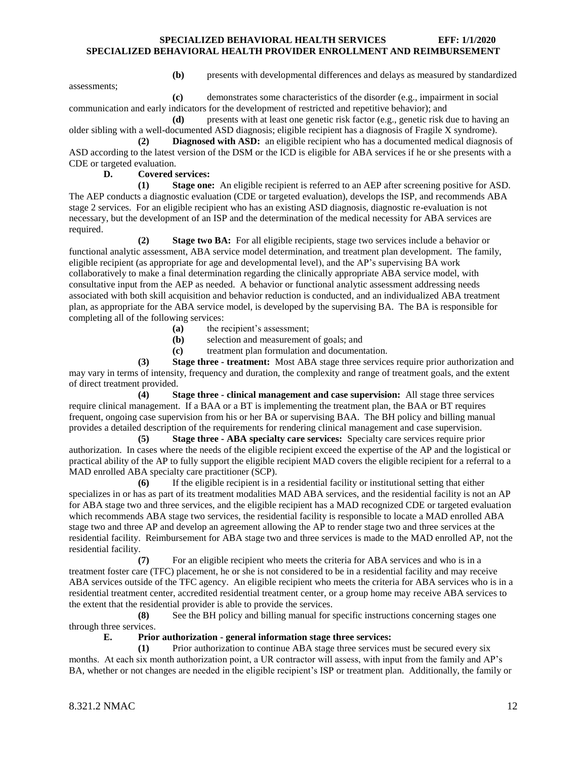**(b)** presents with developmental differences and delays as measured by standardized

assessments;

**(c)** demonstrates some characteristics of the disorder (e.g., impairment in social communication and early indicators for the development of restricted and repetitive behavior); and

**(d)** presents with at least one genetic risk factor (e.g., genetic risk due to having an older sibling with a well-documented ASD diagnosis; eligible recipient has a diagnosis of Fragile X syndrome).

**(2) Diagnosed with ASD:** an eligible recipient who has a documented medical diagnosis of ASD according to the latest version of the DSM or the ICD is eligible for ABA services if he or she presents with a CDE or targeted evaluation.

# **D. Covered services:**

**(1) Stage one:** An eligible recipient is referred to an AEP after screening positive for ASD. The AEP conducts a diagnostic evaluation (CDE or targeted evaluation), develops the ISP, and recommends ABA stage 2 services. For an eligible recipient who has an existing ASD diagnosis, diagnostic re-evaluation is not necessary, but the development of an ISP and the determination of the medical necessity for ABA services are required.

**(2) Stage two BA:** For all eligible recipients, stage two services include a behavior or functional analytic assessment, ABA service model determination, and treatment plan development. The family, eligible recipient (as appropriate for age and developmental level), and the AP's supervising BA work collaboratively to make a final determination regarding the clinically appropriate ABA service model, with consultative input from the AEP as needed. A behavior or functional analytic assessment addressing needs associated with both skill acquisition and behavior reduction is conducted, and an individualized ABA treatment plan, as appropriate for the ABA service model, is developed by the supervising BA. The BA is responsible for completing all of the following services:

- **(a)** the recipient's assessment;
- **(b)** selection and measurement of goals; and
- **(c)** treatment plan formulation and documentation.

**(3) Stage three - treatment:** Most ABA stage three services require prior authorization and may vary in terms of intensity, frequency and duration, the complexity and range of treatment goals, and the extent of direct treatment provided.

**(4) Stage three - clinical management and case supervision:** All stage three services require clinical management. If a BAA or a BT is implementing the treatment plan, the BAA or BT requires frequent, ongoing case supervision from his or her BA or supervising BAA. The BH policy and billing manual provides a detailed description of the requirements for rendering clinical management and case supervision.

**(5) Stage three - ABA specialty care services:** Specialty care services require prior authorization. In cases where the needs of the eligible recipient exceed the expertise of the AP and the logistical or practical ability of the AP to fully support the eligible recipient MAD covers the eligible recipient for a referral to a MAD enrolled ABA specialty care practitioner (SCP).

**(6)** If the eligible recipient is in a residential facility or institutional setting that either specializes in or has as part of its treatment modalities MAD ABA services, and the residential facility is not an AP for ABA stage two and three services, and the eligible recipient has a MAD recognized CDE or targeted evaluation which recommends ABA stage two services, the residential facility is responsible to locate a MAD enrolled ABA stage two and three AP and develop an agreement allowing the AP to render stage two and three services at the residential facility. Reimbursement for ABA stage two and three services is made to the MAD enrolled AP, not the residential facility.

**(7)** For an eligible recipient who meets the criteria for ABA services and who is in a treatment foster care (TFC) placement, he or she is not considered to be in a residential facility and may receive ABA services outside of the TFC agency. An eligible recipient who meets the criteria for ABA services who is in a residential treatment center, accredited residential treatment center, or a group home may receive ABA services to the extent that the residential provider is able to provide the services.

**(8)** See the BH policy and billing manual for specific instructions concerning stages one through three services.

#### **E. Prior authorization - general information stage three services:**

**(1)** Prior authorization to continue ABA stage three services must be secured every six months. At each six month authorization point, a UR contractor will assess, with input from the family and AP's BA, whether or not changes are needed in the eligible recipient's ISP or treatment plan. Additionally, the family or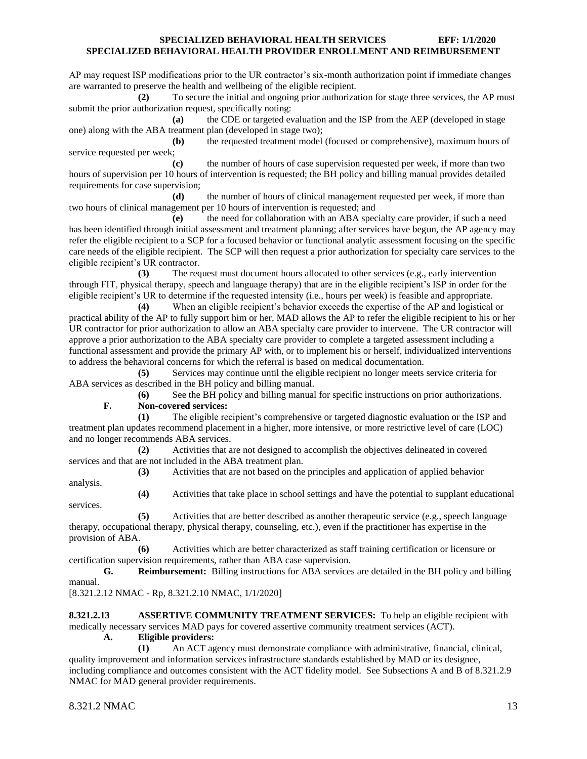AP may request ISP modifications prior to the UR contractor's six-month authorization point if immediate changes are warranted to preserve the health and wellbeing of the eligible recipient.

**(2)** To secure the initial and ongoing prior authorization for stage three services, the AP must submit the prior authorization request, specifically noting:

**(a)** the CDE or targeted evaluation and the ISP from the AEP (developed in stage one) along with the ABA treatment plan (developed in stage two);

**(b)** the requested treatment model (focused or comprehensive), maximum hours of service requested per week;

**(c)** the number of hours of case supervision requested per week, if more than two hours of supervision per 10 hours of intervention is requested; the BH policy and billing manual provides detailed requirements for case supervision;

**(d)** the number of hours of clinical management requested per week, if more than two hours of clinical management per 10 hours of intervention is requested; and

**(e)** the need for collaboration with an ABA specialty care provider, if such a need has been identified through initial assessment and treatment planning; after services have begun, the AP agency may refer the eligible recipient to a SCP for a focused behavior or functional analytic assessment focusing on the specific care needs of the eligible recipient. The SCP will then request a prior authorization for specialty care services to the eligible recipient's UR contractor.

**(3)** The request must document hours allocated to other services (e.g., early intervention through FIT, physical therapy, speech and language therapy) that are in the eligible recipient's ISP in order for the eligible recipient's UR to determine if the requested intensity (i.e., hours per week) is feasible and appropriate.

**(4)** When an eligible recipient's behavior exceeds the expertise of the AP and logistical or practical ability of the AP to fully support him or her, MAD allows the AP to refer the eligible recipient to his or her UR contractor for prior authorization to allow an ABA specialty care provider to intervene. The UR contractor will approve a prior authorization to the ABA specialty care provider to complete a targeted assessment including a functional assessment and provide the primary AP with, or to implement his or herself, individualized interventions to address the behavioral concerns for which the referral is based on medical documentation.

**(5)** Services may continue until the eligible recipient no longer meets service criteria for ABA services as described in the BH policy and billing manual.

**(6)** See the BH policy and billing manual for specific instructions on prior authorizations. **F. Non-covered services:**

**(1)** The eligible recipient's comprehensive or targeted diagnostic evaluation or the ISP and treatment plan updates recommend placement in a higher, more intensive, or more restrictive level of care (LOC) and no longer recommends ABA services.

**(2)** Activities that are not designed to accomplish the objectives delineated in covered services and that are not included in the ABA treatment plan.

**(3)** Activities that are not based on the principles and application of applied behavior

analysis.

services.

**(4)** Activities that take place in school settings and have the potential to supplant educational

**(5)** Activities that are better described as another therapeutic service (e.g., speech language therapy, occupational therapy, physical therapy, counseling, etc.), even if the practitioner has expertise in the provision of ABA.

**(6)** Activities which are better characterized as staff training certification or licensure or certification supervision requirements, rather than ABA case supervision.

**G. Reimbursement:** Billing instructions for ABA services are detailed in the BH policy and billing manual.

[8.321.2.12 NMAC - Rp, 8.321.2.10 NMAC, 1/1/2020]

<span id="page-13-0"></span>**8.321.2.13 ASSERTIVE COMMUNITY TREATMENT SERVICES:** To help an eligible recipient with medically necessary services MAD pays for covered assertive community treatment services (ACT).

**A. Eligible providers:**

**(1)** An ACT agency must demonstrate compliance with administrative, financial, clinical, quality improvement and information services infrastructure standards established by MAD or its designee, including compliance and outcomes consistent with the ACT fidelity model. See Subsections A and B of 8.321.2.9 NMAC for MAD general provider requirements.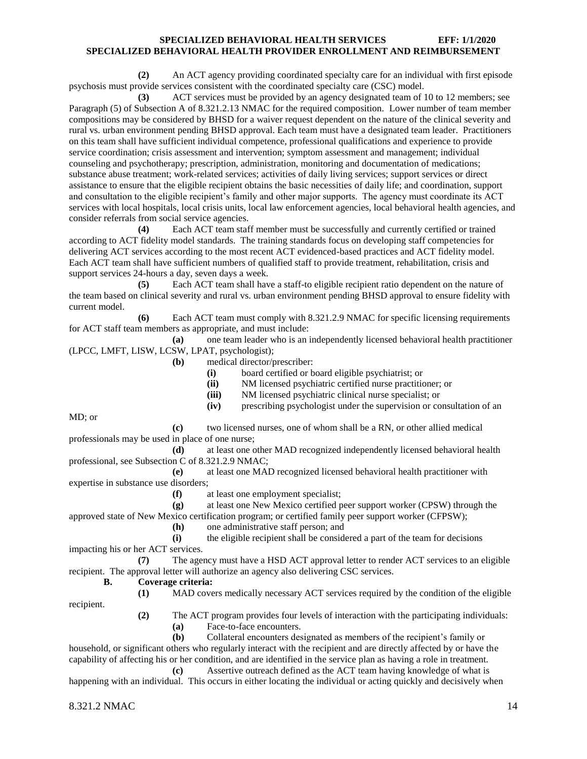**(2)** An ACT agency providing coordinated specialty care for an individual with first episode psychosis must provide services consistent with the coordinated specialty care (CSC) model.

**(3)** ACT services must be provided by an agency designated team of 10 to 12 members; see Paragraph (5) of Subsection A of 8.321.2.13 NMAC for the required composition. Lower number of team member compositions may be considered by BHSD for a waiver request dependent on the nature of the clinical severity and rural vs. urban environment pending BHSD approval. Each team must have a designated team leader. Practitioners on this team shall have sufficient individual competence, professional qualifications and experience to provide service coordination; crisis assessment and intervention; symptom assessment and management; individual counseling and psychotherapy; prescription, administration, monitoring and documentation of medications; substance abuse treatment; work-related services; activities of daily living services; support services or direct assistance to ensure that the eligible recipient obtains the basic necessities of daily life; and coordination, support and consultation to the eligible recipient's family and other major supports. The agency must coordinate its ACT services with local hospitals, local crisis units, local law enforcement agencies, local behavioral health agencies, and consider referrals from social service agencies.

**(4)** Each ACT team staff member must be successfully and currently certified or trained according to ACT fidelity model standards. The training standards focus on developing staff competencies for delivering ACT services according to the most recent ACT evidenced-based practices and ACT fidelity model. Each ACT team shall have sufficient numbers of qualified staff to provide treatment, rehabilitation, crisis and support services 24-hours a day, seven days a week.

**(5)** Each ACT team shall have a staff-to eligible recipient ratio dependent on the nature of the team based on clinical severity and rural vs. urban environment pending BHSD approval to ensure fidelity with current model.

**(6)** Each ACT team must comply with 8.321.2.9 NMAC for specific licensing requirements for ACT staff team members as appropriate, and must include:

**(a)** one team leader who is an independently licensed behavioral health practitioner (LPCC, LMFT, LISW, LCSW, LPAT, psychologist);

**(b)** medical director/prescriber:

**(i)** board certified or board eligible psychiatrist; or

**(ii)** NM licensed psychiatric certified nurse practitioner; or

**(iii)** NM licensed psychiatric clinical nurse specialist; or

**(iv)** prescribing psychologist under the supervision or consultation of an

MD; or

**(c)** two licensed nurses, one of whom shall be a RN, or other allied medical professionals may be used in place of one nurse;

**(d)** at least one other MAD recognized independently licensed behavioral health professional, see Subsection C of 8.321.2.9 NMAC;

**(e)** at least one MAD recognized licensed behavioral health practitioner with expertise in substance use disorders;

**(f)** at least one employment specialist;

**(g)** at least one New Mexico certified peer support worker (CPSW) through the approved state of New Mexico certification program; or certified family peer support worker (CFPSW);

**(h)** one administrative staff person; and

**(i)** the eligible recipient shall be considered a part of the team for decisions impacting his or her ACT services.

**(7)** The agency must have a HSD ACT approval letter to render ACT services to an eligible recipient. The approval letter will authorize an agency also delivering CSC services.

#### **B. Coverage criteria:**

**(1)** MAD covers medically necessary ACT services required by the condition of the eligible

recipient.

**(2)** The ACT program provides four levels of interaction with the participating individuals: **(a)** Face-to-face encounters.

**(b)** Collateral encounters designated as members of the recipient's family or household, or significant others who regularly interact with the recipient and are directly affected by or have the capability of affecting his or her condition, and are identified in the service plan as having a role in treatment. **(c)** Assertive outreach defined as the ACT team having knowledge of what is

happening with an individual. This occurs in either locating the individual or acting quickly and decisively when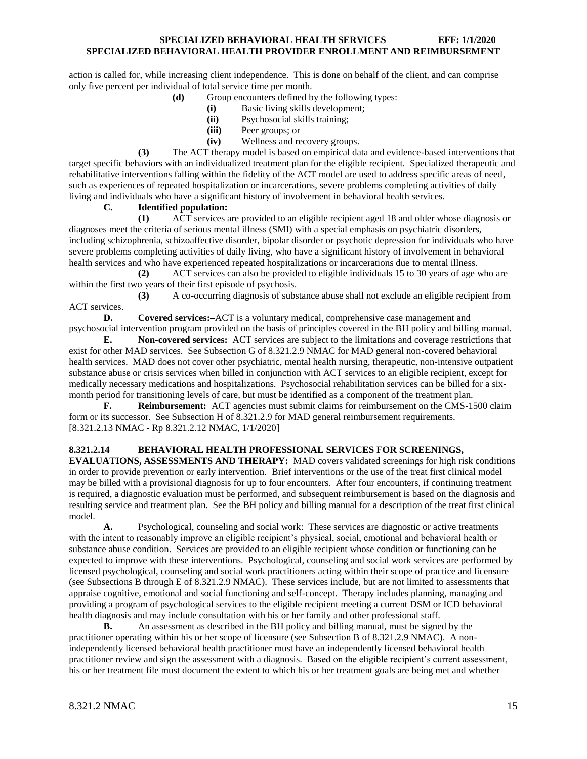action is called for, while increasing client independence. This is done on behalf of the client, and can comprise only five percent per individual of total service time per month.

- **(d)** Group encounters defined by the following types:
	- **(i)** Basic living skills development;
	- **(ii)** Psychosocial skills training;
	- **(iii)** Peer groups; or
	- **(iv)** Wellness and recovery groups.

**(3)** The ACT therapy model is based on empirical data and evidence-based interventions that target specific behaviors with an individualized treatment plan for the eligible recipient. Specialized therapeutic and rehabilitative interventions falling within the fidelity of the ACT model are used to address specific areas of need, such as experiences of repeated hospitalization or incarcerations, severe problems completing activities of daily living and individuals who have a significant history of involvement in behavioral health services.

# **C. Identified population:**

**(1)** ACT services are provided to an eligible recipient aged 18 and older whose diagnosis or diagnoses meet the criteria of serious mental illness (SMI) with a special emphasis on psychiatric disorders, including schizophrenia, schizoaffective disorder, bipolar disorder or psychotic depression for individuals who have severe problems completing activities of daily living, who have a significant history of involvement in behavioral health services and who have experienced repeated hospitalizations or incarcerations due to mental illness.

**(2)** ACT services can also be provided to eligible individuals 15 to 30 years of age who are within the first two years of their first episode of psychosis.

**(3)** A co-occurring diagnosis of substance abuse shall not exclude an eligible recipient from ACT services.

**D. Covered services:** ACT is a voluntary medical, comprehensive case management and psychosocial intervention program provided on the basis of principles covered in the BH policy and billing manual.

**E. Non-covered services:** ACT services are subject to the limitations and coverage restrictions that exist for other MAD services. See Subsection G of 8.321.2.9 NMAC for MAD general non-covered behavioral health services. MAD does not cover other psychiatric, mental health nursing, therapeutic, non-intensive outpatient substance abuse or crisis services when billed in conjunction with ACT services to an eligible recipient, except for medically necessary medications and hospitalizations. Psychosocial rehabilitation services can be billed for a sixmonth period for transitioning levels of care, but must be identified as a component of the treatment plan.

**F. Reimbursement:** ACT agencies must submit claims for reimbursement on the CMS-1500 claim form or its successor. See Subsection H of 8.321.2.9 for MAD general reimbursement requirements. [8.321.2.13 NMAC - Rp 8.321.2.12 NMAC, 1/1/2020]

#### <span id="page-15-0"></span>**8.321.2.14 BEHAVIORAL HEALTH PROFESSIONAL SERVICES FOR SCREENINGS,**

**EVALUATIONS, ASSESSMENTS AND THERAPY:** MAD covers validated screenings for high risk conditions in order to provide prevention or early intervention. Brief interventions or the use of the treat first clinical model may be billed with a provisional diagnosis for up to four encounters. After four encounters, if continuing treatment is required, a diagnostic evaluation must be performed, and subsequent reimbursement is based on the diagnosis and resulting service and treatment plan. See the BH policy and billing manual for a description of the treat first clinical model.

**A.** Psychological, counseling and social work: These services are diagnostic or active treatments with the intent to reasonably improve an eligible recipient's physical, social, emotional and behavioral health or substance abuse condition. Services are provided to an eligible recipient whose condition or functioning can be expected to improve with these interventions. Psychological, counseling and social work services are performed by licensed psychological, counseling and social work practitioners acting within their scope of practice and licensure (see Subsections B through E of 8.321.2.9 NMAC). These services include, but are not limited to assessments that appraise cognitive, emotional and social functioning and self-concept. Therapy includes planning, managing and providing a program of psychological services to the eligible recipient meeting a current DSM or ICD behavioral health diagnosis and may include consultation with his or her family and other professional staff.

**B.** An assessment as described in the BH policy and billing manual, must be signed by the practitioner operating within his or her scope of licensure (see Subsection B of 8.321.2.9 NMAC). A nonindependently licensed behavioral health practitioner must have an independently licensed behavioral health practitioner review and sign the assessment with a diagnosis. Based on the eligible recipient's current assessment, his or her treatment file must document the extent to which his or her treatment goals are being met and whether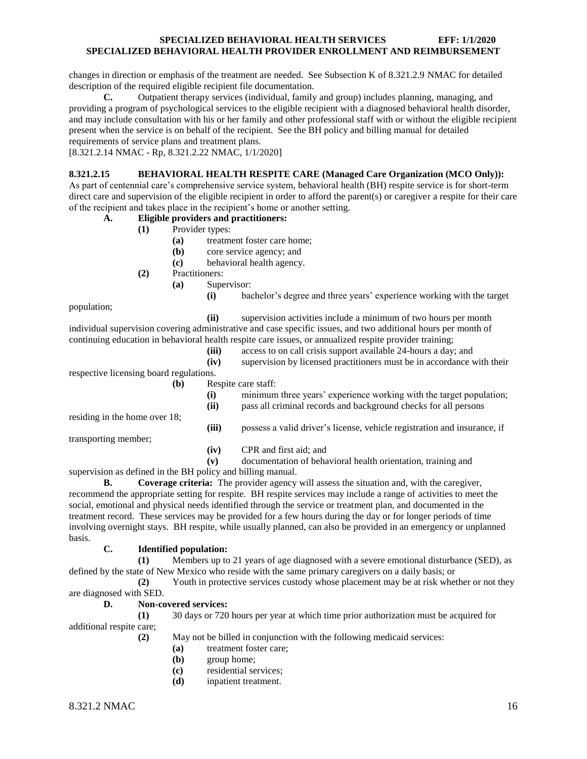changes in direction or emphasis of the treatment are needed. See Subsection K of 8.321.2.9 NMAC for detailed description of the required eligible recipient file documentation.

**C.** Outpatient therapy services (individual, family and group) includes planning, managing, and providing a program of psychological services to the eligible recipient with a diagnosed behavioral health disorder, and may include consultation with his or her family and other professional staff with or without the eligible recipient present when the service is on behalf of the recipient. See the BH policy and billing manual for detailed requirements of service plans and treatment plans.

[8.321.2.14 NMAC - Rp, 8.321.2.22 NMAC, 1/1/2020]

# <span id="page-16-0"></span>**8.321.2.15 BEHAVIORAL HEALTH RESPITE CARE (Managed Care Organization (MCO Only)):**

As part of centennial care's comprehensive service system, behavioral health (BH) respite service is for short-term direct care and supervision of the eligible recipient in order to afford the parent(s) or caregiver a respite for their care of the recipient and takes place in the recipient's home or another setting.

#### **A. Eligible providers and practitioners:**

- **(1)** Provider types:
	- **(a)** treatment foster care home;
	- **(b)** core service agency; and
	- **(c)** behavioral health agency.
- **(2)** Practitioners:
	- **(a)** Supervisor:
		- **(i)** bachelor's degree and three years' experience working with the target

population;

**(ii)** supervision activities include a minimum of two hours per month

individual supervision covering administrative and case specific issues, and two additional hours per month of continuing education in behavioral health respite care issues, or annualized respite provider training;

- 
- **(iii)** access to on call crisis support available 24-hours a day; and **(iv)** supervision by licensed practitioners must be in accordance with their

respective licensing board regulations.

residing in the home over 18;

transporting member;

**(b)** Respite care staff:

| (i)<br>(ii) | minimum three years' experience working with the target population;<br>pass all criminal records and background checks for all persons |
|-------------|----------------------------------------------------------------------------------------------------------------------------------------|
| (iii)       | possess a valid driver's license, vehicle registration and insurance, if                                                               |
| (iv)        | CPR and first aid: and                                                                                                                 |

**(v)** documentation of behavioral health orientation, training and

supervision as defined in the BH policy and billing manual.

**B. Coverage criteria:** The provider agency will assess the situation and, with the caregiver, recommend the appropriate setting for respite. BH respite services may include a range of activities to meet the social, emotional and physical needs identified through the service or treatment plan, and documented in the treatment record. These services may be provided for a few hours during the day or for longer periods of time involving overnight stays. BH respite, while usually planned, can also be provided in an emergency or unplanned basis.

#### **C. Identified population:**

**(1)** Members up to 21 years of age diagnosed with a severe emotional disturbance (SED), as defined by the state of New Mexico who reside with the same primary caregivers on a daily basis; or

**(2)** Youth in protective services custody whose placement may be at risk whether or not they are diagnosed with SED.

#### **D. Non-covered services:**

**(1)** 30 days or 720 hours per year at which time prior authorization must be acquired for additional respite care;

**(2)** May not be billed in conjunction with the following medicaid services:

- **(a)** treatment foster care;
- **(b)** group home;
- **(c)** residential services;
- **(d)** inpatient treatment.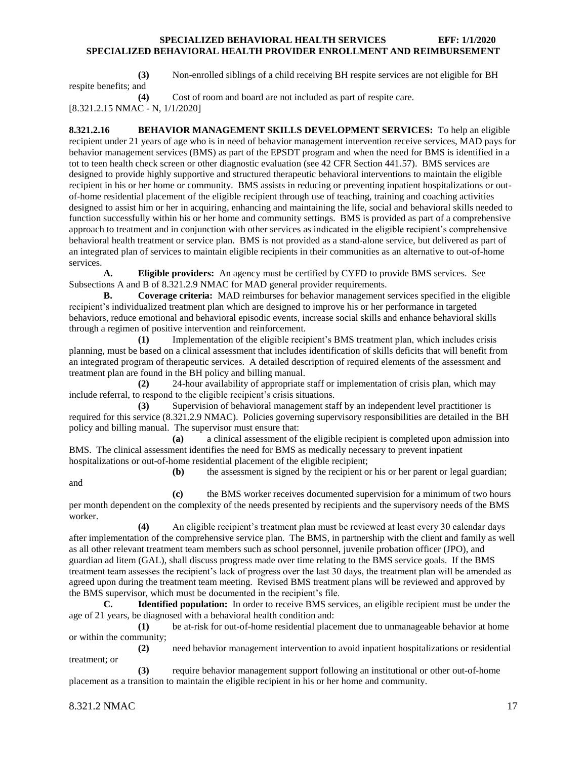**(3)** Non-enrolled siblings of a child receiving BH respite services are not eligible for BH respite benefits; and

**(4)** Cost of room and board are not included as part of respite care. [8.321.2.15 NMAC - N, 1/1/2020]

<span id="page-17-0"></span>**8.321.2.16 BEHAVIOR MANAGEMENT SKILLS DEVELOPMENT SERVICES:** To help an eligible recipient under 21 years of age who is in need of behavior management intervention receive services, MAD pays for behavior management services (BMS) as part of the EPSDT program and when the need for BMS is identified in a tot to teen health check screen or other diagnostic evaluation (see 42 CFR Section 441.57). BMS services are designed to provide highly supportive and structured therapeutic behavioral interventions to maintain the eligible recipient in his or her home or community. BMS assists in reducing or preventing inpatient hospitalizations or outof-home residential placement of the eligible recipient through use of teaching, training and coaching activities designed to assist him or her in acquiring, enhancing and maintaining the life, social and behavioral skills needed to function successfully within his or her home and community settings. BMS is provided as part of a comprehensive approach to treatment and in conjunction with other services as indicated in the eligible recipient's comprehensive behavioral health treatment or service plan. BMS is not provided as a stand-alone service, but delivered as part of an integrated plan of services to maintain eligible recipients in their communities as an alternative to out-of-home services.

**A. Eligible providers:** An agency must be certified by CYFD to provide BMS services. See Subsections A and B of 8.321.2.9 NMAC for MAD general provider requirements.

**B. Coverage criteria:** MAD reimburses for behavior management services specified in the eligible recipient's individualized treatment plan which are designed to improve his or her performance in targeted behaviors, reduce emotional and behavioral episodic events, increase social skills and enhance behavioral skills through a regimen of positive intervention and reinforcement.

**(1)** Implementation of the eligible recipient's BMS treatment plan, which includes crisis planning, must be based on a clinical assessment that includes identification of skills deficits that will benefit from an integrated program of therapeutic services. A detailed description of required elements of the assessment and treatment plan are found in the BH policy and billing manual.

**(2)** 24-hour availability of appropriate staff or implementation of crisis plan, which may include referral, to respond to the eligible recipient's crisis situations.

**(3)** Supervision of behavioral management staff by an independent level practitioner is required for this service (8.321.2.9 NMAC). Policies governing supervisory responsibilities are detailed in the BH policy and billing manual. The supervisor must ensure that:

**(a)** a clinical assessment of the eligible recipient is completed upon admission into BMS. The clinical assessment identifies the need for BMS as medically necessary to prevent inpatient hospitalizations or out-of-home residential placement of the eligible recipient;

and

**(b)** the assessment is signed by the recipient or his or her parent or legal guardian;

**(c)** the BMS worker receives documented supervision for a minimum of two hours per month dependent on the complexity of the needs presented by recipients and the supervisory needs of the BMS worker.

**(4)** An eligible recipient's treatment plan must be reviewed at least every 30 calendar days after implementation of the comprehensive service plan. The BMS, in partnership with the client and family as well as all other relevant treatment team members such as school personnel, juvenile probation officer (JPO), and guardian ad litem (GAL), shall discuss progress made over time relating to the BMS service goals. If the BMS treatment team assesses the recipient's lack of progress over the last 30 days, the treatment plan will be amended as agreed upon during the treatment team meeting. Revised BMS treatment plans will be reviewed and approved by the BMS supervisor, which must be documented in the recipient's file.

**C. Identified population:** In order to receive BMS services, an eligible recipient must be under the age of 21 years, be diagnosed with a behavioral health condition and:

**(1)** be at-risk for out-of-home residential placement due to unmanageable behavior at home or within the community;

**(2)** need behavior management intervention to avoid inpatient hospitalizations or residential treatment; or

**(3)** require behavior management support following an institutional or other out-of-home placement as a transition to maintain the eligible recipient in his or her home and community.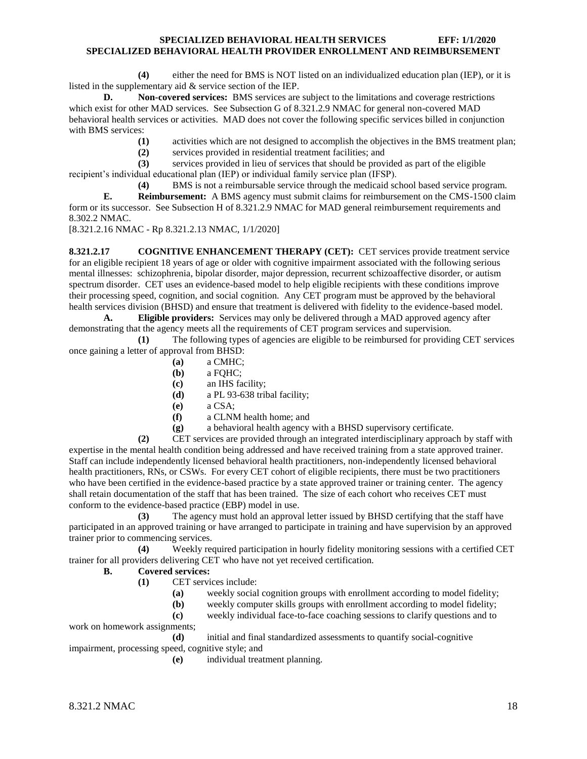**(4)** either the need for BMS is NOT listed on an individualized education plan (IEP), or it is listed in the supplementary aid & service section of the IEP.

**D. Non-covered services:** BMS services are subject to the limitations and coverage restrictions which exist for other MAD services. See Subsection G of 8.321.2.9 NMAC for general non-covered MAD behavioral health services or activities. MAD does not cover the following specific services billed in conjunction with BMS services:

**(1)** activities which are not designed to accomplish the objectives in the BMS treatment plan;

**(2)** services provided in residential treatment facilities; and

**(3)** services provided in lieu of services that should be provided as part of the eligible recipient's individual educational plan (IEP) or individual family service plan (IFSP).

**(4)** BMS is not a reimbursable service through the medicaid school based service program. **E. Reimbursement:** A BMS agency must submit claims for reimbursement on the CMS-1500 claim form or its successor. See Subsection H of 8.321.2.9 NMAC for MAD general reimbursement requirements and 8.302.2 NMAC.

[8.321.2.16 NMAC - Rp 8.321.2.13 NMAC, 1/1/2020]

<span id="page-18-0"></span>**8.321.2.17 COGNITIVE ENHANCEMENT THERAPY (CET):** CET services provide treatment service for an eligible recipient 18 years of age or older with cognitive impairment associated with the following serious mental illnesses: schizophrenia, bipolar disorder, major depression, recurrent schizoaffective disorder, or autism spectrum disorder. CET uses an evidence-based model to help eligible recipients with these conditions improve their processing speed, cognition, and social cognition. Any CET program must be approved by the behavioral health services division (BHSD) and ensure that treatment is delivered with fidelity to the evidence-based model.

**A. Eligible providers:** Services may only be delivered through a MAD approved agency after demonstrating that the agency meets all the requirements of CET program services and supervision.

**(1)** The following types of agencies are eligible to be reimbursed for providing CET services once gaining a letter of approval from BHSD:

- **(a)** a CMHC;
- **(b)** a FQHC;
- **(c)** an IHS facility;
- **(d)** a PL 93-638 tribal facility;
- **(e)** a CSA;
- **(f)** a CLNM health home; and
- **(g)** a behavioral health agency with a BHSD supervisory certificate.

**(2)** CET services are provided through an integrated interdisciplinary approach by staff with expertise in the mental health condition being addressed and have received training from a state approved trainer. Staff can include independently licensed behavioral health practitioners, non-independently licensed behavioral health practitioners, RNs, or CSWs. For every CET cohort of eligible recipients, there must be two practitioners who have been certified in the evidence-based practice by a state approved trainer or training center. The agency shall retain documentation of the staff that has been trained. The size of each cohort who receives CET must conform to the evidence-based practice (EBP) model in use.

**(3)** The agency must hold an approval letter issued by BHSD certifying that the staff have participated in an approved training or have arranged to participate in training and have supervision by an approved trainer prior to commencing services.

**(4)** Weekly required participation in hourly fidelity monitoring sessions with a certified CET trainer for all providers delivering CET who have not yet received certification.

#### **B. Covered services:**

- **(1)** CET services include:
	- **(a)** weekly social cognition groups with enrollment according to model fidelity;
	- **(b)** weekly computer skills groups with enrollment according to model fidelity;

**(c)** weekly individual face-to-face coaching sessions to clarify questions and to work on homework assignments;

**(d)** initial and final standardized assessments to quantify social-cognitive impairment, processing speed, cognitive style; and

**(e)** individual treatment planning.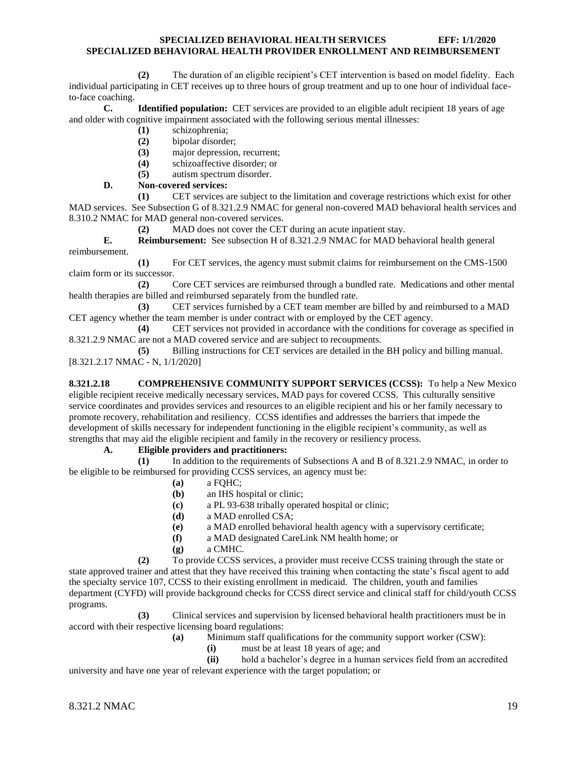**(2)** The duration of an eligible recipient's CET intervention is based on model fidelity. Each individual participating in CET receives up to three hours of group treatment and up to one hour of individual faceto-face coaching.

**C. Identified population:** CET services are provided to an eligible adult recipient 18 years of age and older with cognitive impairment associated with the following serious mental illnesses:

- **(1)** schizophrenia;
- **(2)** bipolar disorder;
- **(3)** major depression, recurrent;
- **(4)** schizoaffective disorder; or
- **(5)** autism spectrum disorder.

# **D. Non-covered services:**

**(1)** CET services are subject to the limitation and coverage restrictions which exist for other MAD services. See Subsection G of 8.321.2.9 NMAC for general non-covered MAD behavioral health services and 8.310.2 NMAC for MAD general non-covered services.

**(2)** MAD does not cover the CET during an acute inpatient stay.

**E. Reimbursement:** See subsection H of 8.321.2.9 NMAC for MAD behavioral health general reimbursement.

**(1)** For CET services, the agency must submit claims for reimbursement on the CMS-1500 claim form or its successor.

**(2)** Core CET services are reimbursed through a bundled rate. Medications and other mental health therapies are billed and reimbursed separately from the bundled rate.

**(3)** CET services furnished by a CET team member are billed by and reimbursed to a MAD CET agency whether the team member is under contract with or employed by the CET agency.

**(4)** CET services not provided in accordance with the conditions for coverage as specified in 8.321.2.9 NMAC are not a MAD covered service and are subject to recoupments.

**(5)** Billing instructions for CET services are detailed in the BH policy and billing manual. [8.321.2.17 NMAC - N, 1/1/2020]

<span id="page-19-0"></span>**8.321.2.18 COMPREHENSIVE COMMUNITY SUPPORT SERVICES (CCSS):** To help a New Mexico eligible recipient receive medically necessary services, MAD pays for covered CCSS. This culturally sensitive service coordinates and provides services and resources to an eligible recipient and his or her family necessary to promote recovery, rehabilitation and resiliency. CCSS identifies and addresses the barriers that impede the development of skills necessary for independent functioning in the eligible recipient's community, as well as strengths that may aid the eligible recipient and family in the recovery or resiliency process.

# **A. Eligible providers and practitioners:**

**(1)** In addition to the requirements of Subsections A and B of 8.321.2.9 NMAC, in order to be eligible to be reimbursed for providing CCSS services, an agency must be:

- **(a)** a FQHC;
- **(b)** an IHS hospital or clinic;
- **(c)** a PL 93-638 tribally operated hospital or clinic;
- **(d)** a MAD enrolled CSA;
- **(e)** a MAD enrolled behavioral health agency with a supervisory certificate;
- **(f)** a MAD designated CareLink NM health home; or
- **(g)** a CMHC.

**(2)** To provide CCSS services, a provider must receive CCSS training through the state or state approved trainer and attest that they have received this training when contacting the state's fiscal agent to add the specialty service 107, CCSS to their existing enrollment in medicaid. The children, youth and families department (CYFD) will provide background checks for CCSS direct service and clinical staff for child/youth CCSS programs.

**(3)** Clinical services and supervision by licensed behavioral health practitioners must be in accord with their respective licensing board regulations:

**(a)** Minimum staff qualifications for the community support worker (CSW):

**(i)** must be at least 18 years of age; and

**(ii)** hold a bachelor's degree in a human services field from an accredited university and have one year of relevant experience with the target population; or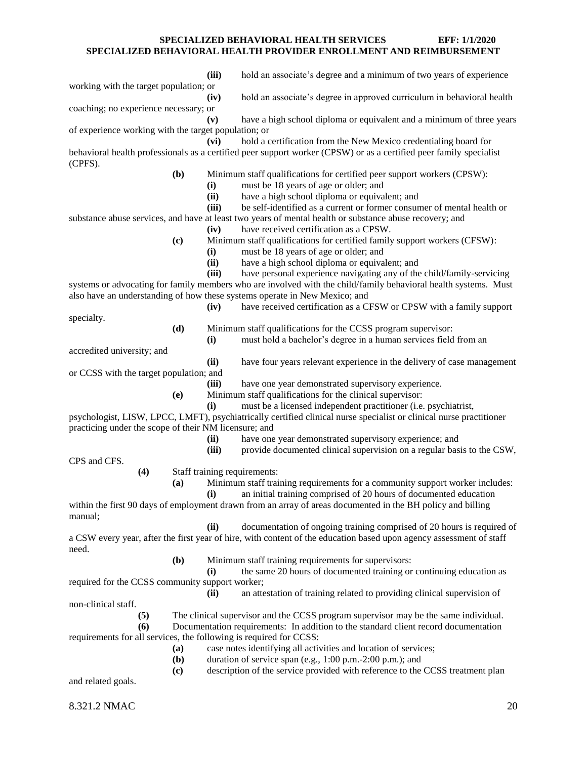**(iii)** hold an associate's degree and a minimum of two years of experience working with the target population; or **(iv)** hold an associate's degree in approved curriculum in behavioral health coaching; no experience necessary; or **(v)** have a high school diploma or equivalent and a minimum of three years of experience working with the target population; or **(vi)** hold a certification from the New Mexico credentialing board for behavioral health professionals as a certified peer support worker (CPSW) or as a certified peer family specialist (CPFS). **(b)** Minimum staff qualifications for certified peer support workers (CPSW): **(i)** must be 18 years of age or older; and **(ii)** have a high school diploma or equivalent; and **(iii)** be self-identified as a current or former consumer of mental health or substance abuse services, and have at least two years of mental health or substance abuse recovery; and **(iv)** have received certification as a CPSW. **(c)** Minimum staff qualifications for certified family support workers (CFSW): **(i)** must be 18 years of age or older; and **(ii)** have a high school diploma or equivalent; and **(iii)** have personal experience navigating any of the child/family-servicing systems or advocating for family members who are involved with the child/family behavioral health systems. Must also have an understanding of how these systems operate in New Mexico; and **(iv)** have received certification as a CFSW or CPSW with a family support specialty. **(d)** Minimum staff qualifications for the CCSS program supervisor: **(i)** must hold a bachelor's degree in a human services field from an accredited university; and **(ii)** have four years relevant experience in the delivery of case management or CCSS with the target population; and **(iii)** have one year demonstrated supervisory experience. **(e)** Minimum staff qualifications for the clinical supervisor: **(i)** must be a licensed independent practitioner (i.e. psychiatrist, psychologist, LISW, LPCC, LMFT), psychiatrically certified clinical nurse specialist or clinical nurse practitioner practicing under the scope of their NM licensure; and **(ii)** have one year demonstrated supervisory experience; and **(iii)** provide documented clinical supervision on a regular basis to the CSW, CPS and CFS. **(4)** Staff training requirements: **(a)** Minimum staff training requirements for a community support worker includes: **(i)** an initial training comprised of 20 hours of documented education within the first 90 days of employment drawn from an array of areas documented in the BH policy and billing manual; **(ii)** documentation of ongoing training comprised of 20 hours is required of a CSW every year, after the first year of hire, with content of the education based upon agency assessment of staff need. **(b)** Minimum staff training requirements for supervisors: **(i)** the same 20 hours of documented training or continuing education as required for the CCSS community support worker; **(ii)** an attestation of training related to providing clinical supervision of non-clinical staff. **(5)** The clinical supervisor and the CCSS program supervisor may be the same individual. **(6)** Documentation requirements: In addition to the standard client record documentation requirements for all services, the following is required for CCSS: **(a)** case notes identifying all activities and location of services; **(b)** duration of service span (e.g., 1:00 p.m.-2:00 p.m.); and **(c)** description of the service provided with reference to the CCSS treatment plan and related goals.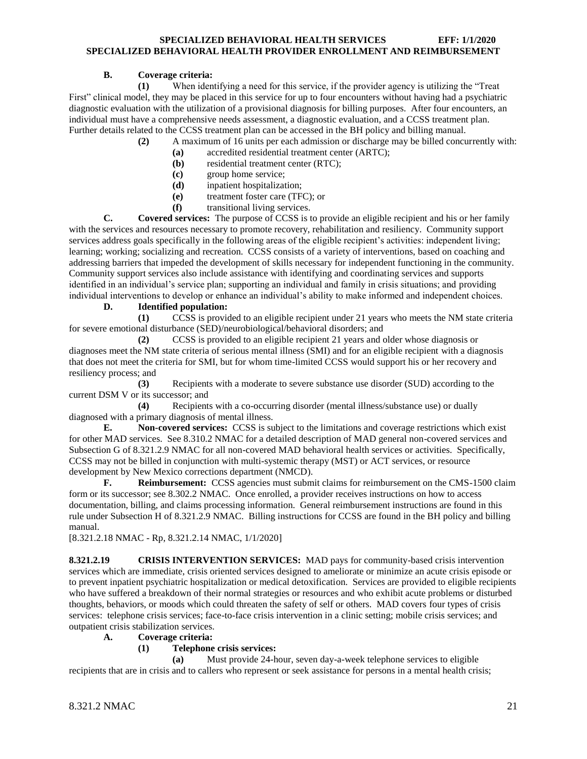# **B. Coverage criteria:**

**(1)** When identifying a need for this service, if the provider agency is utilizing the "Treat First" clinical model, they may be placed in this service for up to four encounters without having had a psychiatric diagnostic evaluation with the utilization of a provisional diagnosis for billing purposes. After four encounters, an individual must have a comprehensive needs assessment, a diagnostic evaluation, and a CCSS treatment plan. Further details related to the CCSS treatment plan can be accessed in the BH policy and billing manual.

- **(2)** A maximum of 16 units per each admission or discharge may be billed concurrently with:
	- **(a)** accredited residential treatment center (ARTC);
	- **(b)** residential treatment center (RTC);
	- **(c)** group home service;
	- **(d)** inpatient hospitalization;
	- **(e)** treatment foster care (TFC); or
	- **(f)** transitional living services.

**C. Covered services:** The purpose of CCSS is to provide an eligible recipient and his or her family with the services and resources necessary to promote recovery, rehabilitation and resiliency. Community support services address goals specifically in the following areas of the eligible recipient's activities: independent living; learning; working; socializing and recreation. CCSS consists of a variety of interventions, based on coaching and addressing barriers that impeded the development of skills necessary for independent functioning in the community. Community support services also include assistance with identifying and coordinating services and supports identified in an individual's service plan; supporting an individual and family in crisis situations; and providing individual interventions to develop or enhance an individual's ability to make informed and independent choices.

# **D. Identified population:**

**(1)** CCSS is provided to an eligible recipient under 21 years who meets the NM state criteria for severe emotional disturbance (SED)/neurobiological/behavioral disorders; and

**(2)** CCSS is provided to an eligible recipient 21 years and older whose diagnosis or diagnoses meet the NM state criteria of serious mental illness (SMI) and for an eligible recipient with a diagnosis that does not meet the criteria for SMI, but for whom time-limited CCSS would support his or her recovery and resiliency process; and

**(3)** Recipients with a moderate to severe substance use disorder (SUD) according to the current DSM V or its successor; and

**(4)** Recipients with a co-occurring disorder (mental illness/substance use) or dually diagnosed with a primary diagnosis of mental illness.

**E. Non-covered services:** CCSS is subject to the limitations and coverage restrictions which exist for other MAD services. See 8.310.2 NMAC for a detailed description of MAD general non-covered services and Subsection G of 8.321.2.9 NMAC for all non-covered MAD behavioral health services or activities. Specifically, CCSS may not be billed in conjunction with multi-systemic therapy (MST) or ACT services, or resource development by New Mexico corrections department (NMCD).

**F. Reimbursement:** CCSS agencies must submit claims for reimbursement on the CMS-1500 claim form or its successor; see 8.302.2 NMAC. Once enrolled, a provider receives instructions on how to access documentation, billing, and claims processing information. General reimbursement instructions are found in this rule under Subsection H of 8.321.2.9 NMAC. Billing instructions for CCSS are found in the BH policy and billing manual.

[8.321.2.18 NMAC - Rp, 8.321.2.14 NMAC, 1/1/2020]

<span id="page-21-0"></span>**8.321.2.19 CRISIS INTERVENTION SERVICES:** MAD pays for community-based crisis intervention services which are immediate, crisis oriented services designed to ameliorate or minimize an acute crisis episode or to prevent inpatient psychiatric hospitalization or medical detoxification. Services are provided to eligible recipients who have suffered a breakdown of their normal strategies or resources and who exhibit acute problems or disturbed thoughts, behaviors, or moods which could threaten the safety of self or others. MAD covers four types of crisis services: telephone crisis services; face-to-face crisis intervention in a clinic setting; mobile crisis services; and outpatient crisis stabilization services.

# **A. Coverage criteria:**

# **(1) Telephone crisis services:**

**(a)** Must provide 24-hour, seven day-a-week telephone services to eligible recipients that are in crisis and to callers who represent or seek assistance for persons in a mental health crisis;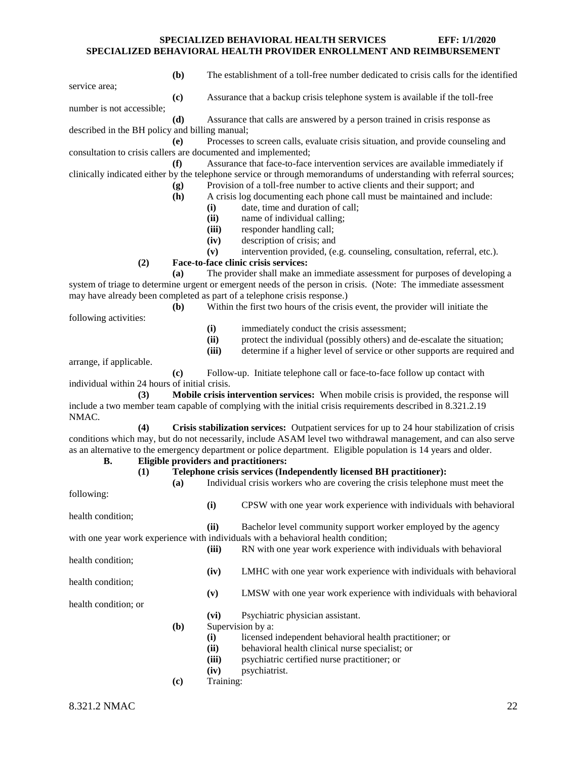**(b)** The establishment of a toll-free number dedicated to crisis calls for the identified

service area;

**(c)** Assurance that a backup crisis telephone system is available if the toll-free

number is not accessible;

**(d)** Assurance that calls are answered by a person trained in crisis response as described in the BH policy and billing manual;

**(e)** Processes to screen calls, evaluate crisis situation, and provide counseling and consultation to crisis callers are documented and implemented;

**(f)** Assurance that face-to-face intervention services are available immediately if clinically indicated either by the telephone service or through memorandums of understanding with referral sources; **(g)** Provision of a toll-free number to active clients and their support; and

- **(h)** A crisis log documenting each phone call must be maintained and include:
	- **(i)** date, time and duration of call;
	- **(ii)** name of individual calling;
	- **(iii)** responder handling call;
	- **(iv)** description of crisis; and
	- **(v)** intervention provided, (e.g. counseling, consultation, referral, etc.).

#### **(2) Face-to-face clinic crisis services:**

**(a)** The provider shall make an immediate assessment for purposes of developing a system of triage to determine urgent or emergent needs of the person in crisis. (Note: The immediate assessment may have already been completed as part of a telephone crisis response.)

**(b)** Within the first two hours of the crisis event, the provider will initiate the

following activities:

**(i)** immediately conduct the crisis assessment;

**(ii)** protect the individual (possibly others) and de-escalate the situation;

**(iii)** determine if a higher level of service or other supports are required and

arrange, if applicable.

**(c)** Follow-up. Initiate telephone call or face-to-face follow up contact with individual within 24 hours of initial crisis.

**(3) Mobile crisis intervention services:** When mobile crisis is provided, the response will include a two member team capable of complying with the initial crisis requirements described in 8.321.2.19 NMAC.

**(4) Crisis stabilization services:** Outpatient services for up to 24 hour stabilization of crisis conditions which may, but do not necessarily, include ASAM level two withdrawal management, and can also serve as an alternative to the emergency department or police department. Eligible population is 14 years and older.

# **B. Eligible providers and practitioners:**

## **(1) Telephone crisis services (Independently licensed BH practitioner):**

**(a)** Individual crisis workers who are covering the crisis telephone must meet the

following: health condition;

**(ii)** Bachelor level community support worker employed by the agency with one year work experience with individuals with a behavioral health condition;

health condition;

**(iv)** LMHC with one year work experience with individuals with behavioral

**(v)** LMSW with one year work experience with individuals with behavioral

**(iii)** RN with one year work experience with individuals with behavioral

**(i)** CPSW with one year work experience with individuals with behavioral

health condition;

health condition; or

- **(vi)** Psychiatric physician assistant.
- **(b)** Supervision by a:
	- **(i)** licensed independent behavioral health practitioner; or
	- **(ii)** behavioral health clinical nurse specialist; or
	- **(iii)** psychiatric certified nurse practitioner; or
	- **(iv)** psychiatrist.
- **(c)** Training: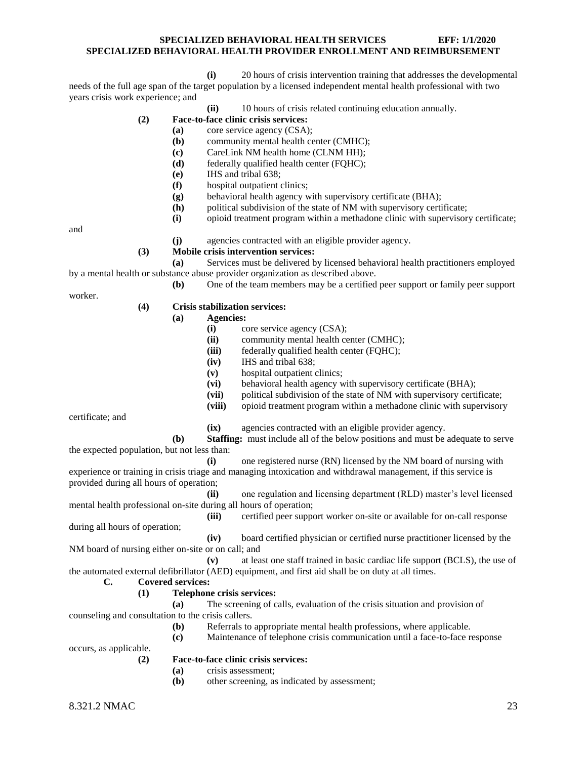**(i)** 20 hours of crisis intervention training that addresses the developmental

needs of the full age span of the target population by a licensed independent mental health professional with two years crisis work experience; and

**(ii)** 10 hours of crisis related continuing education annually.

# **(2) Face-to-face clinic crisis services:**

- **(a)** core service agency (CSA);
- **(b)** community mental health center (CMHC);
- **(c)** CareLink NM health home (CLNM HH);
- **(d)** federally qualified health center (FQHC);
- **(e)** IHS and tribal 638;
- **(f)** hospital outpatient clinics;
- **(g)** behavioral health agency with supervisory certificate (BHA);
- **(h)** political subdivision of the state of NM with supervisory certificate;
- **(i)** opioid treatment program within a methadone clinic with supervisory certificate;

and

- **(j)** agencies contracted with an eligible provider agency.
- **(3) Mobile crisis intervention services:**

**(a)** Services must be delivered by licensed behavioral health practitioners employed by a mental health or substance abuse provider organization as described above. **(b)** One of the team members may be a certified peer support or family peer support

worker.

#### **(4) Crisis stabilization services:**

- **(a) Agencies:**
	- **(i)** core service agency (CSA);
	- **(ii)** community mental health center (CMHC);
	- **(iii)** federally qualified health center (FQHC);
	- **(iv)** IHS and tribal 638;
	- **(v)** hospital outpatient clinics;
	- **(vi)** behavioral health agency with supervisory certificate (BHA);
	- **(vii)** political subdivision of the state of NM with supervisory certificate;
	- **(viii)** opioid treatment program within a methadone clinic with supervisory

certificate; and

**(ix)** agencies contracted with an eligible provider agency.

**(b) Staffing:** must include all of the below positions and must be adequate to serve the expected population, but not less than:

**(i)** one registered nurse (RN) licensed by the NM board of nursing with experience or training in crisis triage and managing intoxication and withdrawal management, if this service is provided during all hours of operation;

**(ii)** one regulation and licensing department (RLD) master's level licensed mental health professional on-site during all hours of operation;

**(iii)** certified peer support worker on-site or available for on-call response during all hours of operation;

**(iv)** board certified physician or certified nurse practitioner licensed by the NM board of nursing either on-site or on call; and

**(v)** at least one staff trained in basic cardiac life support (BCLS), the use of the automated external defibrillator (AED) equipment, and first aid shall be on duty at all times.

# **C. Covered services:**

#### **(1) Telephone crisis services:**

**(a)** The screening of calls, evaluation of the crisis situation and provision of counseling and consultation to the crisis callers.

**(b)** Referrals to appropriate mental health professions, where applicable.

**(c)** Maintenance of telephone crisis communication until a face-to-face response

occurs, as applicable.

#### **(2) Face-to-face clinic crisis services:**

- **(a)** crisis assessment;
- **(b)** other screening, as indicated by assessment;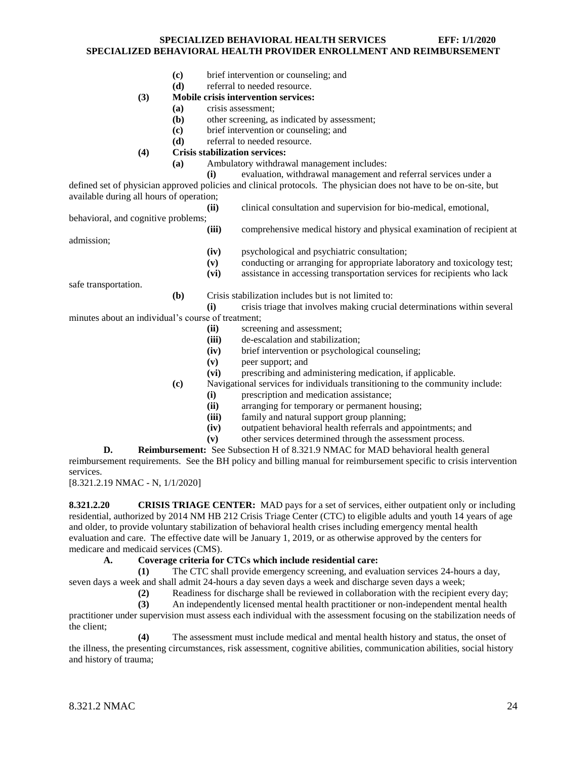- **(c)** brief intervention or counseling; and
- **(d)** referral to needed resource.

#### **(3) Mobile crisis intervention services:**

- **(a)** crisis assessment;
- **(b)** other screening, as indicated by assessment;
- **(c)** brief intervention or counseling; and
- **(d)** referral to needed resource.

# **(4) Crisis stabilization services:**

**(a)** Ambulatory withdrawal management includes:

**(i)** evaluation, withdrawal management and referral services under a defined set of physician approved policies and clinical protocols. The physician does not have to be on-site, but available during all hours of operation;

**(ii)** clinical consultation and supervision for bio-medical, emotional, behavioral, and cognitive problems; **(iii)** comprehensive medical history and physical examination of recipient at admission; **(iv)** psychological and psychiatric consultation; **(v)** conducting or arranging for appropriate laboratory and toxicology test; **(vi)** assistance in accessing transportation services for recipients who lack safe transportation.

**(b)** Crisis stabilization includes but is not limited to:

- **(i)** crisis triage that involves making crucial determinations within several minutes about an individual's course of treatment;
	- **(ii)** screening and assessment;
	- **(iii)** de-escalation and stabilization;
	- **(iv)** brief intervention or psychological counseling;
	- **(v)** peer support; and
	- **(vi)** prescribing and administering medication, if applicable.
	- **(c)** Navigational services for individuals transitioning to the community include:
		- **(i)** prescription and medication assistance;
		- **(ii)** arranging for temporary or permanent housing;
		- **(iii)** family and natural support group planning;
		- **(iv)** outpatient behavioral health referrals and appointments; and
		- **(v)** other services determined through the assessment process.

**D. Reimbursement:** See Subsection H of 8.321.9 NMAC for MAD behavioral health general reimbursement requirements. See the BH policy and billing manual for reimbursement specific to crisis intervention services.

[8.321.2.19 NMAC - N, 1/1/2020]

<span id="page-24-0"></span>**8.321.2.20 CRISIS TRIAGE CENTER:** MAD pays for a set of services, either outpatient only or including residential, authorized by 2014 NM HB 212 Crisis Triage Center (CTC) to eligible adults and youth 14 years of age and older, to provide voluntary stabilization of behavioral health crises including emergency mental health evaluation and care. The effective date will be January 1, 2019, or as otherwise approved by the centers for medicare and medicaid services (CMS).

#### **A. Coverage criteria for CTCs which include residential care:**

**(1)** The CTC shall provide emergency screening, and evaluation services 24-hours a day, seven days a week and shall admit 24-hours a day seven days a week and discharge seven days a week;

**(2)** Readiness for discharge shall be reviewed in collaboration with the recipient every day;

**(3)** An independently licensed mental health practitioner or non-independent mental health practitioner under supervision must assess each individual with the assessment focusing on the stabilization needs of the client;

**(4)** The assessment must include medical and mental health history and status, the onset of the illness, the presenting circumstances, risk assessment, cognitive abilities, communication abilities, social history and history of trauma;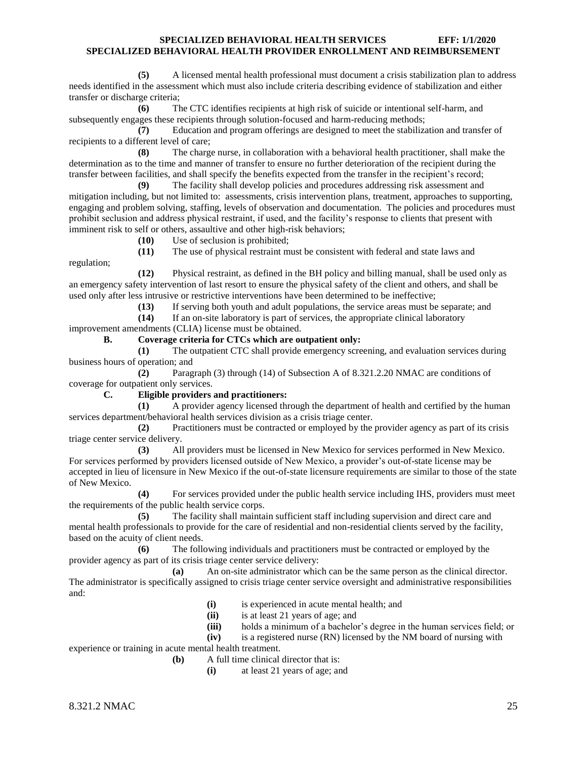**(5)** A licensed mental health professional must document a crisis stabilization plan to address needs identified in the assessment which must also include criteria describing evidence of stabilization and either transfer or discharge criteria;

**(6)** The CTC identifies recipients at high risk of suicide or intentional self-harm, and subsequently engages these recipients through solution-focused and harm-reducing methods;

**(7)** Education and program offerings are designed to meet the stabilization and transfer of recipients to a different level of care;

**(8)** The charge nurse, in collaboration with a behavioral health practitioner, shall make the determination as to the time and manner of transfer to ensure no further deterioration of the recipient during the transfer between facilities, and shall specify the benefits expected from the transfer in the recipient's record;

**(9)** The facility shall develop policies and procedures addressing risk assessment and mitigation including, but not limited to: assessments, crisis intervention plans, treatment, approaches to supporting, engaging and problem solving, staffing, levels of observation and documentation. The policies and procedures must prohibit seclusion and address physical restraint, if used, and the facility's response to clients that present with imminent risk to self or others, assaultive and other high-risk behaviors;

**(10)** Use of seclusion is prohibited;

**(11)** The use of physical restraint must be consistent with federal and state laws and

regulation;

**(12)** Physical restraint, as defined in the BH policy and billing manual, shall be used only as an emergency safety intervention of last resort to ensure the physical safety of the client and others, and shall be used only after less intrusive or restrictive interventions have been determined to be ineffective;

**(13)** If serving both youth and adult populations, the service areas must be separate; and

**(14)** If an on-site laboratory is part of services, the appropriate clinical laboratory

improvement amendments (CLIA) license must be obtained.

# **B. Coverage criteria for CTCs which are outpatient only:**

**(1)** The outpatient CTC shall provide emergency screening, and evaluation services during business hours of operation; and

**(2)** Paragraph (3) through (14) of Subsection A of 8.321.2.20 NMAC are conditions of coverage for outpatient only services.

#### **C. Eligible providers and practitioners:**

**(1)** A provider agency licensed through the department of health and certified by the human services department/behavioral health services division as a crisis triage center.

**(2)** Practitioners must be contracted or employed by the provider agency as part of its crisis triage center service delivery.

**(3)** All providers must be licensed in New Mexico for services performed in New Mexico. For services performed by providers licensed outside of New Mexico, a provider's out-of-state license may be accepted in lieu of licensure in New Mexico if the out-of-state licensure requirements are similar to those of the state of New Mexico.

**(4)** For services provided under the public health service including IHS, providers must meet the requirements of the public health service corps.

**(5)** The facility shall maintain sufficient staff including supervision and direct care and mental health professionals to provide for the care of residential and non-residential clients served by the facility, based on the acuity of client needs.

**(6)** The following individuals and practitioners must be contracted or employed by the provider agency as part of its crisis triage center service delivery:

**(a)** An on-site administrator which can be the same person as the clinical director. The administrator is specifically assigned to crisis triage center service oversight and administrative responsibilities and:

- **(i)** is experienced in acute mental health; and
- **(ii)** is at least 21 years of age; and
- **(iii)** holds a minimum of a bachelor's degree in the human services field; or

**(iv)** is a registered nurse (RN) licensed by the NM board of nursing with

experience or training in acute mental health treatment.

**(b)** A full time clinical director that is:

**(i)** at least 21 years of age; and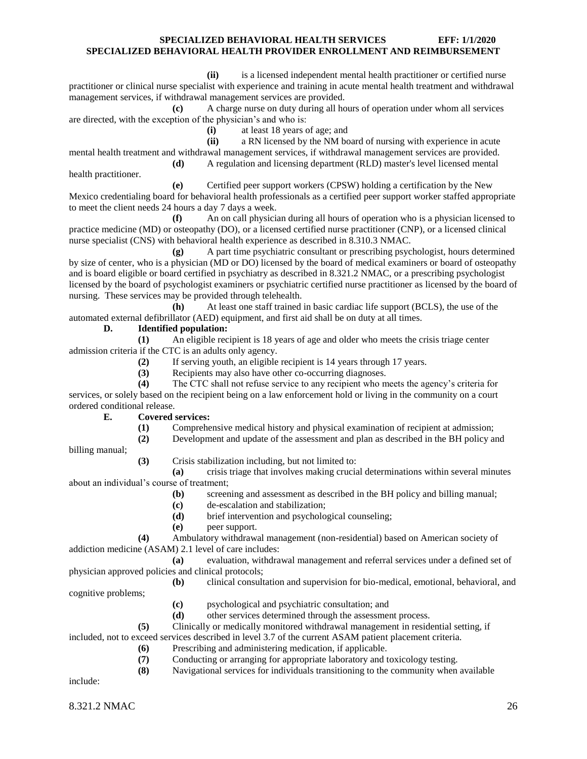**(ii)** is a licensed independent mental health practitioner or certified nurse practitioner or clinical nurse specialist with experience and training in acute mental health treatment and withdrawal management services, if withdrawal management services are provided.

**(c)** A charge nurse on duty during all hours of operation under whom all services are directed, with the exception of the physician's and who is:

**(i)** at least 18 years of age; and

**(ii)** a RN licensed by the NM board of nursing with experience in acute mental health treatment and withdrawal management services, if withdrawal management services are provided.

**(d)** A regulation and licensing department (RLD) master's level licensed mental

health practitioner.

**(e)** Certified peer support workers (CPSW) holding a certification by the New

Mexico credentialing board for behavioral health professionals as a certified peer support worker staffed appropriate to meet the client needs 24 hours a day 7 days a week.

**(f)** An on call physician during all hours of operation who is a physician licensed to practice medicine (MD) or osteopathy (DO), or a licensed certified nurse practitioner (CNP), or a licensed clinical nurse specialist (CNS) with behavioral health experience as described in 8.310.3 NMAC.

**(g)** A part time psychiatric consultant or prescribing psychologist, hours determined by size of center, who is a physician (MD or DO) licensed by the board of medical examiners or board of osteopathy and is board eligible or board certified in psychiatry as described in 8.321.2 NMAC, or a prescribing psychologist licensed by the board of psychologist examiners or psychiatric certified nurse practitioner as licensed by the board of nursing. These services may be provided through telehealth.

**(h)** At least one staff trained in basic cardiac life support (BCLS), the use of the automated external defibrillator (AED) equipment, and first aid shall be on duty at all times.

# **D. Identified population:**

**(1)** An eligible recipient is 18 years of age and older who meets the crisis triage center admission criteria if the CTC is an adults only agency.

**(2)** If serving youth, an eligible recipient is 14 years through 17 years.

**(3)** Recipients may also have other co-occurring diagnoses.

**(4)** The CTC shall not refuse service to any recipient who meets the agency's criteria for services, or solely based on the recipient being on a law enforcement hold or living in the community on a court ordered conditional release.

#### **E. Covered services:**

- **(1)** Comprehensive medical history and physical examination of recipient at admission;
- **(2)** Development and update of the assessment and plan as described in the BH policy and

billing manual;

**(3)** Crisis stabilization including, but not limited to:

**(a)** crisis triage that involves making crucial determinations within several minutes about an individual's course of treatment;

- **(b)** screening and assessment as described in the BH policy and billing manual;
- **(c)** de-escalation and stabilization;
- **(d)** brief intervention and psychological counseling;
- **(e)** peer support.

**(4)** Ambulatory withdrawal management (non-residential) based on American society of addiction medicine (ASAM) 2.1 level of care includes:

**(a)** evaluation, withdrawal management and referral services under a defined set of physician approved policies and clinical protocols;

**(b)** clinical consultation and supervision for bio-medical, emotional, behavioral, and cognitive problems;

- **(c)** psychological and psychiatric consultation; and
- **(d)** other services determined through the assessment process.
- **(5)** Clinically or medically monitored withdrawal management in residential setting, if

included, not to exceed services described in level 3.7 of the current ASAM patient placement criteria.

- **(6)** Prescribing and administering medication, if applicable.
- **(7)** Conducting or arranging for appropriate laboratory and toxicology testing.
- **(8)** Navigational services for individuals transitioning to the community when available

include: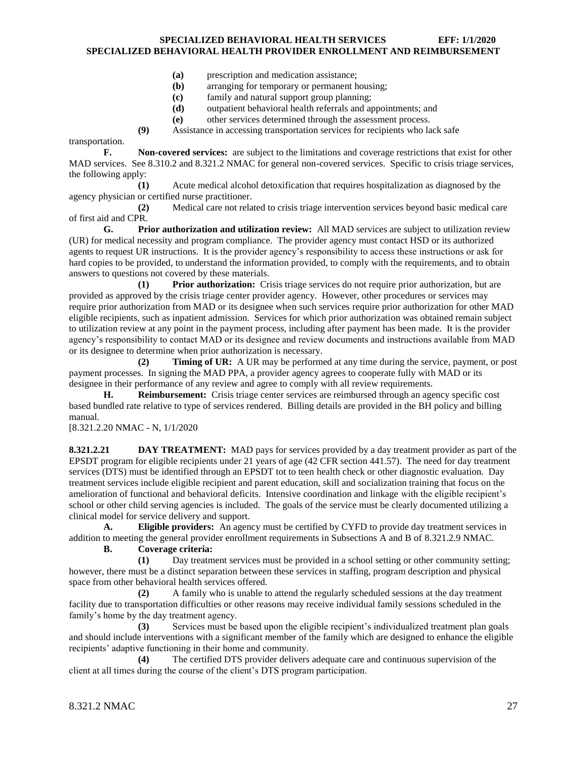- **(a)** prescription and medication assistance;
- **(b)** arranging for temporary or permanent housing;
- **(c)** family and natural support group planning;
- **(d)** outpatient behavioral health referrals and appointments; and
- **(e)** other services determined through the assessment process.
- **(9)** Assistance in accessing transportation services for recipients who lack safe

transportation.

**F. Non-covered services:** are subject to the limitations and coverage restrictions that exist for other MAD services. See 8.310.2 and 8.321.2 NMAC for general non-covered services. Specific to crisis triage services, the following apply:

**(1)** Acute medical alcohol detoxification that requires hospitalization as diagnosed by the agency physician or certified nurse practitioner.

**(2)** Medical care not related to crisis triage intervention services beyond basic medical care of first aid and CPR.

**G. Prior authorization and utilization review:** All MAD services are subject to utilization review (UR) for medical necessity and program compliance. The provider agency must contact HSD or its authorized agents to request UR instructions. It is the provider agency's responsibility to access these instructions or ask for hard copies to be provided, to understand the information provided, to comply with the requirements, and to obtain answers to questions not covered by these materials.

**(1) Prior authorization:** Crisis triage services do not require prior authorization, but are provided as approved by the crisis triage center provider agency. However, other procedures or services may require prior authorization from MAD or its designee when such services require prior authorization for other MAD eligible recipients, such as inpatient admission. Services for which prior authorization was obtained remain subject to utilization review at any point in the payment process, including after payment has been made. It is the provider agency's responsibility to contact MAD or its designee and review documents and instructions available from MAD or its designee to determine when prior authorization is necessary.

**(2) Timing of UR:** A UR may be performed at any time during the service, payment, or post payment processes. In signing the MAD PPA, a provider agency agrees to cooperate fully with MAD or its designee in their performance of any review and agree to comply with all review requirements.

**H. Reimbursement:** Crisis triage center services are reimbursed through an agency specific cost based bundled rate relative to type of services rendered. Billing details are provided in the BH policy and billing manual.

[8.321.2.20 NMAC - N, 1/1/2020

<span id="page-27-0"></span>**8.321.2.21 DAY TREATMENT:** MAD pays for services provided by a day treatment provider as part of the EPSDT program for eligible recipients under 21 years of age (42 CFR section 441.57). The need for day treatment services (DTS) must be identified through an EPSDT tot to teen health check or other diagnostic evaluation. Day treatment services include eligible recipient and parent education, skill and socialization training that focus on the amelioration of functional and behavioral deficits. Intensive coordination and linkage with the eligible recipient's school or other child serving agencies is included. The goals of the service must be clearly documented utilizing a clinical model for service delivery and support.

**A. Eligible providers:** An agency must be certified by CYFD to provide day treatment services in addition to meeting the general provider enrollment requirements in Subsections A and B of 8.321.2.9 NMAC.

**B. Coverage criteria:**

**(1)** Day treatment services must be provided in a school setting or other community setting; however, there must be a distinct separation between these services in staffing, program description and physical space from other behavioral health services offered.

**(2)** A family who is unable to attend the regularly scheduled sessions at the day treatment facility due to transportation difficulties or other reasons may receive individual family sessions scheduled in the family's home by the day treatment agency.

**(3)** Services must be based upon the eligible recipient's individualized treatment plan goals and should include interventions with a significant member of the family which are designed to enhance the eligible recipients' adaptive functioning in their home and community.

**(4)** The certified DTS provider delivers adequate care and continuous supervision of the client at all times during the course of the client's DTS program participation.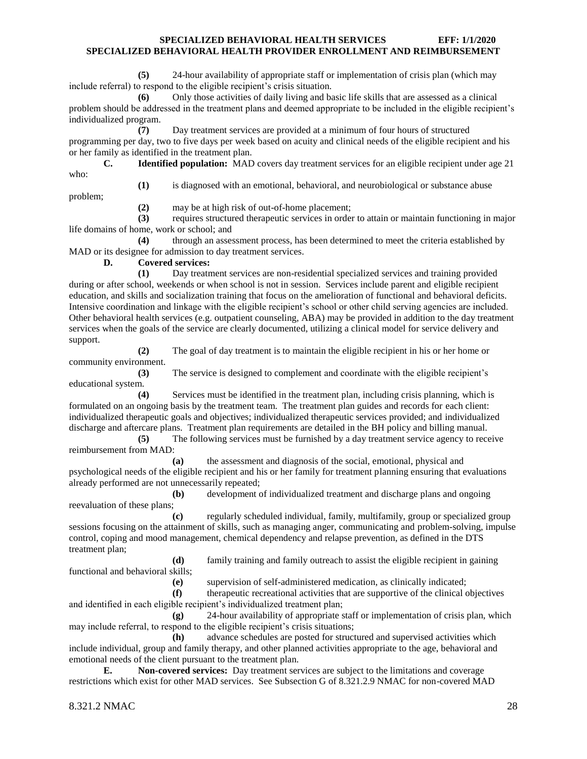**(5)** 24-hour availability of appropriate staff or implementation of crisis plan (which may include referral) to respond to the eligible recipient's crisis situation.

**(6)** Only those activities of daily living and basic life skills that are assessed as a clinical problem should be addressed in the treatment plans and deemed appropriate to be included in the eligible recipient's individualized program.

**(7)** Day treatment services are provided at a minimum of four hours of structured programming per day, two to five days per week based on acuity and clinical needs of the eligible recipient and his or her family as identified in the treatment plan.

**C. Identified population:** MAD covers day treatment services for an eligible recipient under age 21 who:

**(1)** is diagnosed with an emotional, behavioral, and neurobiological or substance abuse

problem;

**(2)** may be at high risk of out-of-home placement;

**(3)** requires structured therapeutic services in order to attain or maintain functioning in major life domains of home, work or school; and

**(4)** through an assessment process, has been determined to meet the criteria established by MAD or its designee for admission to day treatment services.

**D. Covered services:**

**(1)** Day treatment services are non-residential specialized services and training provided during or after school, weekends or when school is not in session. Services include parent and eligible recipient education, and skills and socialization training that focus on the amelioration of functional and behavioral deficits. Intensive coordination and linkage with the eligible recipient's school or other child serving agencies are included. Other behavioral health services (e.g. outpatient counseling, ABA) may be provided in addition to the day treatment services when the goals of the service are clearly documented, utilizing a clinical model for service delivery and support.

**(2)** The goal of day treatment is to maintain the eligible recipient in his or her home or community environment.

**(3)** The service is designed to complement and coordinate with the eligible recipient's educational system.

**(4)** Services must be identified in the treatment plan, including crisis planning, which is formulated on an ongoing basis by the treatment team. The treatment plan guides and records for each client: individualized therapeutic goals and objectives; individualized therapeutic services provided; and individualized discharge and aftercare plans. Treatment plan requirements are detailed in the BH policy and billing manual.

**(5)** The following services must be furnished by a day treatment service agency to receive reimbursement from MAD:

**(a)** the assessment and diagnosis of the social, emotional, physical and psychological needs of the eligible recipient and his or her family for treatment planning ensuring that evaluations already performed are not unnecessarily repeated;

**(b)** development of individualized treatment and discharge plans and ongoing reevaluation of these plans;

**(c)** regularly scheduled individual, family, multifamily, group or specialized group sessions focusing on the attainment of skills, such as managing anger, communicating and problem-solving, impulse control, coping and mood management, chemical dependency and relapse prevention, as defined in the DTS treatment plan;

**(d)** family training and family outreach to assist the eligible recipient in gaining functional and behavioral skills;

**(e)** supervision of self-administered medication, as clinically indicated;

**(f)** therapeutic recreational activities that are supportive of the clinical objectives and identified in each eligible recipient's individualized treatment plan;

**(g)** 24-hour availability of appropriate staff or implementation of crisis plan, which may include referral, to respond to the eligible recipient's crisis situations;

**(h)** advance schedules are posted for structured and supervised activities which include individual, group and family therapy, and other planned activities appropriate to the age, behavioral and emotional needs of the client pursuant to the treatment plan.

**E. Non-covered services:** Day treatment services are subject to the limitations and coverage restrictions which exist for other MAD services. See Subsection G of 8.321.2.9 NMAC for non-covered MAD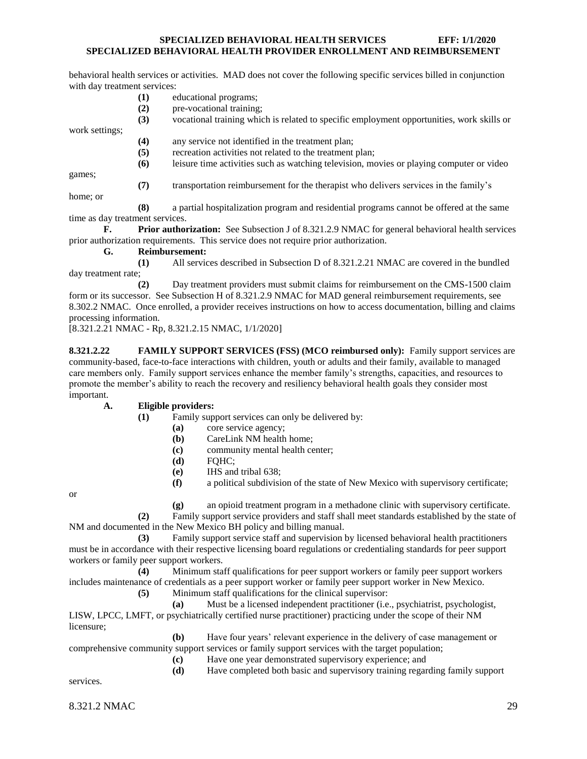behavioral health services or activities. MAD does not cover the following specific services billed in conjunction with day treatment services:

- **(1)** educational programs;
- **(2)** pre-vocational training;

**(3)** vocational training which is related to specific employment opportunities, work skills or work settings;

**(4)** any service not identified in the treatment plan;

**(5)** recreation activities not related to the treatment plan;

**(6)** leisure time activities such as watching television, movies or playing computer or video

games;

**(7)** transportation reimbursement for the therapist who delivers services in the family's

home; or

**(8)** a partial hospitalization program and residential programs cannot be offered at the same time as day treatment services.

**F. Prior authorization:** See Subsection J of 8.321.2.9 NMAC for general behavioral health services prior authorization requirements. This service does not require prior authorization.

**G. Reimbursement:**

**(1)** All services described in Subsection D of 8.321.2.21 NMAC are covered in the bundled day treatment rate;

**(2)** Day treatment providers must submit claims for reimbursement on the CMS-1500 claim form or its successor. See Subsection H of 8.321.2.9 NMAC for MAD general reimbursement requirements, see 8.302.2 NMAC. Once enrolled, a provider receives instructions on how to access documentation, billing and claims processing information.

[8.321.2.21 NMAC - Rp, 8.321.2.15 NMAC, 1/1/2020]

**8.321.2.22 FAMILY SUPPORT SERVICES (FSS) (MCO reimbursed only):** Family support services are community-based, face-to-face interactions with children, youth or adults and their family, available to managed care members only. Family support services enhance the member family's strengths, capacities, and resources to promote the member's ability to reach the recovery and resiliency behavioral health goals they consider most important.

#### **A. Eligible providers:**

- **(1)** Family support services can only be delivered by:
	- **(a)** core service agency;
	- **(b)** CareLink NM health home;
	- **(c)** community mental health center;
	- **(d)** FQHC;
	- **(e)** IHS and tribal 638;
	- **(f)** a political subdivision of the state of New Mexico with supervisory certificate;

or

**(g)** an opioid treatment program in a methadone clinic with supervisory certificate.

**(2)** Family support service providers and staff shall meet standards established by the state of NM and documented in the New Mexico BH policy and billing manual.

**(3)** Family support service staff and supervision by licensed behavioral health practitioners must be in accordance with their respective licensing board regulations or credentialing standards for peer support workers or family peer support workers.

**(4)** Minimum staff qualifications for peer support workers or family peer support workers includes maintenance of credentials as a peer support worker or family peer support worker in New Mexico.

**(5)** Minimum staff qualifications for the clinical supervisor:

**(a)** Must be a licensed independent practitioner (i.e., psychiatrist, psychologist, LISW, LPCC, LMFT, or psychiatrically certified nurse practitioner) practicing under the scope of their NM licensure;

**(b)** Have four years' relevant experience in the delivery of case management or comprehensive community support services or family support services with the target population;

**(c)** Have one year demonstrated supervisory experience; and

**(d)** Have completed both basic and supervisory training regarding family support

services.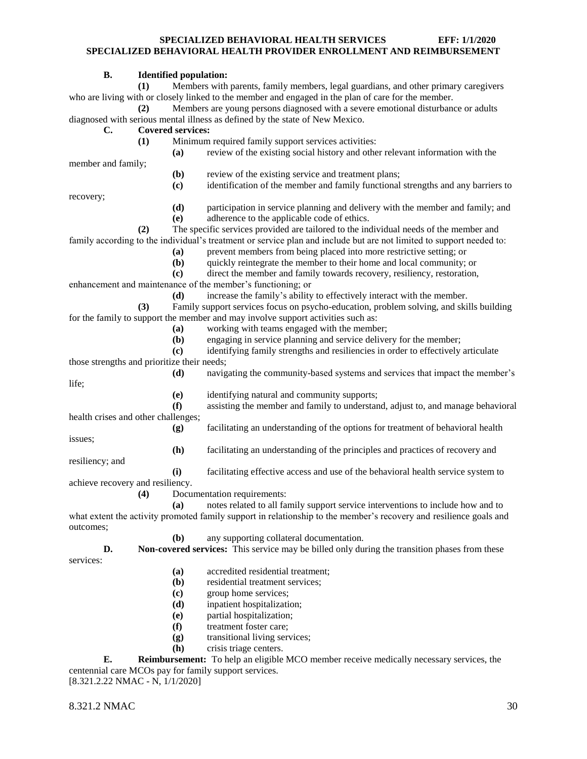#### **B. Identified population:**

**(1)** Members with parents, family members, legal guardians, and other primary caregivers who are living with or closely linked to the member and engaged in the plan of care for the member.

**(2)** Members are young persons diagnosed with a severe emotional disturbance or adults diagnosed with serious mental illness as defined by the state of New Mexico.

#### **C. Covered services:**

**(1)** Minimum required family support services activities:

**(a)** review of the existing social history and other relevant information with the

member and family;

- **(b)** review of the existing service and treatment plans;
- **(c)** identification of the member and family functional strengths and any barriers to

recovery;

- **(d)** participation in service planning and delivery with the member and family; and
	- **(e)** adherence to the applicable code of ethics.

**(2)** The specific services provided are tailored to the individual needs of the member and family according to the individual's treatment or service plan and include but are not limited to support needed to:

- **(a)** prevent members from being placed into more restrictive setting; or
- **(b)** quickly reintegrate the member to their home and local community; or

**(c)** direct the member and family towards recovery, resiliency, restoration,

enhancement and maintenance of the member's functioning; or

**(d)** increase the family's ability to effectively interact with the member. **(3)** Family support services focus on psycho-education, problem solving, and skills building for the family to support the member and may involve support activities such as:

- **(a)** working with teams engaged with the member;
- **(b)** engaging in service planning and service delivery for the member;
- **(c)** identifying family strengths and resiliencies in order to effectively articulate

those strengths and prioritize their needs;

**(d)** navigating the community-based systems and services that impact the member's life;

**(e)** identifying natural and community supports;

**(f)** assisting the member and family to understand, adjust to, and manage behavioral health crises and other challenges;

**(g)** facilitating an understanding of the options for treatment of behavioral health

issues;

**(h)** facilitating an understanding of the principles and practices of recovery and

resiliency; and

**(i)** facilitating effective access and use of the behavioral health service system to

achieve recovery and resiliency.

**(4)** Documentation requirements:

**(a)** notes related to all family support service interventions to include how and to what extent the activity promoted family support in relationship to the member's recovery and resilience goals and outcomes;

**(b)** any supporting collateral documentation.

**D. Non-covered services:** This service may be billed only during the transition phases from these services:

- **(a)** accredited residential treatment;
- **(b)** residential treatment services;
- **(c)** group home services;
- **(d)** inpatient hospitalization;
- **(e)** partial hospitalization;
- **(f)** treatment foster care;
- **(g)** transitional living services;
- **(h)** crisis triage centers.

**E. Reimbursement:** To help an eligible MCO member receive medically necessary services, the centennial care MCOs pay for family support services. [8.321.2.22 NMAC - N, 1/1/2020]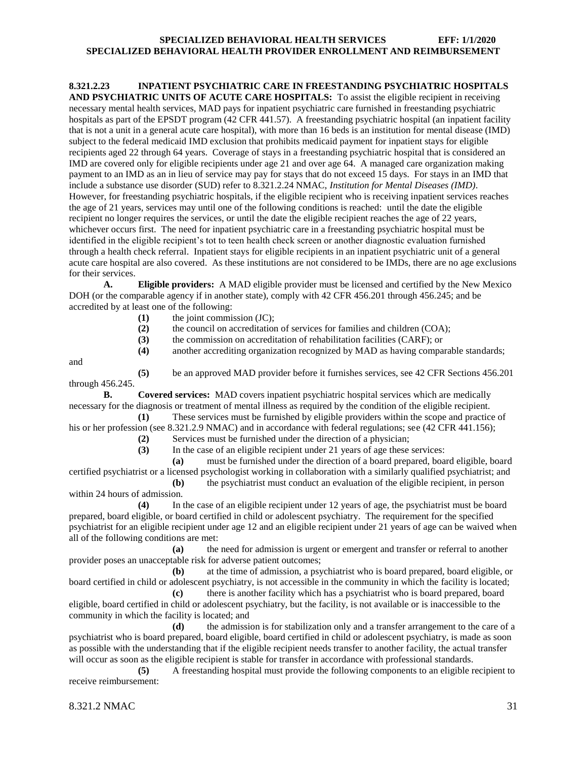<span id="page-31-0"></span>**8.321.2.23 INPATIENT PSYCHIATRIC CARE IN FREESTANDING PSYCHIATRIC HOSPITALS**  AND PSYCHIATRIC UNITS OF ACUTE CARE HOSPITALS: To assist the eligible recipient in receiving necessary mental health services, MAD pays for inpatient psychiatric care furnished in freestanding psychiatric hospitals as part of the EPSDT program (42 CFR 441.57). A freestanding psychiatric hospital (an inpatient facility that is not a unit in a general acute care hospital), with more than 16 beds is an institution for mental disease (IMD) subject to the federal medicaid IMD exclusion that prohibits medicaid payment for inpatient stays for eligible recipients aged 22 through 64 years. Coverage of stays in a freestanding psychiatric hospital that is considered an IMD are covered only for eligible recipients under age 21 and over age 64. A managed care organization making payment to an IMD as an in lieu of service may pay for stays that do not exceed 15 days. For stays in an IMD that include a substance use disorder (SUD) refer to 8.321.2.24 NMAC, *Institution for Mental Diseases (IMD)*. However, for freestanding psychiatric hospitals, if the eligible recipient who is receiving inpatient services reaches the age of 21 years, services may until one of the following conditions is reached: until the date the eligible recipient no longer requires the services, or until the date the eligible recipient reaches the age of 22 years, whichever occurs first. The need for inpatient psychiatric care in a freestanding psychiatric hospital must be identified in the eligible recipient's tot to teen health check screen or another diagnostic evaluation furnished through a health check referral. Inpatient stays for eligible recipients in an inpatient psychiatric unit of a general acute care hospital are also covered. As these institutions are not considered to be IMDs, there are no age exclusions for their services.

**A. Eligible providers:** A MAD eligible provider must be licensed and certified by the New Mexico DOH (or the comparable agency if in another state), comply with 42 CFR 456.201 through 456.245; and be accredited by at least one of the following:

- **(1)** the joint commission (JC);
- **(2)** the council on accreditation of services for families and children (COA);
- **(3)** the commission on accreditation of rehabilitation facilities (CARF); or

**(4)** another accrediting organization recognized by MAD as having comparable standards;

and

**(5)** be an approved MAD provider before it furnishes services, see 42 CFR Sections 456.201 through 456.245.

**B. Covered services:** MAD covers inpatient psychiatric hospital services which are medically necessary for the diagnosis or treatment of mental illness as required by the condition of the eligible recipient.

**(1)** These services must be furnished by eligible providers within the scope and practice of his or her profession (see 8.321.2.9 NMAC) and in accordance with federal regulations; see (42 CFR 441.156);

**(2)** Services must be furnished under the direction of a physician;

**(3)** In the case of an eligible recipient under 21 years of age these services:

**(a)** must be furnished under the direction of a board prepared, board eligible, board certified psychiatrist or a licensed psychologist working in collaboration with a similarly qualified psychiatrist; and

**(b)** the psychiatrist must conduct an evaluation of the eligible recipient, in person within 24 hours of admission.

**(4)** In the case of an eligible recipient under 12 years of age, the psychiatrist must be board prepared, board eligible, or board certified in child or adolescent psychiatry. The requirement for the specified psychiatrist for an eligible recipient under age 12 and an eligible recipient under 21 years of age can be waived when all of the following conditions are met:

**(a)** the need for admission is urgent or emergent and transfer or referral to another provider poses an unacceptable risk for adverse patient outcomes;

**(b)** at the time of admission, a psychiatrist who is board prepared, board eligible, or board certified in child or adolescent psychiatry, is not accessible in the community in which the facility is located;

**(c)** there is another facility which has a psychiatrist who is board prepared, board eligible, board certified in child or adolescent psychiatry, but the facility, is not available or is inaccessible to the community in which the facility is located; and

**(d)** the admission is for stabilization only and a transfer arrangement to the care of a psychiatrist who is board prepared, board eligible, board certified in child or adolescent psychiatry, is made as soon as possible with the understanding that if the eligible recipient needs transfer to another facility, the actual transfer will occur as soon as the eligible recipient is stable for transfer in accordance with professional standards.

**(5)** A freestanding hospital must provide the following components to an eligible recipient to receive reimbursement: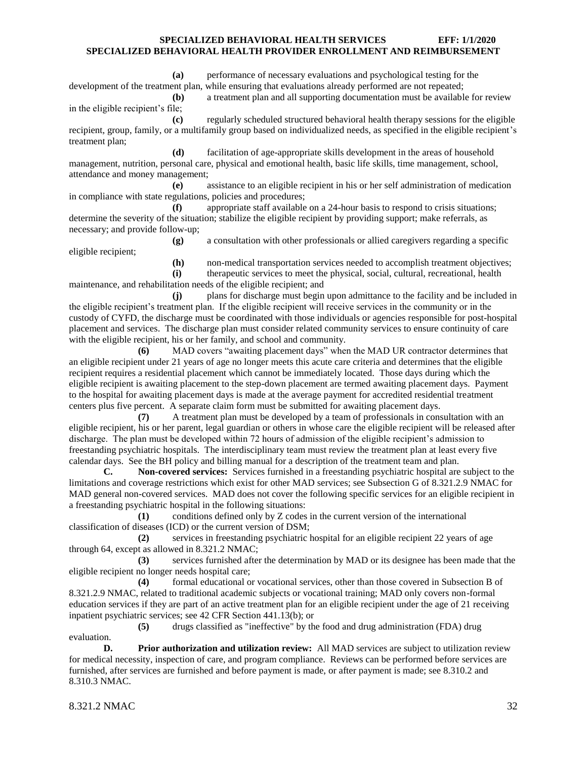**(a)** performance of necessary evaluations and psychological testing for the development of the treatment plan, while ensuring that evaluations already performed are not repeated:

**(b)** a treatment plan and all supporting documentation must be available for review in the eligible recipient's file;

**(c)** regularly scheduled structured behavioral health therapy sessions for the eligible recipient, group, family, or a multifamily group based on individualized needs, as specified in the eligible recipient's treatment plan;

**(d)** facilitation of age-appropriate skills development in the areas of household management, nutrition, personal care, physical and emotional health, basic life skills, time management, school, attendance and money management;

**(e)** assistance to an eligible recipient in his or her self administration of medication in compliance with state regulations, policies and procedures;

**(f)** appropriate staff available on a 24-hour basis to respond to crisis situations; determine the severity of the situation; stabilize the eligible recipient by providing support; make referrals, as necessary; and provide follow-up;

**(g)** a consultation with other professionals or allied caregivers regarding a specific

**(h)** non-medical transportation services needed to accomplish treatment objectives; **(i)** therapeutic services to meet the physical, social, cultural, recreational, health maintenance, and rehabilitation needs of the eligible recipient; and

**(j)** plans for discharge must begin upon admittance to the facility and be included in the eligible recipient's treatment plan. If the eligible recipient will receive services in the community or in the custody of CYFD, the discharge must be coordinated with those individuals or agencies responsible for post-hospital placement and services. The discharge plan must consider related community services to ensure continuity of care with the eligible recipient, his or her family, and school and community.

**(6)** MAD covers "awaiting placement days" when the MAD UR contractor determines that an eligible recipient under 21 years of age no longer meets this acute care criteria and determines that the eligible recipient requires a residential placement which cannot be immediately located. Those days during which the eligible recipient is awaiting placement to the step-down placement are termed awaiting placement days. Payment to the hospital for awaiting placement days is made at the average payment for accredited residential treatment centers plus five percent. A separate claim form must be submitted for awaiting placement days.

**(7)** A treatment plan must be developed by a team of professionals in consultation with an eligible recipient, his or her parent, legal guardian or others in whose care the eligible recipient will be released after discharge. The plan must be developed within 72 hours of admission of the eligible recipient's admission to freestanding psychiatric hospitals. The interdisciplinary team must review the treatment plan at least every five calendar days. See the BH policy and billing manual for a description of the treatment team and plan.

**C. Non-covered services:** Services furnished in a freestanding psychiatric hospital are subject to the limitations and coverage restrictions which exist for other MAD services; see Subsection G of 8.321.2.9 NMAC for MAD general non-covered services. MAD does not cover the following specific services for an eligible recipient in a freestanding psychiatric hospital in the following situations:

**(1)** conditions defined only by Z codes in the current version of the international classification of diseases (ICD) or the current version of DSM;

**(2)** services in freestanding psychiatric hospital for an eligible recipient 22 years of age through 64, except as allowed in 8.321.2 NMAC;

**(3)** services furnished after the determination by MAD or its designee has been made that the eligible recipient no longer needs hospital care;

**(4)** formal educational or vocational services, other than those covered in Subsection B of 8.321.2.9 NMAC, related to traditional academic subjects or vocational training; MAD only covers non-formal education services if they are part of an active treatment plan for an eligible recipient under the age of 21 receiving inpatient psychiatric services; see 42 CFR Section 441.13(b); or

**(5)** drugs classified as "ineffective" by the food and drug administration (FDA) drug evaluation.

**D. Prior authorization and utilization review:** All MAD services are subject to utilization review for medical necessity, inspection of care, and program compliance. Reviews can be performed before services are furnished, after services are furnished and before payment is made, or after payment is made; see 8.310.2 and 8.310.3 NMAC.

eligible recipient;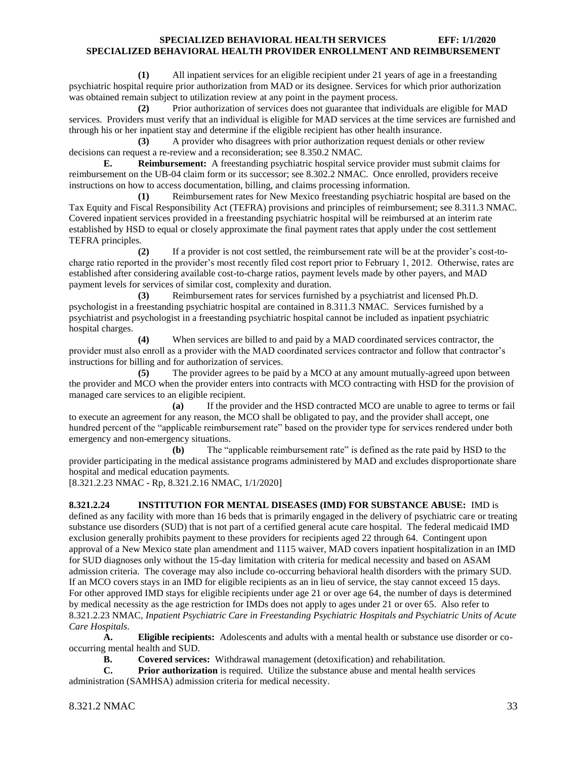**(1)** All inpatient services for an eligible recipient under 21 years of age in a freestanding psychiatric hospital require prior authorization from MAD or its designee. Services for which prior authorization was obtained remain subject to utilization review at any point in the payment process.

**(2)** Prior authorization of services does not guarantee that individuals are eligible for MAD services. Providers must verify that an individual is eligible for MAD services at the time services are furnished and through his or her inpatient stay and determine if the eligible recipient has other health insurance.

**(3)** A provider who disagrees with prior authorization request denials or other review decisions can request a re-review and a reconsideration; see 8.350.2 NMAC.

**E. Reimbursement:** A freestanding psychiatric hospital service provider must submit claims for reimbursement on the UB-04 claim form or its successor; see 8.302.2 NMAC. Once enrolled, providers receive instructions on how to access documentation, billing, and claims processing information.

**(1)** Reimbursement rates for New Mexico freestanding psychiatric hospital are based on the Tax Equity and Fiscal Responsibility Act (TEFRA) provisions and principles of reimbursement; see 8.311.3 NMAC. Covered inpatient services provided in a freestanding psychiatric hospital will be reimbursed at an interim rate established by HSD to equal or closely approximate the final payment rates that apply under the cost settlement TEFRA principles.

**(2)** If a provider is not cost settled, the reimbursement rate will be at the provider's cost-tocharge ratio reported in the provider's most recently filed cost report prior to February 1, 2012. Otherwise, rates are established after considering available cost-to-charge ratios, payment levels made by other payers, and MAD payment levels for services of similar cost, complexity and duration.

**(3)** Reimbursement rates for services furnished by a psychiatrist and licensed Ph.D. psychologist in a freestanding psychiatric hospital are contained in 8.311.3 NMAC. Services furnished by a psychiatrist and psychologist in a freestanding psychiatric hospital cannot be included as inpatient psychiatric hospital charges.

**(4)** When services are billed to and paid by a MAD coordinated services contractor, the provider must also enroll as a provider with the MAD coordinated services contractor and follow that contractor's instructions for billing and for authorization of services.

**(5)** The provider agrees to be paid by a MCO at any amount mutually-agreed upon between the provider and MCO when the provider enters into contracts with MCO contracting with HSD for the provision of managed care services to an eligible recipient.

**(a)** If the provider and the HSD contracted MCO are unable to agree to terms or fail to execute an agreement for any reason, the MCO shall be obligated to pay, and the provider shall accept, one hundred percent of the "applicable reimbursement rate" based on the provider type for services rendered under both emergency and non-emergency situations.

**(b)** The "applicable reimbursement rate" is defined as the rate paid by HSD to the provider participating in the medical assistance programs administered by MAD and excludes disproportionate share hospital and medical education payments.

[8.321.2.23 NMAC - Rp, 8.321.2.16 NMAC, 1/1/2020]

<span id="page-33-0"></span>**8.321.2.24 INSTITUTION FOR MENTAL DISEASES (IMD) FOR SUBSTANCE ABUSE:** IMD is defined as any facility with more than 16 beds that is primarily engaged in the delivery of psychiatric care or treating substance use disorders (SUD) that is not part of a certified general acute care hospital. The federal medicaid IMD exclusion generally prohibits payment to these providers for recipients aged 22 through 64. Contingent upon approval of a New Mexico state plan amendment and 1115 waiver, MAD covers inpatient hospitalization in an IMD for SUD diagnoses only without the 15-day limitation with criteria for medical necessity and based on ASAM admission criteria. The coverage may also include co-occurring behavioral health disorders with the primary SUD. If an MCO covers stays in an IMD for eligible recipients as an in lieu of service, the stay cannot exceed 15 days. For other approved IMD stays for eligible recipients under age 21 or over age 64, the number of days is determined by medical necessity as the age restriction for IMDs does not apply to ages under 21 or over 65. Also refer to 8.321.2.23 NMAC, *Inpatient Psychiatric Care in Freestanding Psychiatric Hospitals and Psychiatric Units of Acute Care Hospitals*.

**A. Eligible recipients:** Adolescents and adults with a mental health or substance use disorder or cooccurring mental health and SUD.

**B. Covered services:** Withdrawal management (detoxification) and rehabilitation.

**C. Prior authorization** is required. Utilize the substance abuse and mental health services administration (SAMHSA) admission criteria for medical necessity.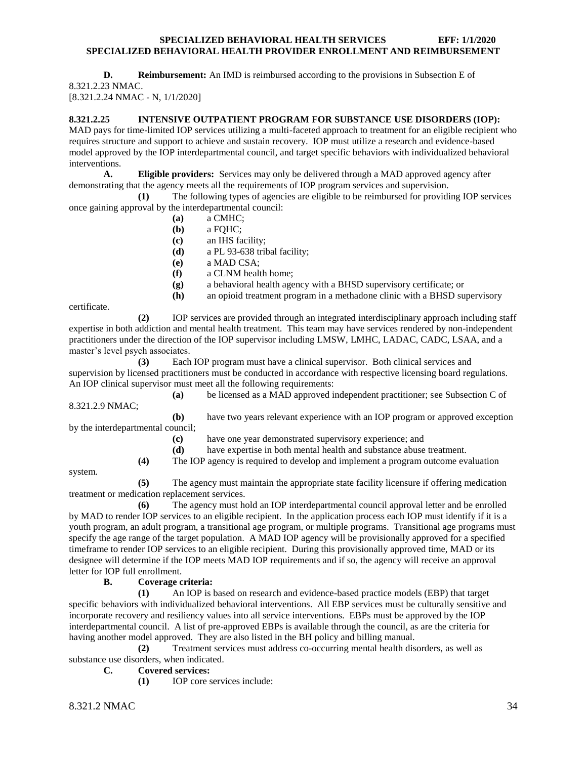#### **D. Reimbursement:** An IMD is reimbursed according to the provisions in Subsection E of 8.321.2.23 NMAC.

[8.321.2.24 NMAC - N, 1/1/2020]

# <span id="page-34-0"></span>**8.321.2.25 INTENSIVE OUTPATIENT PROGRAM FOR SUBSTANCE USE DISORDERS (IOP):**

MAD pays for time-limited IOP services utilizing a multi-faceted approach to treatment for an eligible recipient who requires structure and support to achieve and sustain recovery. IOP must utilize a research and evidence-based model approved by the IOP interdepartmental council, and target specific behaviors with individualized behavioral interventions.

**A. Eligible providers:** Services may only be delivered through a MAD approved agency after demonstrating that the agency meets all the requirements of IOP program services and supervision.

**(1)** The following types of agencies are eligible to be reimbursed for providing IOP services once gaining approval by the interdepartmental council:

- **(a)** a CMHC;
- **(b)** a FQHC;
- **(c)** an IHS facility;
- **(d)** a PL 93-638 tribal facility;
- **(e)** a MAD CSA;
- **(f)** a CLNM health home;
- **(g)** a behavioral health agency with a BHSD supervisory certificate; or
- **(h)** an opioid treatment program in a methadone clinic with a BHSD supervisory

certificate.

**(2)** IOP services are provided through an integrated interdisciplinary approach including staff expertise in both addiction and mental health treatment. This team may have services rendered by non-independent practitioners under the direction of the IOP supervisor including LMSW, LMHC, LADAC, CADC, LSAA, and a master's level psych associates.

**(3)** Each IOP program must have a clinical supervisor. Both clinical services and supervision by licensed practitioners must be conducted in accordance with respective licensing board regulations. An IOP clinical supervisor must meet all the following requirements:

**(a)** be licensed as a MAD approved independent practitioner; see Subsection C of 8.321.2.9 NMAC;

**(b)** have two years relevant experience with an IOP program or approved exception by the interdepartmental council;

- **(c)** have one year demonstrated supervisory experience; and
- **(d)** have expertise in both mental health and substance abuse treatment.
- **(4)** The IOP agency is required to develop and implement a program outcome evaluation

system.

**(5)** The agency must maintain the appropriate state facility licensure if offering medication treatment or medication replacement services.

**(6)** The agency must hold an IOP interdepartmental council approval letter and be enrolled by MAD to render IOP services to an eligible recipient. In the application process each IOP must identify if it is a youth program, an adult program, a transitional age program, or multiple programs. Transitional age programs must specify the age range of the target population. A MAD IOP agency will be provisionally approved for a specified timeframe to render IOP services to an eligible recipient. During this provisionally approved time, MAD or its designee will determine if the IOP meets MAD IOP requirements and if so, the agency will receive an approval letter for IOP full enrollment.

#### **B. Coverage criteria:**

**(1)** An IOP is based on research and evidence-based practice models (EBP) that target specific behaviors with individualized behavioral interventions. All EBP services must be culturally sensitive and incorporate recovery and resiliency values into all service interventions. EBPs must be approved by the IOP interdepartmental council. A list of pre-approved EBPs is available through the council, as are the criteria for having another model approved. They are also listed in the BH policy and billing manual.

**(2)** Treatment services must address co-occurring mental health disorders, as well as substance use disorders, when indicated.

**C. Covered services:**

**(1)** IOP core services include: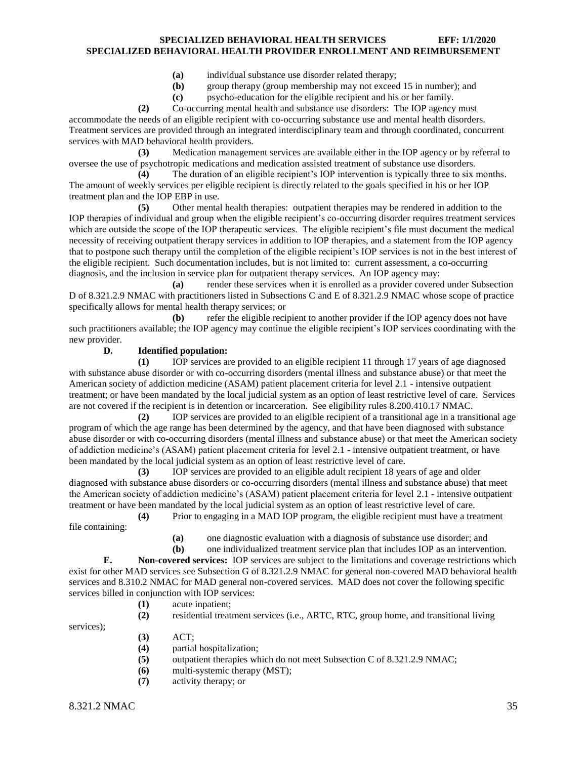- **(a)** individual substance use disorder related therapy;
- **(b)** group therapy (group membership may not exceed 15 in number); and
- **(c)** psycho-education for the eligible recipient and his or her family.

**(2)** Co-occurring mental health and substance use disorders: The IOP agency must accommodate the needs of an eligible recipient with co-occurring substance use and mental health disorders. Treatment services are provided through an integrated interdisciplinary team and through coordinated, concurrent services with MAD behavioral health providers.

**(3)** Medication management services are available either in the IOP agency or by referral to oversee the use of psychotropic medications and medication assisted treatment of substance use disorders.

**(4)** The duration of an eligible recipient's IOP intervention is typically three to six months. The amount of weekly services per eligible recipient is directly related to the goals specified in his or her IOP treatment plan and the IOP EBP in use.

**(5)** Other mental health therapies: outpatient therapies may be rendered in addition to the IOP therapies of individual and group when the eligible recipient's co-occurring disorder requires treatment services which are outside the scope of the IOP therapeutic services. The eligible recipient's file must document the medical necessity of receiving outpatient therapy services in addition to IOP therapies, and a statement from the IOP agency that to postpone such therapy until the completion of the eligible recipient's IOP services is not in the best interest of the eligible recipient. Such documentation includes, but is not limited to: current assessment, a co-occurring diagnosis, and the inclusion in service plan for outpatient therapy services. An IOP agency may:

**(a)** render these services when it is enrolled as a provider covered under Subsection D of 8.321.2.9 NMAC with practitioners listed in Subsections C and E of 8.321.2.9 NMAC whose scope of practice specifically allows for mental health therapy services; or

**(b)** refer the eligible recipient to another provider if the IOP agency does not have such practitioners available; the IOP agency may continue the eligible recipient's IOP services coordinating with the new provider.

#### **D. Identified population:**

**(1)** IOP services are provided to an eligible recipient 11 through 17 years of age diagnosed with substance abuse disorder or with co-occurring disorders (mental illness and substance abuse) or that meet the American society of addiction medicine (ASAM) patient placement criteria for level 2.1 - intensive outpatient treatment; or have been mandated by the local judicial system as an option of least restrictive level of care. Services are not covered if the recipient is in detention or incarceration. See eligibility rules 8.200.410.17 NMAC.

**(2)** IOP services are provided to an eligible recipient of a transitional age in a transitional age program of which the age range has been determined by the agency, and that have been diagnosed with substance abuse disorder or with co-occurring disorders (mental illness and substance abuse) or that meet the American society of addiction medicine's (ASAM) patient placement criteria for level 2.1 - intensive outpatient treatment, or have been mandated by the local judicial system as an option of least restrictive level of care.

**(3)** IOP services are provided to an eligible adult recipient 18 years of age and older diagnosed with substance abuse disorders or co-occurring disorders (mental illness and substance abuse) that meet the American society of addiction medicine's (ASAM) patient placement criteria for level 2.1 - intensive outpatient treatment or have been mandated by the local judicial system as an option of least restrictive level of care.

**(4)** Prior to engaging in a MAD IOP program, the eligible recipient must have a treatment file containing:

- **(a)** one diagnostic evaluation with a diagnosis of substance use disorder; and
- **(b)** one individualized treatment service plan that includes IOP as an intervention.

**E. Non-covered services:** IOP services are subject to the limitations and coverage restrictions which exist for other MAD services see Subsection G of 8.321.2.9 NMAC for general non-covered MAD behavioral health services and 8.310.2 NMAC for MAD general non-covered services. MAD does not cover the following specific services billed in conjunction with IOP services:

- **(1)** acute inpatient;
- 
- **(2)** residential treatment services (i.e., ARTC, RTC, group home, and transitional living
- services);
- **(3)** ACT;
- **(4)** partial hospitalization;
- **(5)** outpatient therapies which do not meet Subsection C of 8.321.2.9 NMAC;
- **(6)** multi-systemic therapy (MST);
- **(7)** activity therapy; or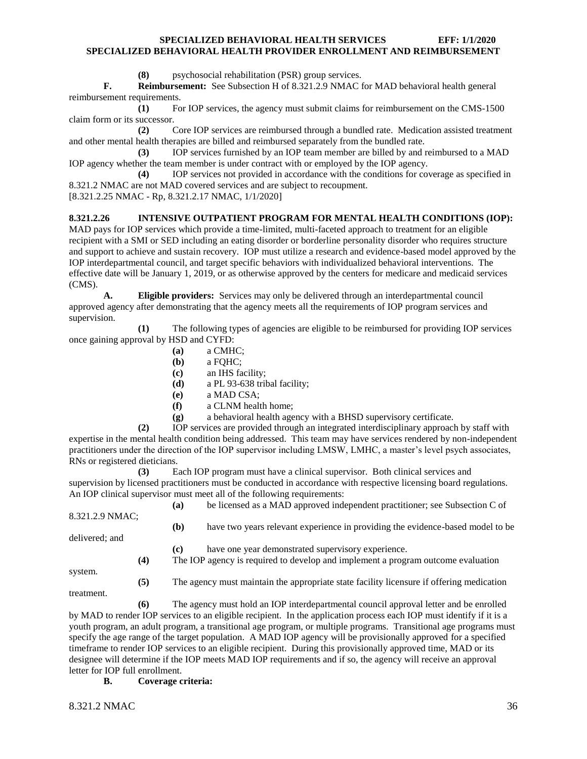**(8)** psychosocial rehabilitation (PSR) group services.

**F. Reimbursement:** See Subsection H of 8.321.2.9 NMAC for MAD behavioral health general reimbursement requirements.

**(1)** For IOP services, the agency must submit claims for reimbursement on the CMS-1500 claim form or its successor.

**(2)** Core IOP services are reimbursed through a bundled rate. Medication assisted treatment and other mental health therapies are billed and reimbursed separately from the bundled rate.

**(3)** IOP services furnished by an IOP team member are billed by and reimbursed to a MAD IOP agency whether the team member is under contract with or employed by the IOP agency.

**(4)** IOP services not provided in accordance with the conditions for coverage as specified in 8.321.2 NMAC are not MAD covered services and are subject to recoupment.

[8.321.2.25 NMAC - Rp, 8.321.2.17 NMAC, 1/1/2020]

#### <span id="page-36-0"></span>**8.321.2.26 INTENSIVE OUTPATIENT PROGRAM FOR MENTAL HEALTH CONDITIONS (IOP):**

MAD pays for IOP services which provide a time-limited, multi-faceted approach to treatment for an eligible recipient with a SMI or SED including an eating disorder or borderline personality disorder who requires structure and support to achieve and sustain recovery. IOP must utilize a research and evidence-based model approved by the IOP interdepartmental council, and target specific behaviors with individualized behavioral interventions. The effective date will be January 1, 2019, or as otherwise approved by the centers for medicare and medicaid services (CMS).

**A. Eligible providers:** Services may only be delivered through an interdepartmental council approved agency after demonstrating that the agency meets all the requirements of IOP program services and supervision.

**(1)** The following types of agencies are eligible to be reimbursed for providing IOP services once gaining approval by HSD and CYFD:

- **(a)** a CMHC;
- **(b)** a FQHC;
- **(c)** an IHS facility;
- **(d)** a PL 93-638 tribal facility;
- **(e)** a MAD CSA;
- **(f)** a CLNM health home;
- **(g)** a behavioral health agency with a BHSD supervisory certificate.

**(2)** IOP services are provided through an integrated interdisciplinary approach by staff with expertise in the mental health condition being addressed. This team may have services rendered by non-independent practitioners under the direction of the IOP supervisor including LMSW, LMHC, a master's level psych associates, RNs or registered dieticians.

**(3)** Each IOP program must have a clinical supervisor. Both clinical services and supervision by licensed practitioners must be conducted in accordance with respective licensing board regulations. An IOP clinical supervisor must meet all of the following requirements:

**(a)** be licensed as a MAD approved independent practitioner; see Subsection C of 8.321.2.9 NMAC;

delivered; and

**(c)** have one year demonstrated supervisory experience.

**(4)** The IOP agency is required to develop and implement a program outcome evaluation

**(b)** have two years relevant experience in providing the evidence-based model to be

system.

**(5)** The agency must maintain the appropriate state facility licensure if offering medication

treatment.

**(6)** The agency must hold an IOP interdepartmental council approval letter and be enrolled by MAD to render IOP services to an eligible recipient. In the application process each IOP must identify if it is a youth program, an adult program, a transitional age program, or multiple programs. Transitional age programs must specify the age range of the target population. A MAD IOP agency will be provisionally approved for a specified timeframe to render IOP services to an eligible recipient. During this provisionally approved time, MAD or its designee will determine if the IOP meets MAD IOP requirements and if so, the agency will receive an approval letter for IOP full enrollment.

**B. Coverage criteria:**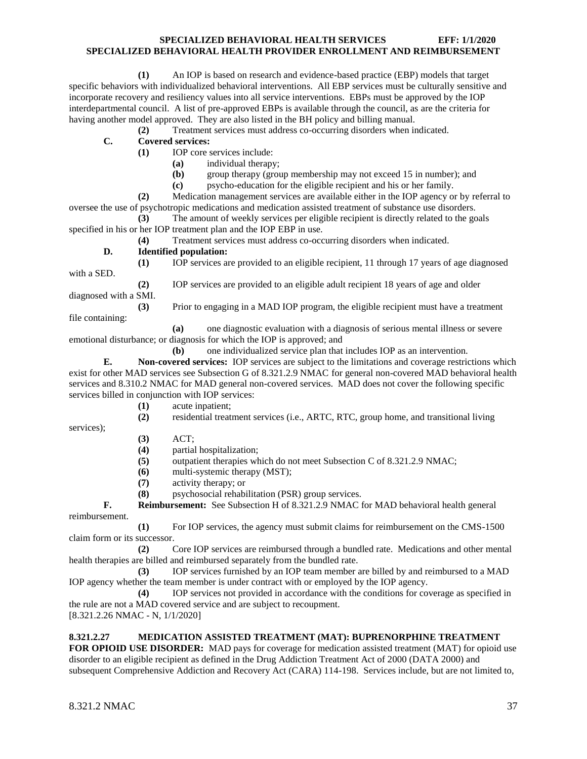**(1)** An IOP is based on research and evidence-based practice (EBP) models that target specific behaviors with individualized behavioral interventions. All EBP services must be culturally sensitive and incorporate recovery and resiliency values into all service interventions. EBPs must be approved by the IOP interdepartmental council. A list of pre-approved EBPs is available through the council, as are the criteria for having another model approved. They are also listed in the BH policy and billing manual.

**(2)** Treatment services must address co-occurring disorders when indicated.

**C. Covered services:**

**(1)** IOP core services include:

- **(a)** individual therapy;
- **(b)** group therapy (group membership may not exceed 15 in number); and
- **(c)** psycho-education for the eligible recipient and his or her family.

**(2)** Medication management services are available either in the IOP agency or by referral to oversee the use of psychotropic medications and medication assisted treatment of substance use disorders.

**(3)** The amount of weekly services per eligible recipient is directly related to the goals specified in his or her IOP treatment plan and the IOP EBP in use.

**(4)** Treatment services must address co-occurring disorders when indicated.

**D. Identified population:**

**(1)** IOP services are provided to an eligible recipient, 11 through 17 years of age diagnosed with a SED. **(2)** IOP services are provided to an eligible adult recipient 18 years of age and older

diagnosed with a SMI.

**(3)** Prior to engaging in a MAD IOP program, the eligible recipient must have a treatment

file containing:

**(a)** one diagnostic evaluation with a diagnosis of serious mental illness or severe emotional disturbance; or diagnosis for which the IOP is approved; and

**(b)** one individualized service plan that includes IOP as an intervention.

**E. Non-covered services:** IOP services are subject to the limitations and coverage restrictions which exist for other MAD services see Subsection G of 8.321.2.9 NMAC for general non-covered MAD behavioral health services and 8.310.2 NMAC for MAD general non-covered services. MAD does not cover the following specific services billed in conjunction with IOP services:

**(1)** acute inpatient;

**(2)** residential treatment services (i.e., ARTC, RTC, group home, and transitional living

services);

- **(3)** ACT;
- **(4)** partial hospitalization;
- **(5)** outpatient therapies which do not meet Subsection C of 8.321.2.9 NMAC;
- **(6)** multi-systemic therapy (MST);
- **(7)** activity therapy; or

**(8)** psychosocial rehabilitation (PSR) group services.

**F. Reimbursement:** See Subsection H of 8.321.2.9 NMAC for MAD behavioral health general reimbursement.

**(1)** For IOP services, the agency must submit claims for reimbursement on the CMS-1500 claim form or its successor.

**(2)** Core IOP services are reimbursed through a bundled rate. Medications and other mental health therapies are billed and reimbursed separately from the bundled rate.

**(3)** IOP services furnished by an IOP team member are billed by and reimbursed to a MAD IOP agency whether the team member is under contract with or employed by the IOP agency.

**(4)** IOP services not provided in accordance with the conditions for coverage as specified in the rule are not a MAD covered service and are subject to recoupment. [8.321.2.26 NMAC - N, 1/1/2020]

#### <span id="page-37-0"></span>**8.321.2.27 MEDICATION ASSISTED TREATMENT (MAT): BUPRENORPHINE TREATMENT**

**FOR OPIOID USE DISORDER:** MAD pays for coverage for medication assisted treatment (MAT) for opioid use disorder to an eligible recipient as defined in the Drug Addiction Treatment Act of 2000 (DATA 2000) and subsequent Comprehensive Addiction and Recovery Act (CARA) 114-198. Services include, but are not limited to,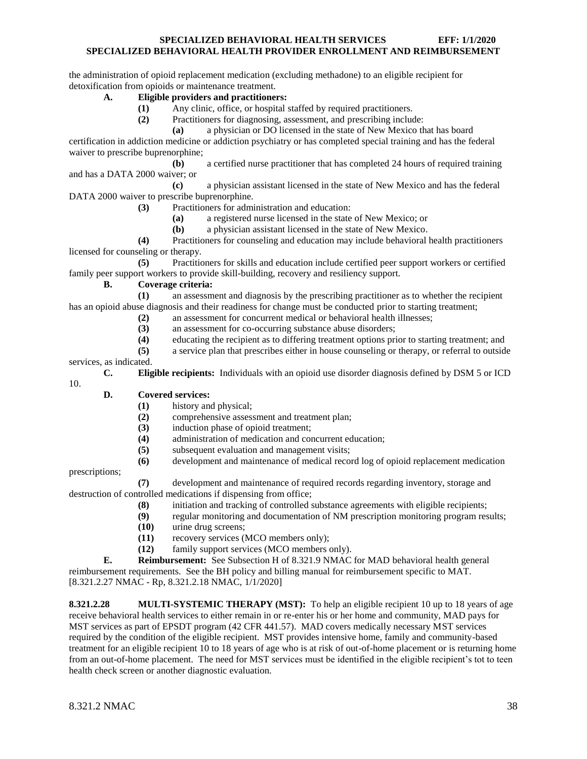the administration of opioid replacement medication (excluding methadone) to an eligible recipient for detoxification from opioids or maintenance treatment.

# **A. Eligible providers and practitioners:**

- **(1)** Any clinic, office, or hospital staffed by required practitioners.
- **(2)** Practitioners for diagnosing, assessment, and prescribing include:
	- **(a)** a physician or DO licensed in the state of New Mexico that has board

certification in addiction medicine or addiction psychiatry or has completed special training and has the federal waiver to prescribe buprenorphine;

**(b)** a certified nurse practitioner that has completed 24 hours of required training and has a DATA 2000 waiver; or

**(c)** a physician assistant licensed in the state of New Mexico and has the federal DATA 2000 waiver to prescribe buprenorphine.

**(3)** Practitioners for administration and education:

- **(a)** a registered nurse licensed in the state of New Mexico; or
- **(b)** a physician assistant licensed in the state of New Mexico.

**(4)** Practitioners for counseling and education may include behavioral health practitioners licensed for counseling or therapy.

**(5)** Practitioners for skills and education include certified peer support workers or certified family peer support workers to provide skill-building, recovery and resiliency support.

# **B. Coverage criteria:**

**(1)** an assessment and diagnosis by the prescribing practitioner as to whether the recipient has an opioid abuse diagnosis and their readiness for change must be conducted prior to starting treatment;

- **(2)** an assessment for concurrent medical or behavioral health illnesses;
- **(3)** an assessment for co-occurring substance abuse disorders;
- **(4)** educating the recipient as to differing treatment options prior to starting treatment; and
- **(5)** a service plan that prescribes either in house counseling or therapy, or referral to outside

services, as indicated.

**C. Eligible recipients:** Individuals with an opioid use disorder diagnosis defined by DSM 5 or ICD

#### **D. Covered services:**

- **(1)** history and physical;
- **(2)** comprehensive assessment and treatment plan;
- **(3)** induction phase of opioid treatment;
- **(4)** administration of medication and concurrent education;
- **(5)** subsequent evaluation and management visits;
- **(6)** development and maintenance of medical record log of opioid replacement medication

prescriptions;

10.

**(7)** development and maintenance of required records regarding inventory, storage and destruction of controlled medications if dispensing from office;

- **(8)** initiation and tracking of controlled substance agreements with eligible recipients;
- **(9)** regular monitoring and documentation of NM prescription monitoring program results;
- **(10)** urine drug screens;
- **(11)** recovery services (MCO members only);
- **(12)** family support services (MCO members only).

**E. Reimbursement:** See Subsection H of 8.321.9 NMAC for MAD behavioral health general reimbursement requirements. See the BH policy and billing manual for reimbursement specific to MAT. [8.321.2.27 NMAC - Rp, 8.321.2.18 NMAC, 1/1/2020]

<span id="page-38-0"></span>**8.321.2.28 MULTI-SYSTEMIC THERAPY (MST):** To help an eligible recipient 10 up to 18 years of age receive behavioral health services to either remain in or re-enter his or her home and community, MAD pays for MST services as part of EPSDT program (42 CFR 441.57). MAD covers medically necessary MST services required by the condition of the eligible recipient. MST provides intensive home, family and community-based treatment for an eligible recipient 10 to 18 years of age who is at risk of out-of-home placement or is returning home from an out-of-home placement. The need for MST services must be identified in the eligible recipient's tot to teen health check screen or another diagnostic evaluation.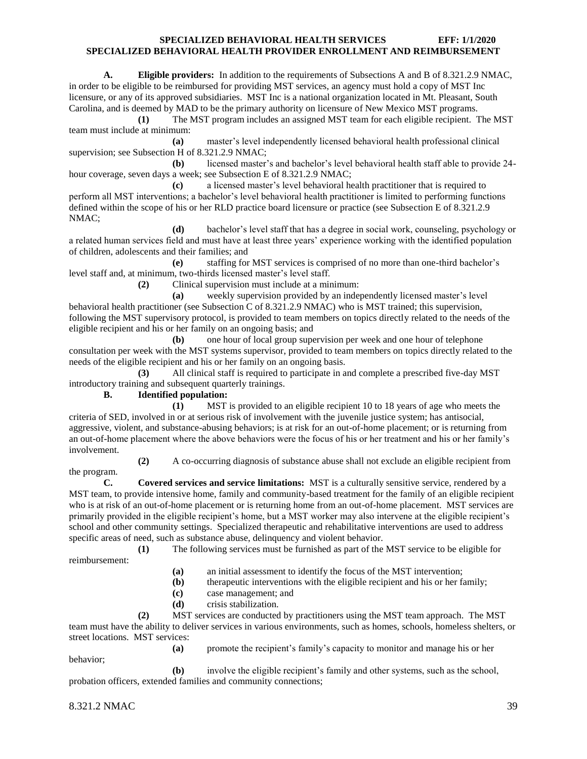**A. Eligible providers:** In addition to the requirements of Subsections A and B of 8.321.2.9 NMAC, in order to be eligible to be reimbursed for providing MST services, an agency must hold a copy of MST Inc licensure, or any of its approved subsidiaries. MST Inc is a national organization located in Mt. Pleasant, South Carolina, and is deemed by MAD to be the primary authority on licensure of New Mexico MST programs.

**(1)** The MST program includes an assigned MST team for each eligible recipient. The MST team must include at minimum:

**(a)** master's level independently licensed behavioral health professional clinical supervision; see Subsection H of 8.321.2.9 NMAC;

**(b)** licensed master's and bachelor's level behavioral health staff able to provide 24 hour coverage, seven days a week; see Subsection E of 8.321.2.9 NMAC;

**(c)** a licensed master's level behavioral health practitioner that is required to perform all MST interventions; a bachelor's level behavioral health practitioner is limited to performing functions defined within the scope of his or her RLD practice board licensure or practice (see Subsection E of 8.321.2.9 NMAC;

**(d)** bachelor's level staff that has a degree in social work, counseling, psychology or a related human services field and must have at least three years' experience working with the identified population of children, adolescents and their families; and

**(e)** staffing for MST services is comprised of no more than one-third bachelor's level staff and, at minimum, two-thirds licensed master's level staff.

**(2)** Clinical supervision must include at a minimum:

**(a)** weekly supervision provided by an independently licensed master's level behavioral health practitioner (see Subsection C of 8.321.2.9 NMAC) who is MST trained; this supervision, following the MST supervisory protocol, is provided to team members on topics directly related to the needs of the eligible recipient and his or her family on an ongoing basis; and

**(b)** one hour of local group supervision per week and one hour of telephone consultation per week with the MST systems supervisor, provided to team members on topics directly related to the needs of the eligible recipient and his or her family on an ongoing basis.

**(3)** All clinical staff is required to participate in and complete a prescribed five-day MST introductory training and subsequent quarterly trainings.

**B. Identified population:**

**(1)** MST is provided to an eligible recipient 10 to 18 years of age who meets the criteria of SED, involved in or at serious risk of involvement with the juvenile justice system; has antisocial, aggressive, violent, and substance-abusing behaviors; is at risk for an out-of-home placement; or is returning from an out-of-home placement where the above behaviors were the focus of his or her treatment and his or her family's involvement.

**(2)** A co-occurring diagnosis of substance abuse shall not exclude an eligible recipient from the program.

**C. Covered services and service limitations:** MST is a culturally sensitive service, rendered by a MST team, to provide intensive home, family and community-based treatment for the family of an eligible recipient who is at risk of an out-of-home placement or is returning home from an out-of-home placement. MST services are primarily provided in the eligible recipient's home, but a MST worker may also intervene at the eligible recipient's school and other community settings. Specialized therapeutic and rehabilitative interventions are used to address specific areas of need, such as substance abuse, delinquency and violent behavior.

**(1)** The following services must be furnished as part of the MST service to be eligible for reimbursement:

**(a)** an initial assessment to identify the focus of the MST intervention;

**(b)** therapeutic interventions with the eligible recipient and his or her family;

- **(c)** case management; and
- **(d)** crisis stabilization.

**(2)** MST services are conducted by practitioners using the MST team approach. The MST team must have the ability to deliver services in various environments, such as homes, schools, homeless shelters, or street locations. MST services:

**(a)** promote the recipient's family's capacity to monitor and manage his or her behavior;

**(b)** involve the eligible recipient's family and other systems, such as the school, probation officers, extended families and community connections;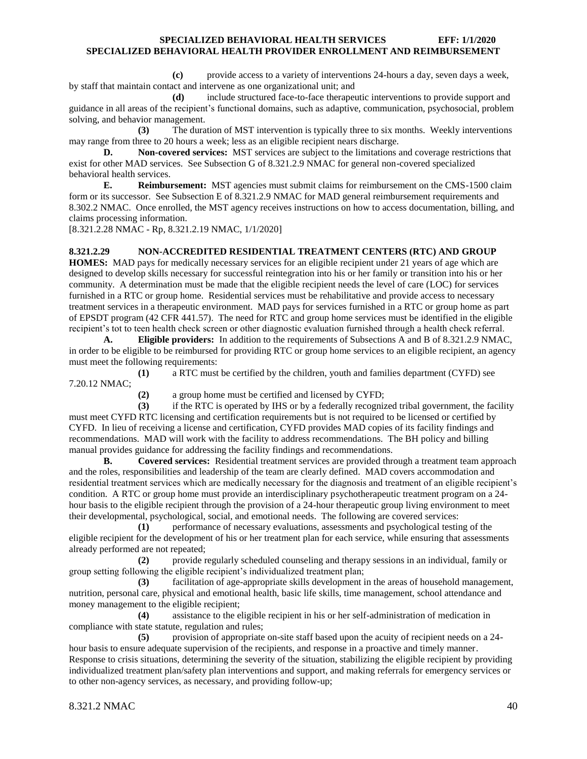**(c)** provide access to a variety of interventions 24-hours a day, seven days a week, by staff that maintain contact and intervene as one organizational unit; and

**(d)** include structured face-to-face therapeutic interventions to provide support and guidance in all areas of the recipient's functional domains, such as adaptive, communication, psychosocial, problem solving, and behavior management.

**(3)** The duration of MST intervention is typically three to six months. Weekly interventions may range from three to 20 hours a week; less as an eligible recipient nears discharge.

**D. Non-covered services:** MST services are subject to the limitations and coverage restrictions that exist for other MAD services. See Subsection G of 8.321.2.9 NMAC for general non-covered specialized behavioral health services.

**E. Reimbursement:** MST agencies must submit claims for reimbursement on the CMS-1500 claim form or its successor. See Subsection E of 8.321.2.9 NMAC for MAD general reimbursement requirements and 8.302.2 NMAC. Once enrolled, the MST agency receives instructions on how to access documentation, billing, and claims processing information.

[8.321.2.28 NMAC - Rp, 8.321.2.19 NMAC, 1/1/2020]

#### <span id="page-40-0"></span>**8.321.2.29 NON-ACCREDITED RESIDENTIAL TREATMENT CENTERS (RTC) AND GROUP**

**HOMES:** MAD pays for medically necessary services for an eligible recipient under 21 years of age which are designed to develop skills necessary for successful reintegration into his or her family or transition into his or her community. A determination must be made that the eligible recipient needs the level of care (LOC) for services furnished in a RTC or group home. Residential services must be rehabilitative and provide access to necessary treatment services in a therapeutic environment. MAD pays for services furnished in a RTC or group home as part of EPSDT program (42 CFR 441.57). The need for RTC and group home services must be identified in the eligible recipient's tot to teen health check screen or other diagnostic evaluation furnished through a health check referral.

**A. Eligible providers:** In addition to the requirements of Subsections A and B of 8.321.2.9 NMAC, in order to be eligible to be reimbursed for providing RTC or group home services to an eligible recipient, an agency must meet the following requirements:

**(1)** a RTC must be certified by the children, youth and families department (CYFD) see 7.20.12 NMAC;

**(2)** a group home must be certified and licensed by CYFD;

**(3)** if the RTC is operated by IHS or by a federally recognized tribal government, the facility must meet CYFD RTC licensing and certification requirements but is not required to be licensed or certified by CYFD. In lieu of receiving a license and certification, CYFD provides MAD copies of its facility findings and recommendations. MAD will work with the facility to address recommendations. The BH policy and billing manual provides guidance for addressing the facility findings and recommendations.

**B. Covered services:** Residential treatment services are provided through a treatment team approach and the roles, responsibilities and leadership of the team are clearly defined. MAD covers accommodation and residential treatment services which are medically necessary for the diagnosis and treatment of an eligible recipient's condition. A RTC or group home must provide an interdisciplinary psychotherapeutic treatment program on a 24 hour basis to the eligible recipient through the provision of a 24-hour therapeutic group living environment to meet their developmental, psychological, social, and emotional needs. The following are covered services:

**(1)** performance of necessary evaluations, assessments and psychological testing of the eligible recipient for the development of his or her treatment plan for each service, while ensuring that assessments already performed are not repeated;

**(2)** provide regularly scheduled counseling and therapy sessions in an individual, family or group setting following the eligible recipient's individualized treatment plan;

**(3)** facilitation of age-appropriate skills development in the areas of household management, nutrition, personal care, physical and emotional health, basic life skills, time management, school attendance and money management to the eligible recipient;

**(4)** assistance to the eligible recipient in his or her self-administration of medication in compliance with state statute, regulation and rules;

**(5)** provision of appropriate on-site staff based upon the acuity of recipient needs on a 24 hour basis to ensure adequate supervision of the recipients, and response in a proactive and timely manner. Response to crisis situations, determining the severity of the situation, stabilizing the eligible recipient by providing individualized treatment plan/safety plan interventions and support, and making referrals for emergency services or to other non-agency services, as necessary, and providing follow-up;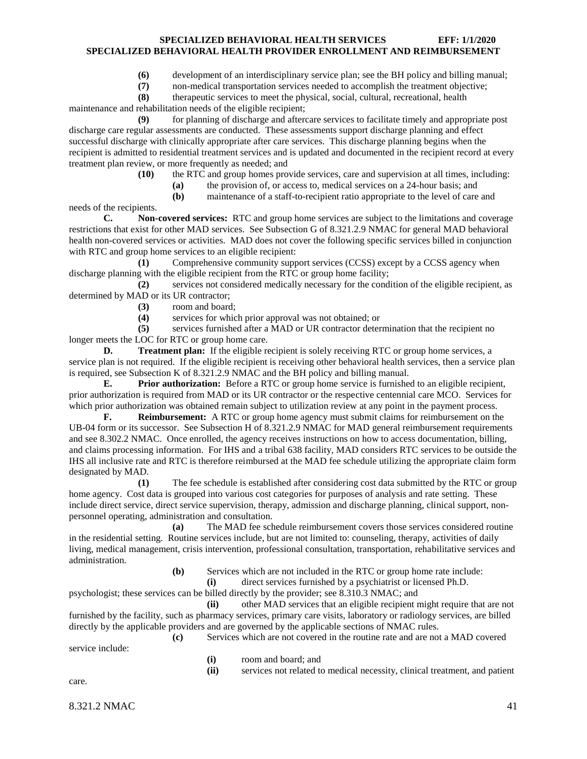**(6)** development of an interdisciplinary service plan; see the BH policy and billing manual;

**(7)** non-medical transportation services needed to accomplish the treatment objective;

**(8)** therapeutic services to meet the physical, social, cultural, recreational, health maintenance and rehabilitation needs of the eligible recipient;

**(9)** for planning of discharge and aftercare services to facilitate timely and appropriate post discharge care regular assessments are conducted. These assessments support discharge planning and effect successful discharge with clinically appropriate after care services. This discharge planning begins when the recipient is admitted to residential treatment services and is updated and documented in the recipient record at every treatment plan review, or more frequently as needed; and

**(10)** the RTC and group homes provide services, care and supervision at all times, including:

**(a)** the provision of, or access to, medical services on a 24-hour basis; and

**(b)** maintenance of a staff-to-recipient ratio appropriate to the level of care and

needs of the recipients. **C. Non-covered services:** RTC and group home services are subject to the limitations and coverage restrictions that exist for other MAD services. See Subsection G of 8.321.2.9 NMAC for general MAD behavioral health non-covered services or activities. MAD does not cover the following specific services billed in conjunction with RTC and group home services to an eligible recipient:

**(1)** Comprehensive community support services (CCSS) except by a CCSS agency when discharge planning with the eligible recipient from the RTC or group home facility;

**(2)** services not considered medically necessary for the condition of the eligible recipient, as determined by MAD or its UR contractor;

- **(3)** room and board;
- **(4)** services for which prior approval was not obtained; or

**(5)** services furnished after a MAD or UR contractor determination that the recipient no longer meets the LOC for RTC or group home care.

**D. Treatment plan:** If the eligible recipient is solely receiving RTC or group home services, a service plan is not required. If the eligible recipient is receiving other behavioral health services, then a service plan is required, see Subsection K of 8.321.2.9 NMAC and the BH policy and billing manual.

**E. Prior authorization:** Before a RTC or group home service is furnished to an eligible recipient, prior authorization is required from MAD or its UR contractor or the respective centennial care MCO. Services for which prior authorization was obtained remain subject to utilization review at any point in the payment process.

**F. Reimbursement:** A RTC or group home agency must submit claims for reimbursement on the UB-04 form or its successor. See Subsection H of 8.321.2.9 NMAC for MAD general reimbursement requirements and see 8.302.2 NMAC. Once enrolled, the agency receives instructions on how to access documentation, billing, and claims processing information. For IHS and a tribal 638 facility, MAD considers RTC services to be outside the IHS all inclusive rate and RTC is therefore reimbursed at the MAD fee schedule utilizing the appropriate claim form designated by MAD.

**(1)** The fee schedule is established after considering cost data submitted by the RTC or group home agency. Cost data is grouped into various cost categories for purposes of analysis and rate setting. These include direct service, direct service supervision, therapy, admission and discharge planning, clinical support, nonpersonnel operating, administration and consultation.

**(a)** The MAD fee schedule reimbursement covers those services considered routine in the residential setting. Routine services include, but are not limited to: counseling, therapy, activities of daily living, medical management, crisis intervention, professional consultation, transportation, rehabilitative services and administration.

**(b)** Services which are not included in the RTC or group home rate include:

**(i)** direct services furnished by a psychiatrist or licensed Ph.D.

psychologist; these services can be billed directly by the provider; see 8.310.3 NMAC; and

**(ii)** other MAD services that an eligible recipient might require that are not furnished by the facility, such as pharmacy services, primary care visits, laboratory or radiology services, are billed directly by the applicable providers and are governed by the applicable sections of NMAC rules.

**(c)** Services which are not covered in the routine rate and are not a MAD covered service include:

- **(i)** room and board; and
- **(ii)** services not related to medical necessity, clinical treatment, and patient

care.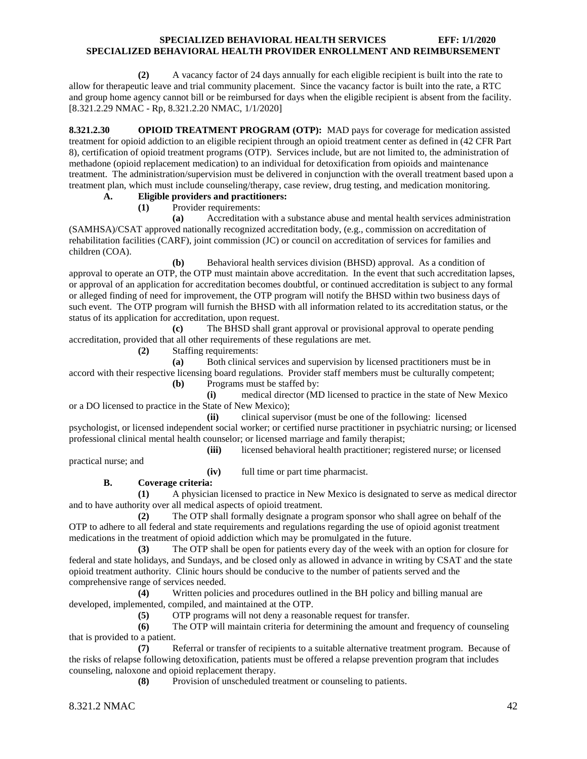**(2)** A vacancy factor of 24 days annually for each eligible recipient is built into the rate to allow for therapeutic leave and trial community placement. Since the vacancy factor is built into the rate, a RTC and group home agency cannot bill or be reimbursed for days when the eligible recipient is absent from the facility. [8.321.2.29 NMAC - Rp, 8.321.2.20 NMAC, 1/1/2020]

<span id="page-42-0"></span>**8.321.2.30 OPIOID TREATMENT PROGRAM (OTP):** MAD pays for coverage for medication assisted treatment for opioid addiction to an eligible recipient through an opioid treatment center as defined in (42 CFR Part 8), certification of opioid treatment programs (OTP). Services include, but are not limited to, the administration of methadone (opioid replacement medication) to an individual for detoxification from opioids and maintenance treatment. The administration/supervision must be delivered in conjunction with the overall treatment based upon a treatment plan, which must include counseling/therapy, case review, drug testing, and medication monitoring.

#### **A. Eligible providers and practitioners:**

**(1)** Provider requirements:

**(a)** Accreditation with a substance abuse and mental health services administration (SAMHSA)/CSAT approved nationally recognized accreditation body, (e.g., commission on accreditation of rehabilitation facilities (CARF), joint commission (JC) or council on accreditation of services for families and children (COA).

**(b)** Behavioral health services division (BHSD) approval. As a condition of approval to operate an OTP, the OTP must maintain above accreditation. In the event that such accreditation lapses, or approval of an application for accreditation becomes doubtful, or continued accreditation is subject to any formal or alleged finding of need for improvement, the OTP program will notify the BHSD within two business days of such event. The OTP program will furnish the BHSD with all information related to its accreditation status, or the status of its application for accreditation, upon request.

**(c)** The BHSD shall grant approval or provisional approval to operate pending accreditation, provided that all other requirements of these regulations are met.

**(2)** Staffing requirements:

**(a)** Both clinical services and supervision by licensed practitioners must be in accord with their respective licensing board regulations. Provider staff members must be culturally competent;

**(b)** Programs must be staffed by:

**(i)** medical director (MD licensed to practice in the state of New Mexico or a DO licensed to practice in the State of New Mexico);

**(ii)** clinical supervisor (must be one of the following: licensed

psychologist, or licensed independent social worker; or certified nurse practitioner in psychiatric nursing; or licensed professional clinical mental health counselor; or licensed marriage and family therapist; **(iii)** licensed behavioral health practitioner; registered nurse; or licensed

practical nurse; and

**(iv)** full time or part time pharmacist.

#### **B. Coverage criteria:**

**(1)** A physician licensed to practice in New Mexico is designated to serve as medical director and to have authority over all medical aspects of opioid treatment.

**(2)** The OTP shall formally designate a program sponsor who shall agree on behalf of the OTP to adhere to all federal and state requirements and regulations regarding the use of opioid agonist treatment medications in the treatment of opioid addiction which may be promulgated in the future.

**(3)** The OTP shall be open for patients every day of the week with an option for closure for federal and state holidays, and Sundays, and be closed only as allowed in advance in writing by CSAT and the state opioid treatment authority. Clinic hours should be conducive to the number of patients served and the comprehensive range of services needed.

**(4)** Written policies and procedures outlined in the BH policy and billing manual are developed, implemented, compiled, and maintained at the OTP.

**(5)** OTP programs will not deny a reasonable request for transfer.

**(6)** The OTP will maintain criteria for determining the amount and frequency of counseling that is provided to a patient.

**(7)** Referral or transfer of recipients to a suitable alternative treatment program. Because of the risks of relapse following detoxification, patients must be offered a relapse prevention program that includes counseling, naloxone and opioid replacement therapy.

**(8)** Provision of unscheduled treatment or counseling to patients.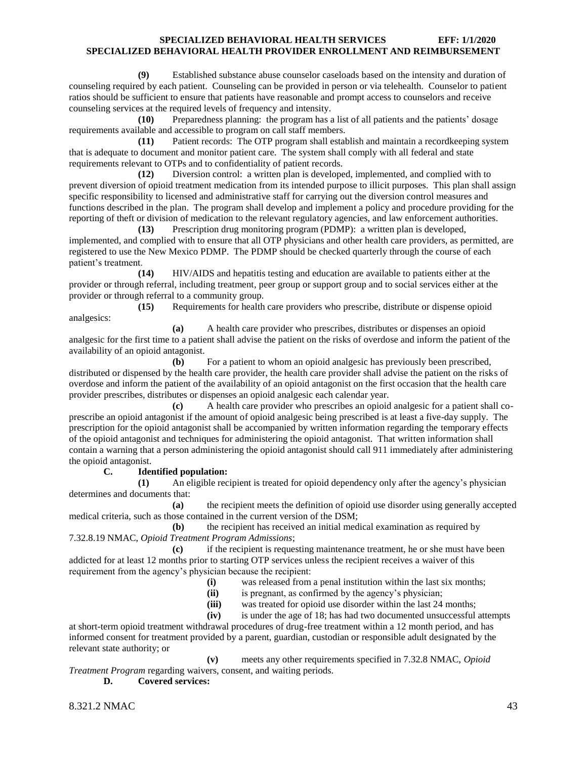**(9)** Established substance abuse counselor caseloads based on the intensity and duration of counseling required by each patient. Counseling can be provided in person or via telehealth. Counselor to patient ratios should be sufficient to ensure that patients have reasonable and prompt access to counselors and receive counseling services at the required levels of frequency and intensity.

**(10)** Preparedness planning: the program has a list of all patients and the patients' dosage requirements available and accessible to program on call staff members.

**(11)** Patient records: The OTP program shall establish and maintain a recordkeeping system that is adequate to document and monitor patient care. The system shall comply with all federal and state requirements relevant to OTPs and to confidentiality of patient records.

**(12)** Diversion control: a written plan is developed, implemented, and complied with to prevent diversion of opioid treatment medication from its intended purpose to illicit purposes. This plan shall assign specific responsibility to licensed and administrative staff for carrying out the diversion control measures and functions described in the plan. The program shall develop and implement a policy and procedure providing for the reporting of theft or division of medication to the relevant regulatory agencies, and law enforcement authorities.

**(13)** Prescription drug monitoring program (PDMP): a written plan is developed, implemented, and complied with to ensure that all OTP physicians and other health care providers, as permitted, are registered to use the New Mexico PDMP. The PDMP should be checked quarterly through the course of each patient's treatment.

**(14)** HIV/AIDS and hepatitis testing and education are available to patients either at the provider or through referral, including treatment, peer group or support group and to social services either at the provider or through referral to a community group.

**(15)** Requirements for health care providers who prescribe, distribute or dispense opioid analgesics:

**(a)** A health care provider who prescribes, distributes or dispenses an opioid analgesic for the first time to a patient shall advise the patient on the risks of overdose and inform the patient of the availability of an opioid antagonist.

**(b)** For a patient to whom an opioid analgesic has previously been prescribed, distributed or dispensed by the health care provider, the health care provider shall advise the patient on the risks of overdose and inform the patient of the availability of an opioid antagonist on the first occasion that the health care provider prescribes, distributes or dispenses an opioid analgesic each calendar year.

**(c)** A health care provider who prescribes an opioid analgesic for a patient shall coprescribe an opioid antagonist if the amount of opioid analgesic being prescribed is at least a five-day supply. The prescription for the opioid antagonist shall be accompanied by written information regarding the temporary effects of the opioid antagonist and techniques for administering the opioid antagonist. That written information shall contain a warning that a person administering the opioid antagonist should call 911 immediately after administering the opioid antagonist.

#### **C. Identified population:**

**(1)** An eligible recipient is treated for opioid dependency only after the agency's physician determines and documents that:

**(a)** the recipient meets the definition of opioid use disorder using generally accepted medical criteria, such as those contained in the current version of the DSM;

**(b)** the recipient has received an initial medical examination as required by 7.32.8.19 NMAC, *Opioid Treatment Program Admissions*;

**(c)** if the recipient is requesting maintenance treatment, he or she must have been addicted for at least 12 months prior to starting OTP services unless the recipient receives a waiver of this requirement from the agency's physician because the recipient:

- **(i)** was released from a penal institution within the last six months;
- **(ii)** is pregnant, as confirmed by the agency's physician;
- **(iii)** was treated for opioid use disorder within the last 24 months;
- **(iv)** is under the age of 18; has had two documented unsuccessful attempts

at short-term opioid treatment withdrawal procedures of drug-free treatment within a 12 month period, and has informed consent for treatment provided by a parent, guardian, custodian or responsible adult designated by the relevant state authority; or

**(v)** meets any other requirements specified in 7.32.8 NMAC, *Opioid Treatment Program* regarding waivers, consent, and waiting periods.

**D. Covered services:**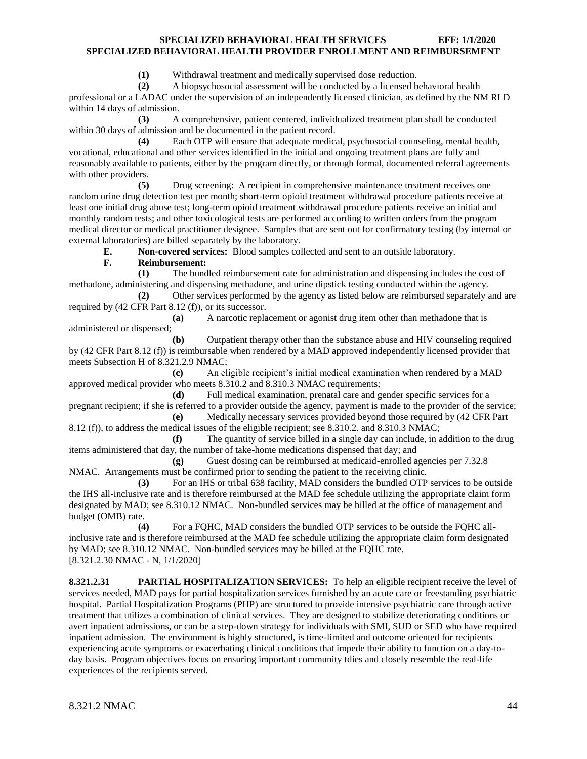**(1)** Withdrawal treatment and medically supervised dose reduction.

**(2)** A biopsychosocial assessment will be conducted by a licensed behavioral health

professional or a LADAC under the supervision of an independently licensed clinician, as defined by the NM RLD within 14 days of admission.

**(3)** A comprehensive, patient centered, individualized treatment plan shall be conducted within 30 days of admission and be documented in the patient record.

**(4)** Each OTP will ensure that adequate medical, psychosocial counseling, mental health, vocational, educational and other services identified in the initial and ongoing treatment plans are fully and reasonably available to patients, either by the program directly, or through formal, documented referral agreements with other providers.

**(5)** Drug screening: A recipient in comprehensive maintenance treatment receives one random urine drug detection test per month; short-term opioid treatment withdrawal procedure patients receive at least one initial drug abuse test; long-term opioid treatment withdrawal procedure patients receive an initial and monthly random tests; and other toxicological tests are performed according to written orders from the program medical director or medical practitioner designee. Samples that are sent out for confirmatory testing (by internal or external laboratories) are billed separately by the laboratory.

**E. Non-covered services:** Blood samples collected and sent to an outside laboratory.

#### **F. Reimbursement:**

**(1)** The bundled reimbursement rate for administration and dispensing includes the cost of methadone, administering and dispensing methadone, and urine dipstick testing conducted within the agency.

**(2)** Other services performed by the agency as listed below are reimbursed separately and are required by (42 CFR Part 8.12 (f)), or its successor.

**(a)** A narcotic replacement or agonist drug item other than methadone that is administered or dispensed;

**(b)** Outpatient therapy other than the substance abuse and HIV counseling required by (42 CFR Part 8.12 (f)) is reimbursable when rendered by a MAD approved independently licensed provider that meets Subsection H of 8.321.2.9 NMAC;

**(c)** An eligible recipient's initial medical examination when rendered by a MAD approved medical provider who meets 8.310.2 and 8.310.3 NMAC requirements;

**(d)** Full medical examination, prenatal care and gender specific services for a pregnant recipient; if she is referred to a provider outside the agency, payment is made to the provider of the service; **(e)** Medically necessary services provided beyond those required by (42 CFR Part

8.12 (f)), to address the medical issues of the eligible recipient; see 8.310.2. and 8.310.3 NMAC; **(f)** The quantity of service billed in a single day can include, in addition to the drug

items administered that day, the number of take-home medications dispensed that day; and **(g)** Guest dosing can be reimbursed at medicaid-enrolled agencies per 7.32.8

NMAC. Arrangements must be confirmed prior to sending the patient to the receiving clinic.

**(3)** For an IHS or tribal 638 facility, MAD considers the bundled OTP services to be outside the IHS all-inclusive rate and is therefore reimbursed at the MAD fee schedule utilizing the appropriate claim form designated by MAD; see 8.310.12 NMAC. Non-bundled services may be billed at the office of management and budget (OMB) rate.

**(4)** For a FQHC, MAD considers the bundled OTP services to be outside the FQHC allinclusive rate and is therefore reimbursed at the MAD fee schedule utilizing the appropriate claim form designated by MAD; see 8.310.12 NMAC. Non-bundled services may be billed at the FQHC rate. [8.321.2.30 NMAC - N, 1/1/2020]

<span id="page-44-0"></span>**8.321.2.31 PARTIAL HOSPITALIZATION SERVICES:** To help an eligible recipient receive the level of services needed, MAD pays for partial hospitalization services furnished by an acute care or freestanding psychiatric hospital. Partial Hospitalization Programs (PHP) are structured to provide intensive psychiatric care through active treatment that utilizes a combination of clinical services. They are designed to stabilize deteriorating conditions or avert inpatient admissions, or can be a step-down strategy for individuals with SMI, SUD or SED who have required inpatient admission. The environment is highly structured, is time-limited and outcome oriented for recipients experiencing acute symptoms or exacerbating clinical conditions that impede their ability to function on a day-today basis. Program objectives focus on ensuring important community tdies and closely resemble the real-life experiences of the recipients served.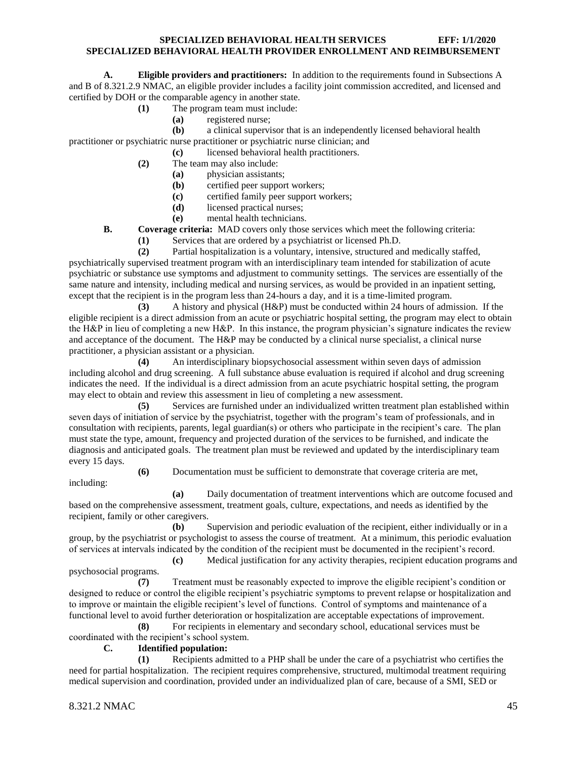**A. Eligible providers and practitioners:** In addition to the requirements found in Subsections A and B of 8.321.2.9 NMAC, an eligible provider includes a facility joint commission accredited, and licensed and certified by DOH or the comparable agency in another state.

- **(1)** The program team must include:
	- **(a)** registered nurse;
- **(b)** a clinical supervisor that is an independently licensed behavioral health practitioner or psychiatric nurse practitioner or psychiatric nurse clinician; and
	- **(c)** licensed behavioral health practitioners.
	- **(2)** The team may also include:
		- **(a)** physician assistants;
		- **(b)** certified peer support workers;
		- **(c)** certified family peer support workers;
		- **(d)** licensed practical nurses;
		- **(e)** mental health technicians.
	- **B. Coverage criteria:** MAD covers only those services which meet the following criteria:
		- **(1)** Services that are ordered by a psychiatrist or licensed Ph.D.

**(2)** Partial hospitalization is a voluntary, intensive, structured and medically staffed, psychiatrically supervised treatment program with an interdisciplinary team intended for stabilization of acute psychiatric or substance use symptoms and adjustment to community settings. The services are essentially of the same nature and intensity, including medical and nursing services, as would be provided in an inpatient setting, except that the recipient is in the program less than 24-hours a day, and it is a time-limited program.

**(3)** A history and physical (H&P) must be conducted within 24 hours of admission. If the eligible recipient is a direct admission from an acute or psychiatric hospital setting, the program may elect to obtain the H&P in lieu of completing a new H&P. In this instance, the program physician's signature indicates the review and acceptance of the document. The H&P may be conducted by a clinical nurse specialist, a clinical nurse practitioner, a physician assistant or a physician.

**(4)** An interdisciplinary biopsychosocial assessment within seven days of admission including alcohol and drug screening. A full substance abuse evaluation is required if alcohol and drug screening indicates the need. If the individual is a direct admission from an acute psychiatric hospital setting, the program may elect to obtain and review this assessment in lieu of completing a new assessment.

**(5)** Services are furnished under an individualized written treatment plan established within seven days of initiation of service by the psychiatrist, together with the program's team of professionals, and in consultation with recipients, parents, legal guardian(s) or others who participate in the recipient's care. The plan must state the type, amount, frequency and projected duration of the services to be furnished, and indicate the diagnosis and anticipated goals. The treatment plan must be reviewed and updated by the interdisciplinary team every 15 days.

**(6)** Documentation must be sufficient to demonstrate that coverage criteria are met,

including:

**(a)** Daily documentation of treatment interventions which are outcome focused and based on the comprehensive assessment, treatment goals, culture, expectations, and needs as identified by the recipient, family or other caregivers.

**(b)** Supervision and periodic evaluation of the recipient, either individually or in a group, by the psychiatrist or psychologist to assess the course of treatment. At a minimum, this periodic evaluation of services at intervals indicated by the condition of the recipient must be documented in the recipient's record.

**(c)** Medical justification for any activity therapies, recipient education programs and psychosocial programs.

**(7)** Treatment must be reasonably expected to improve the eligible recipient's condition or designed to reduce or control the eligible recipient's psychiatric symptoms to prevent relapse or hospitalization and to improve or maintain the eligible recipient's level of functions. Control of symptoms and maintenance of a functional level to avoid further deterioration or hospitalization are acceptable expectations of improvement.

**(8)** For recipients in elementary and secondary school, educational services must be coordinated with the recipient's school system.

# **C. Identified population:**

**(1)** Recipients admitted to a PHP shall be under the care of a psychiatrist who certifies the need for partial hospitalization. The recipient requires comprehensive, structured, multimodal treatment requiring medical supervision and coordination, provided under an individualized plan of care, because of a SMI, SED or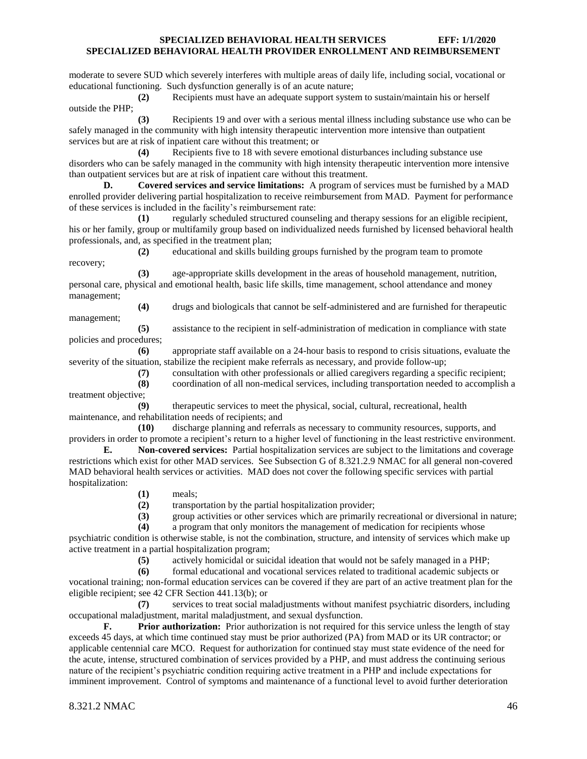moderate to severe SUD which severely interferes with multiple areas of daily life, including social, vocational or educational functioning. Such dysfunction generally is of an acute nature;

**(2)** Recipients must have an adequate support system to sustain/maintain his or herself outside the PHP;

**(3)** Recipients 19 and over with a serious mental illness including substance use who can be safely managed in the community with high intensity therapeutic intervention more intensive than outpatient services but are at risk of inpatient care without this treatment; or

**(4)** Recipients five to 18 with severe emotional disturbances including substance use disorders who can be safely managed in the community with high intensity therapeutic intervention more intensive than outpatient services but are at risk of inpatient care without this treatment.

**D. Covered services and service limitations:** A program of services must be furnished by a MAD enrolled provider delivering partial hospitalization to receive reimbursement from MAD. Payment for performance of these services is included in the facility's reimbursement rate:

**(1)** regularly scheduled structured counseling and therapy sessions for an eligible recipient, his or her family, group or multifamily group based on individualized needs furnished by licensed behavioral health professionals, and, as specified in the treatment plan;

**(2)** educational and skills building groups furnished by the program team to promote recovery;

**(3)** age-appropriate skills development in the areas of household management, nutrition, personal care, physical and emotional health, basic life skills, time management, school attendance and money management;

**(4)** drugs and biologicals that cannot be self-administered and are furnished for therapeutic management;

**(5)** assistance to the recipient in self-administration of medication in compliance with state policies and procedures;

**(6)** appropriate staff available on a 24-hour basis to respond to crisis situations, evaluate the severity of the situation, stabilize the recipient make referrals as necessary, and provide follow-up;

**(7)** consultation with other professionals or allied caregivers regarding a specific recipient;

**(8)** coordination of all non-medical services, including transportation needed to accomplish a treatment objective;

**(9)** therapeutic services to meet the physical, social, cultural, recreational, health maintenance, and rehabilitation needs of recipients; and

**(10)** discharge planning and referrals as necessary to community resources, supports, and providers in order to promote a recipient's return to a higher level of functioning in the least restrictive environment.

**E. Non-covered services:** Partial hospitalization services are subject to the limitations and coverage restrictions which exist for other MAD services. See Subsection G of 8.321.2.9 NMAC for all general non-covered MAD behavioral health services or activities. MAD does not cover the following specific services with partial hospitalization:

**(1)** meals;

**(2)** transportation by the partial hospitalization provider;

**(3)** group activities or other services which are primarily recreational or diversional in nature;

**(4)** a program that only monitors the management of medication for recipients whose

psychiatric condition is otherwise stable, is not the combination, structure, and intensity of services which make up active treatment in a partial hospitalization program;

**(5)** actively homicidal or suicidal ideation that would not be safely managed in a PHP;

**(6)** formal educational and vocational services related to traditional academic subjects or vocational training; non-formal education services can be covered if they are part of an active treatment plan for the eligible recipient; see 42 CFR Section 441.13(b); or

**(7)** services to treat social maladjustments without manifest psychiatric disorders, including occupational maladjustment, marital maladjustment, and sexual dysfunction.

**F. Prior authorization:** Prior authorization is not required for this service unless the length of stay exceeds 45 days, at which time continued stay must be prior authorized (PA) from MAD or its UR contractor; or applicable centennial care MCO. Request for authorization for continued stay must state evidence of the need for the acute, intense, structured combination of services provided by a PHP, and must address the continuing serious nature of the recipient's psychiatric condition requiring active treatment in a PHP and include expectations for imminent improvement. Control of symptoms and maintenance of a functional level to avoid further deterioration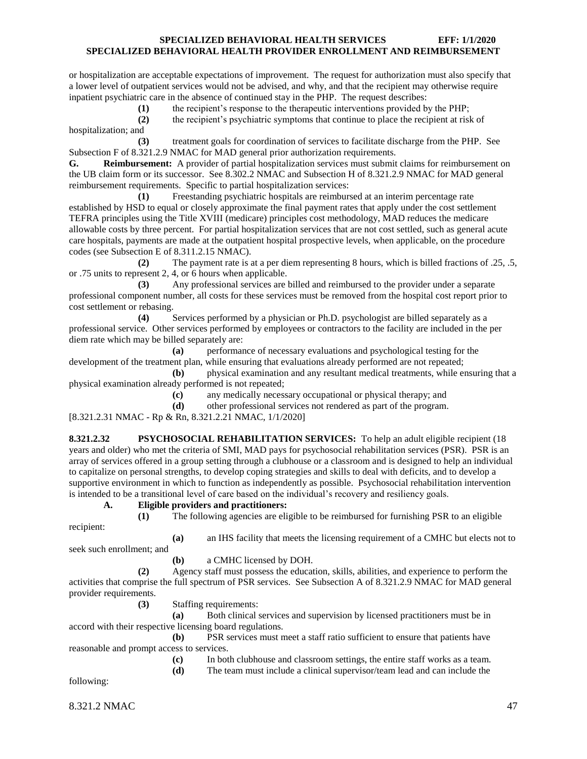or hospitalization are acceptable expectations of improvement. The request for authorization must also specify that a lower level of outpatient services would not be advised, and why, and that the recipient may otherwise require inpatient psychiatric care in the absence of continued stay in the PHP. The request describes:

**(1)** the recipient's response to the therapeutic interventions provided by the PHP;

**(2)** the recipient's psychiatric symptoms that continue to place the recipient at risk of hospitalization; and

**(3)** treatment goals for coordination of services to facilitate discharge from the PHP. See Subsection F of 8.321.2.9 NMAC for MAD general prior authorization requirements.

**G. Reimbursement:** A provider of partial hospitalization services must submit claims for reimbursement on the UB claim form or its successor. See 8.302.2 NMAC and Subsection H of 8.321.2.9 NMAC for MAD general reimbursement requirements. Specific to partial hospitalization services:

**(1)** Freestanding psychiatric hospitals are reimbursed at an interim percentage rate established by HSD to equal or closely approximate the final payment rates that apply under the cost settlement TEFRA principles using the Title XVIII (medicare) principles cost methodology, MAD reduces the medicare allowable costs by three percent. For partial hospitalization services that are not cost settled, such as general acute care hospitals, payments are made at the outpatient hospital prospective levels, when applicable, on the procedure codes (see Subsection E of 8.311.2.15 NMAC).

**(2)** The payment rate is at a per diem representing 8 hours, which is billed fractions of .25, .5, or .75 units to represent 2, 4, or 6 hours when applicable.

**(3)** Any professional services are billed and reimbursed to the provider under a separate professional component number, all costs for these services must be removed from the hospital cost report prior to cost settlement or rebasing.

**(4)** Services performed by a physician or Ph.D. psychologist are billed separately as a professional service. Other services performed by employees or contractors to the facility are included in the per diem rate which may be billed separately are:

**(a)** performance of necessary evaluations and psychological testing for the development of the treatment plan, while ensuring that evaluations already performed are not repeated;

**(b)** physical examination and any resultant medical treatments, while ensuring that a physical examination already performed is not repeated;

**(c)** any medically necessary occupational or physical therapy; and

**(d)** other professional services not rendered as part of the program.

[8.321.2.31 NMAC - Rp & Rn, 8.321.2.21 NMAC, 1/1/2020]

<span id="page-47-0"></span>**8.321.2.32 PSYCHOSOCIAL REHABILITATION SERVICES:** To help an adult eligible recipient (18 years and older) who met the criteria of SMI, MAD pays for psychosocial rehabilitation services (PSR). PSR is an array of services offered in a group setting through a clubhouse or a classroom and is designed to help an individual to capitalize on personal strengths, to develop coping strategies and skills to deal with deficits, and to develop a supportive environment in which to function as independently as possible. Psychosocial rehabilitation intervention is intended to be a transitional level of care based on the individual's recovery and resiliency goals.

#### **A. Eligible providers and practitioners:**

recipient:

**(1)** The following agencies are eligible to be reimbursed for furnishing PSR to an eligible **(a)** an IHS facility that meets the licensing requirement of a CMHC but elects not to

seek such enrollment; and

**(b)** a CMHC licensed by DOH.

**(2)** Agency staff must possess the education, skills, abilities, and experience to perform the activities that comprise the full spectrum of PSR services. See Subsection A of 8.321.2.9 NMAC for MAD general provider requirements.

**(3)** Staffing requirements:

**(a)** Both clinical services and supervision by licensed practitioners must be in accord with their respective licensing board regulations.

**(b)** PSR services must meet a staff ratio sufficient to ensure that patients have reasonable and prompt access to services.

> **(c)** In both clubhouse and classroom settings, the entire staff works as a team. **(d)** The team must include a clinical supervisor/team lead and can include the

following: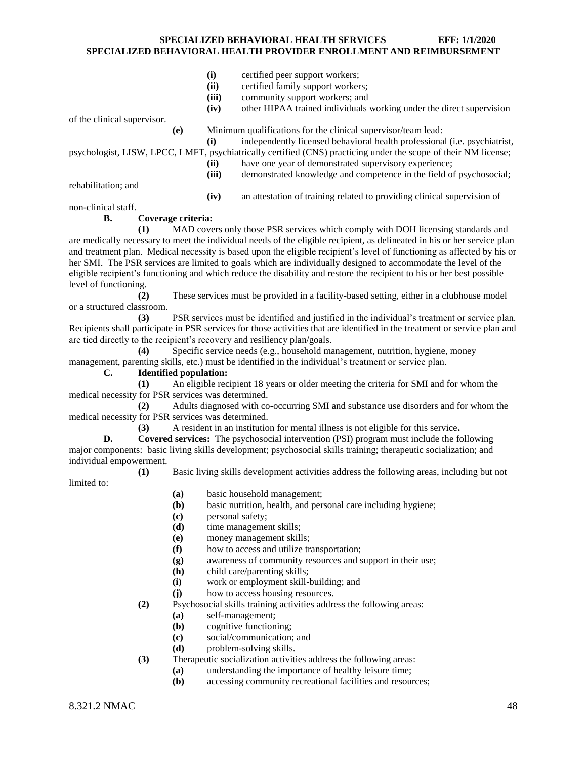- **(i)** certified peer support workers;
- **(ii)** certified family support workers;
- **(iii)** community support workers; and
- **(iv)** other HIPAA trained individuals working under the direct supervision

of the clinical supervisor.

**(e)** Minimum qualifications for the clinical supervisor/team lead:

**(i)** independently licensed behavioral health professional (i.e. psychiatrist,

psychologist, LISW, LPCC, LMFT, psychiatrically certified (CNS) practicing under the scope of their NM license;

- **(ii)** have one year of demonstrated supervisory experience;
- **(iii)** demonstrated knowledge and competence in the field of psychosocial;

rehabilitation; and

**(iv)** an attestation of training related to providing clinical supervision of

non-clinical staff.

# **B. Coverage criteria:**

**(1)** MAD covers only those PSR services which comply with DOH licensing standards and are medically necessary to meet the individual needs of the eligible recipient, as delineated in his or her service plan and treatment plan. Medical necessity is based upon the eligible recipient's level of functioning as affected by his or her SMI. The PSR services are limited to goals which are individually designed to accommodate the level of the eligible recipient's functioning and which reduce the disability and restore the recipient to his or her best possible level of functioning.

**(2)** These services must be provided in a facility-based setting, either in a clubhouse model or a structured classroom.

**(3)** PSR services must be identified and justified in the individual's treatment or service plan. Recipients shall participate in PSR services for those activities that are identified in the treatment or service plan and are tied directly to the recipient's recovery and resiliency plan/goals.

**(4)** Specific service needs (e.g., household management, nutrition, hygiene, money management, parenting skills, etc.) must be identified in the individual's treatment or service plan.

# **C. Identified population:**

**(1)** An eligible recipient 18 years or older meeting the criteria for SMI and for whom the medical necessity for PSR services was determined.

**(2)** Adults diagnosed with co-occurring SMI and substance use disorders and for whom the medical necessity for PSR services was determined.

**(3)** A resident in an institution for mental illness is not eligible for this service**.**

**D. Covered services:** The psychosocial intervention (PSI) program must include the following major components: basic living skills development; psychosocial skills training; therapeutic socialization; and individual empowerment.

**(1)** Basic living skills development activities address the following areas, including but not limited to:

- **(a)** basic household management;
- **(b)** basic nutrition, health, and personal care including hygiene;
- **(c)** personal safety;
- **(d)** time management skills;
- **(e)** money management skills;
- **(f)** how to access and utilize transportation;
- **(g)** awareness of community resources and support in their use;
- **(h)** child care/parenting skills;
- **(i)** work or employment skill-building; and
- **(j)** how to access housing resources.
- **(2)** Psychosocial skills training activities address the following areas:
	- **(a)** self-management;
	- **(b)** cognitive functioning;
	- **(c)** social/communication; and
	- **(d)** problem-solving skills.
- **(3)** Therapeutic socialization activities address the following areas:
	- **(a)** understanding the importance of healthy leisure time;
	- **(b)** accessing community recreational facilities and resources;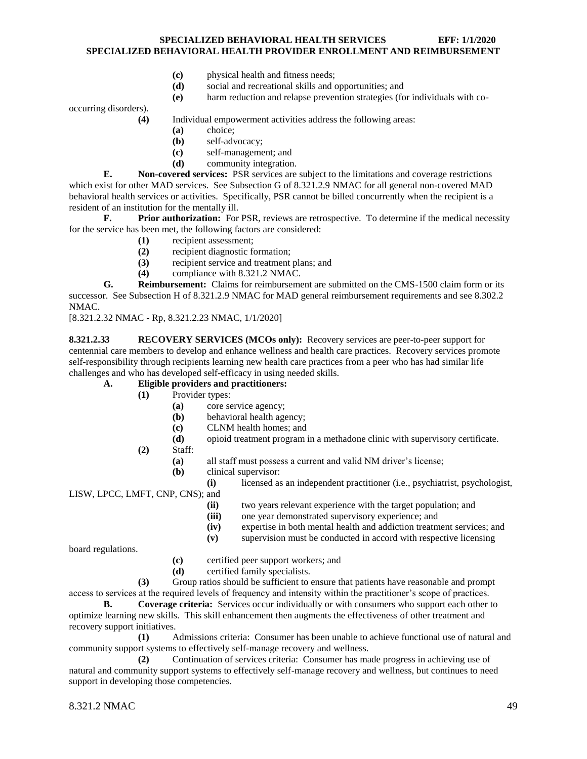- **(c)** physical health and fitness needs;
- **(d)** social and recreational skills and opportunities; and
- **(e)** harm reduction and relapse prevention strategies (for individuals with co-

occurring disorders).

**(4)** Individual empowerment activities address the following areas:

- **(a)** choice;
- **(b)** self-advocacy;
- **(c)** self-management; and
- **(d)** community integration.

**E. Non-covered services:** PSR services are subject to the limitations and coverage restrictions which exist for other MAD services. See Subsection G of 8.321.2.9 NMAC for all general non-covered MAD behavioral health services or activities. Specifically, PSR cannot be billed concurrently when the recipient is a resident of an institution for the mentally ill.

**F. Prior authorization:** For PSR, reviews are retrospective. To determine if the medical necessity for the service has been met, the following factors are considered:

- **(1)** recipient assessment;
- **(2)** recipient diagnostic formation;
- **(3)** recipient service and treatment plans; and
- **(4)** compliance with 8.321.2 NMAC.

**G. Reimbursement:** Claims for reimbursement are submitted on the CMS-1500 claim form or its successor. See Subsection H of 8.321.2.9 NMAC for MAD general reimbursement requirements and see 8.302.2 NMAC.

[8.321.2.32 NMAC - Rp, 8.321.2.23 NMAC, 1/1/2020]

<span id="page-49-0"></span>**8.321.2.33 RECOVERY SERVICES (MCOs only):** Recovery services are peer-to-peer support for centennial care members to develop and enhance wellness and health care practices. Recovery services promote self-responsibility through recipients learning new health care practices from a peer who has had similar life challenges and who has developed self-efficacy in using needed skills.

# **A. Eligible providers and practitioners:**

- **(1)** Provider types:
	- **(a)** core service agency;
	- **(b)** behavioral health agency;
	- **(c)** CLNM health homes; and
	- **(d)** opioid treatment program in a methadone clinic with supervisory certificate.
- **(2)** Staff:
	- **(a)** all staff must possess a current and valid NM driver's license;
	- **(b)** clinical supervisor:
		- **(i)** licensed as an independent practitioner (i.e., psychiatrist, psychologist,

LISW, LPCC, LMFT, CNP, CNS); and

- **(ii)** two years relevant experience with the target population; and **(iii)** one year demonstrated supervisory experience; and
- 
- **(iv)** expertise in both mental health and addiction treatment services; and

**(v)** supervision must be conducted in accord with respective licensing

board regulations.

- **(c)** certified peer support workers; and
- **(d)** certified family specialists.

**(3)** Group ratios should be sufficient to ensure that patients have reasonable and prompt access to services at the required levels of frequency and intensity within the practitioner's scope of practices.

**B. Coverage criteria:** Services occur individually or with consumers who support each other to optimize learning new skills. This skill enhancement then augments the effectiveness of other treatment and recovery support initiatives.

**(1)** Admissions criteria: Consumer has been unable to achieve functional use of natural and community support systems to effectively self-manage recovery and wellness.

**(2)** Continuation of services criteria: Consumer has made progress in achieving use of natural and community support systems to effectively self-manage recovery and wellness, but continues to need support in developing those competencies.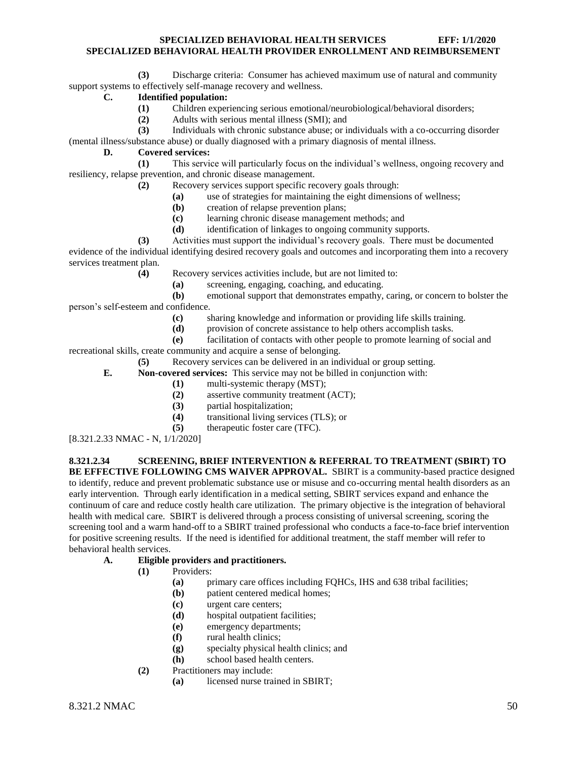**(3)** Discharge criteria: Consumer has achieved maximum use of natural and community support systems to effectively self-manage recovery and wellness.

# **C. Identified population:**

- **(1)** Children experiencing serious emotional/neurobiological/behavioral disorders;
- **(2)** Adults with serious mental illness (SMI); and
- **(3)** Individuals with chronic substance abuse; or individuals with a co-occurring disorder (mental illness/substance abuse) or dually diagnosed with a primary diagnosis of mental illness.

#### **D. Covered services:**

- **(1)** This service will particularly focus on the individual's wellness, ongoing recovery and resiliency, relapse prevention, and chronic disease management.
	- **(2)** Recovery services support specific recovery goals through:
		- **(a)** use of strategies for maintaining the eight dimensions of wellness;
		- **(b)** creation of relapse prevention plans;
		- **(c)** learning chronic disease management methods; and
		- **(d)** identification of linkages to ongoing community supports.
- **(3)** Activities must support the individual's recovery goals. There must be documented evidence of the individual identifying desired recovery goals and outcomes and incorporating them into a recovery services treatment plan.
	- **(4)** Recovery services activities include, but are not limited to:
		- **(a)** screening, engaging, coaching, and educating.
- **(b)** emotional support that demonstrates empathy, caring, or concern to bolster the person's self-esteem and confidence.
	- **(c)** sharing knowledge and information or providing life skills training.
		- **(d)** provision of concrete assistance to help others accomplish tasks.
	- **(e)** facilitation of contacts with other people to promote learning of social and

recreational skills, create community and acquire a sense of belonging.

- **(5)** Recovery services can be delivered in an individual or group setting.
- **E. Non-covered services:** This service may not be billed in conjunction with:
	- **(1)** multi-systemic therapy (MST);
	- **(2)** assertive community treatment (ACT);
	- **(3)** partial hospitalization;
	- **(4)** transitional living services (TLS); or
	- **(5)** therapeutic foster care (TFC).
- [8.321.2.33 NMAC N, 1/1/2020]

<span id="page-50-0"></span>**8.321.2.34 SCREENING, BRIEF INTERVENTION & REFERRAL TO TREATMENT (SBIRT) TO BE EFFECTIVE FOLLOWING CMS WAIVER APPROVAL.** SBIRT is a community-based practice designed to identify, reduce and prevent problematic substance use or misuse and co-occurring mental health disorders as an early intervention. Through early identification in a medical setting, SBIRT services expand and enhance the continuum of care and reduce costly health care utilization. The primary objective is the integration of behavioral health with medical care. SBIRT is delivered through a process consisting of universal screening, scoring the screening tool and a warm hand-off to a SBIRT trained professional who conducts a face-to-face brief intervention for positive screening results. If the need is identified for additional treatment, the staff member will refer to behavioral health services.

- **A. Eligible providers and practitioners.**
	- **(1)** Providers:
		- **(a)** primary care offices including FQHCs, IHS and 638 tribal facilities;
		- **(b)** patient centered medical homes;
		- **(c)** urgent care centers;
		- **(d)** hospital outpatient facilities;
		- **(e)** emergency departments;
		- **(f)** rural health clinics;
		- **(g)** specialty physical health clinics; and
		- **(h)** school based health centers.
	- **(2)** Practitioners may include:
		- **(a)** licensed nurse trained in SBIRT;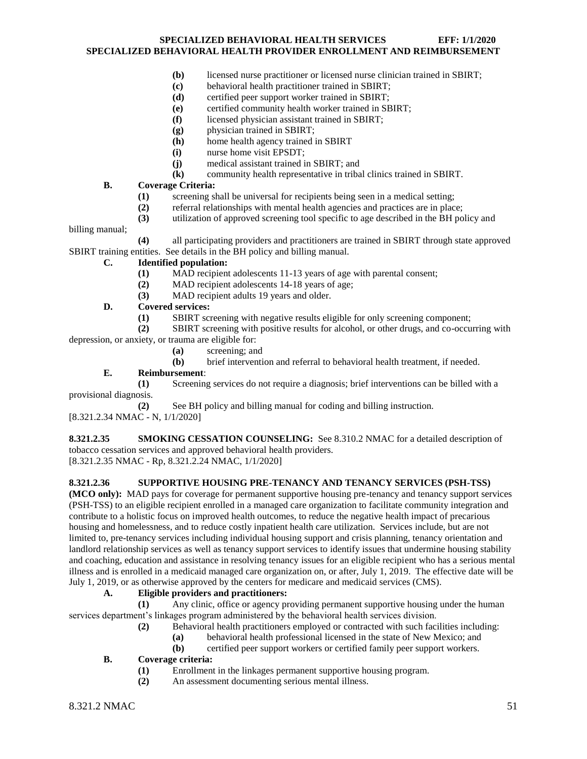- **(b)** licensed nurse practitioner or licensed nurse clinician trained in SBIRT;
- **(c)** behavioral health practitioner trained in SBIRT;
- **(d)** certified peer support worker trained in SBIRT;
- **(e)** certified community health worker trained in SBIRT;
- **(f)** licensed physician assistant trained in SBIRT;
- **(g)** physician trained in SBIRT;
- **(h)** home health agency trained in SBIRT
- **(i)** nurse home visit EPSDT;
- **(j)** medical assistant trained in SBIRT; and
- **(k)** community health representative in tribal clinics trained in SBIRT.

#### **B. Coverage Criteria:**

- **(1)** screening shall be universal for recipients being seen in a medical setting;
- **(2)** referral relationships with mental health agencies and practices are in place;
- **(3)** utilization of approved screening tool specific to age described in the BH policy and

billing manual;

**(4)** all participating providers and practitioners are trained in SBIRT through state approved SBIRT training entities. See details in the BH policy and billing manual.

#### **C. Identified population:**

- **(1)** MAD recipient adolescents 11-13 years of age with parental consent;
- **(2)** MAD recipient adolescents 14-18 years of age;
- **(3)** MAD recipient adults 19 years and older.

#### **D. Covered services:**

**(1)** SBIRT screening with negative results eligible for only screening component;

**(2)** SBIRT screening with positive results for alcohol, or other drugs, and co-occurring with depression, or anxiety, or trauma are eligible for:

**(a)** screening; and

**(b)** brief intervention and referral to behavioral health treatment, if needed.

#### **E. Reimbursement**:

**(1)** Screening services do not require a diagnosis; brief interventions can be billed with a provisional diagnosis.

**(2)** See BH policy and billing manual for coding and billing instruction. [8.321.2.34 NMAC - N, 1/1/2020]

<span id="page-51-0"></span>**8.321.2.35 SMOKING CESSATION COUNSELING:** See 8.310.2 NMAC for a detailed description of tobacco cessation services and approved behavioral health providers. [8.321.2.35 NMAC - Rp, 8.321.2.24 NMAC, 1/1/2020]

#### <span id="page-51-1"></span>**8.321.2.36 SUPPORTIVE HOUSING PRE-TENANCY AND TENANCY SERVICES (PSH-TSS)**

**(MCO only):** MAD pays for coverage for permanent supportive housing pre-tenancy and tenancy support services (PSH-TSS) to an eligible recipient enrolled in a managed care organization to facilitate community integration and contribute to a holistic focus on improved health outcomes, to reduce the negative health impact of precarious housing and homelessness, and to reduce costly inpatient health care utilization. Services include, but are not limited to, pre-tenancy services including individual housing support and crisis planning, tenancy orientation and landlord relationship services as well as tenancy support services to identify issues that undermine housing stability and coaching, education and assistance in resolving tenancy issues for an eligible recipient who has a serious mental illness and is enrolled in a medicaid managed care organization on, or after, July 1, 2019. The effective date will be July 1, 2019, or as otherwise approved by the centers for medicare and medicaid services (CMS).

#### **A. Eligible providers and practitioners:**

**(1)** Any clinic, office or agency providing permanent supportive housing under the human services department's linkages program administered by the behavioral health services division.

- **(2)** Behavioral health practitioners employed or contracted with such facilities including:
	- **(a)** behavioral health professional licensed in the state of New Mexico; and

**(b)** certified peer support workers or certified family peer support workers.

#### **B. Coverage criteria:**

- **(1)** Enrollment in the linkages permanent supportive housing program.
- **(2)** An assessment documenting serious mental illness.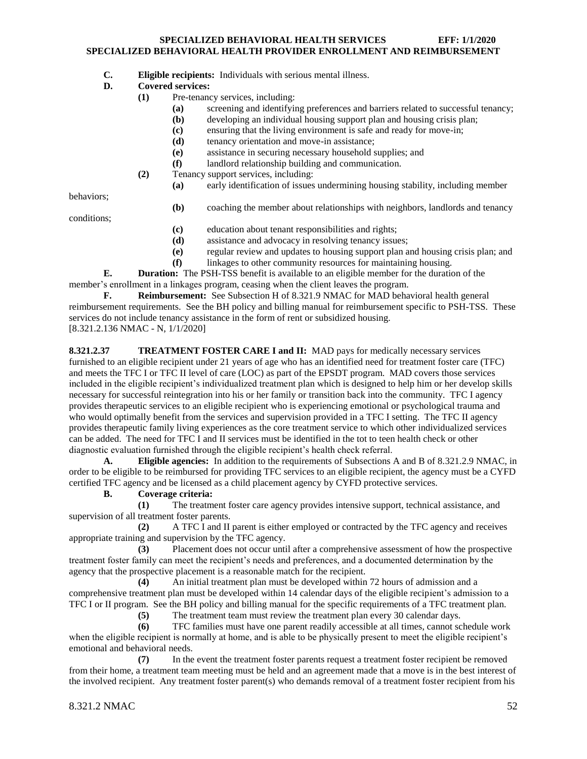**C. Eligible recipients:** Individuals with serious mental illness.

#### **D. Covered services:**

- **(1)** Pre-tenancy services, including:
	- **(a)** screening and identifying preferences and barriers related to successful tenancy;
	- **(b)** developing an individual housing support plan and housing crisis plan;
	- **(c)** ensuring that the living environment is safe and ready for move-in;
	- **(d)** tenancy orientation and move-in assistance;
	- **(e)** assistance in securing necessary household supplies; and
	- **(f)** landlord relationship building and communication.
- **(2)** Tenancy support services, including:
	- **(a)** early identification of issues undermining housing stability, including member

behaviors;

**(b)** coaching the member about relationships with neighbors, landlords and tenancy

conditions;

- **(c)** education about tenant responsibilities and rights;
- **(d)** assistance and advocacy in resolving tenancy issues;
- **(e)** regular review and updates to housing support plan and housing crisis plan; and
- **(f)** linkages to other community resources for maintaining housing.

**E. Duration:** The PSH-TSS benefit is available to an eligible member for the duration of the member's enrollment in a linkages program, ceasing when the client leaves the program.

**F. Reimbursement:** See Subsection H of 8.321.9 NMAC for MAD behavioral health general reimbursement requirements. See the BH policy and billing manual for reimbursement specific to PSH-TSS. These services do not include tenancy assistance in the form of rent or subsidized housing. [8.321.2.136 NMAC - N, 1/1/2020]

<span id="page-52-0"></span>**8.321.2.37 TREATMENT FOSTER CARE I and II:** MAD pays for medically necessary services furnished to an eligible recipient under 21 years of age who has an identified need for treatment foster care (TFC) and meets the TFC I or TFC II level of care (LOC) as part of the EPSDT program. MAD covers those services included in the eligible recipient's individualized treatment plan which is designed to help him or her develop skills necessary for successful reintegration into his or her family or transition back into the community. TFC I agency provides therapeutic services to an eligible recipient who is experiencing emotional or psychological trauma and who would optimally benefit from the services and supervision provided in a TFC I setting. The TFC II agency provides therapeutic family living experiences as the core treatment service to which other individualized services can be added. The need for TFC I and II services must be identified in the tot to teen health check or other diagnostic evaluation furnished through the eligible recipient's health check referral.

**A. Eligible agencies:** In addition to the requirements of Subsections A and B of 8.321.2.9 NMAC, in order to be eligible to be reimbursed for providing TFC services to an eligible recipient, the agency must be a CYFD certified TFC agency and be licensed as a child placement agency by CYFD protective services.

# **B. Coverage criteria:**

**(1)** The treatment foster care agency provides intensive support, technical assistance, and supervision of all treatment foster parents.

**(2)** A TFC I and II parent is either employed or contracted by the TFC agency and receives appropriate training and supervision by the TFC agency.

**(3)** Placement does not occur until after a comprehensive assessment of how the prospective treatment foster family can meet the recipient's needs and preferences, and a documented determination by the agency that the prospective placement is a reasonable match for the recipient.

**(4)** An initial treatment plan must be developed within 72 hours of admission and a comprehensive treatment plan must be developed within 14 calendar days of the eligible recipient's admission to a TFC I or II program. See the BH policy and billing manual for the specific requirements of a TFC treatment plan.

**(5)** The treatment team must review the treatment plan every 30 calendar days.

**(6)** TFC families must have one parent readily accessible at all times, cannot schedule work when the eligible recipient is normally at home, and is able to be physically present to meet the eligible recipient's emotional and behavioral needs.

**(7)** In the event the treatment foster parents request a treatment foster recipient be removed from their home, a treatment team meeting must be held and an agreement made that a move is in the best interest of the involved recipient. Any treatment foster parent(s) who demands removal of a treatment foster recipient from his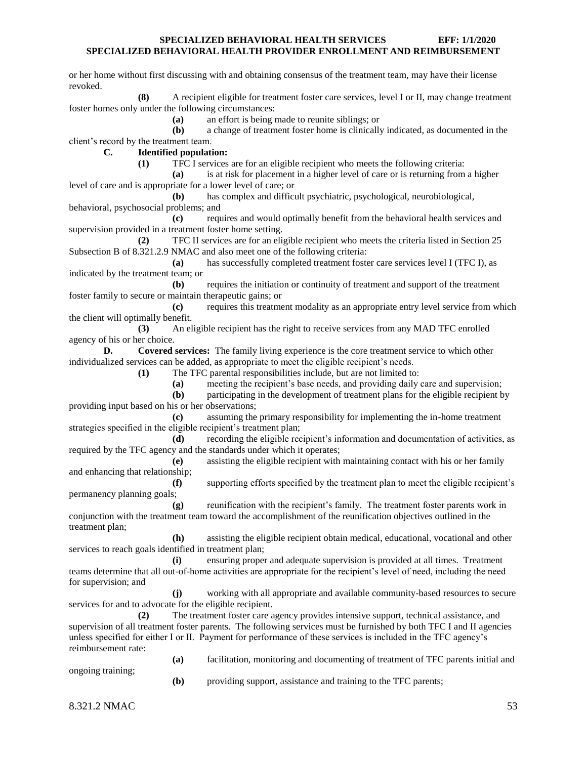or her home without first discussing with and obtaining consensus of the treatment team, may have their license revoked.

**(8)** A recipient eligible for treatment foster care services, level I or II, may change treatment foster homes only under the following circumstances:

**(a)** an effort is being made to reunite siblings; or

**(b)** a change of treatment foster home is clinically indicated, as documented in the client's record by the treatment team.

**C. Identified population:**

**(1)** TFC I services are for an eligible recipient who meets the following criteria:

**(a)** is at risk for placement in a higher level of care or is returning from a higher level of care and is appropriate for a lower level of care; or

**(b)** has complex and difficult psychiatric, psychological, neurobiological, behavioral, psychosocial problems; and

**(c)** requires and would optimally benefit from the behavioral health services and supervision provided in a treatment foster home setting.

**(2)** TFC II services are for an eligible recipient who meets the criteria listed in Section 25 Subsection B of 8.321.2.9 NMAC and also meet one of the following criteria:

**(a)** has successfully completed treatment foster care services level I (TFC I), as indicated by the treatment team; or

**(b)** requires the initiation or continuity of treatment and support of the treatment foster family to secure or maintain therapeutic gains; or

**(c)** requires this treatment modality as an appropriate entry level service from which the client will optimally benefit.

**(3)** An eligible recipient has the right to receive services from any MAD TFC enrolled agency of his or her choice.

**D. Covered services:** The family living experience is the core treatment service to which other individualized services can be added, as appropriate to meet the eligible recipient's needs.

**(1)** The TFC parental responsibilities include, but are not limited to:

**(a)** meeting the recipient's base needs, and providing daily care and supervision;

**(b)** participating in the development of treatment plans for the eligible recipient by providing input based on his or her observations;

**(c)** assuming the primary responsibility for implementing the in-home treatment strategies specified in the eligible recipient's treatment plan;

**(d)** recording the eligible recipient's information and documentation of activities, as required by the TFC agency and the standards under which it operates;

**(e)** assisting the eligible recipient with maintaining contact with his or her family and enhancing that relationship;

**(f)** supporting efforts specified by the treatment plan to meet the eligible recipient's permanency planning goals;

**(g)** reunification with the recipient's family. The treatment foster parents work in conjunction with the treatment team toward the accomplishment of the reunification objectives outlined in the treatment plan;

**(h)** assisting the eligible recipient obtain medical, educational, vocational and other services to reach goals identified in treatment plan;

**(i)** ensuring proper and adequate supervision is provided at all times. Treatment teams determine that all out-of-home activities are appropriate for the recipient's level of need, including the need for supervision; and

**(j)** working with all appropriate and available community-based resources to secure services for and to advocate for the eligible recipient.

**(2)** The treatment foster care agency provides intensive support, technical assistance, and supervision of all treatment foster parents. The following services must be furnished by both TFC I and II agencies unless specified for either I or II. Payment for performance of these services is included in the TFC agency's reimbursement rate:

**(a)** facilitation, monitoring and documenting of treatment of TFC parents initial and

ongoing training;

**(b)** providing support, assistance and training to the TFC parents;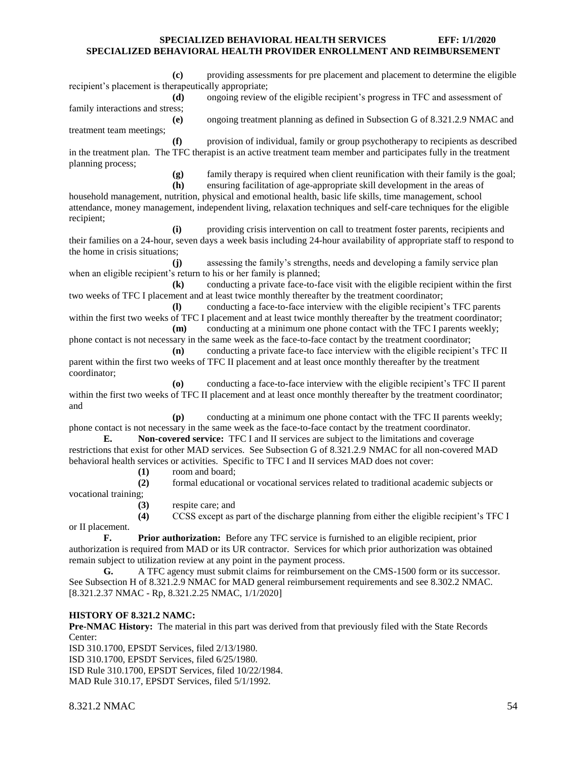**(c)** providing assessments for pre placement and placement to determine the eligible recipient's placement is therapeutically appropriate;

**(d)** ongoing review of the eligible recipient's progress in TFC and assessment of family interactions and stress;

**(e)** ongoing treatment planning as defined in Subsection G of 8.321.2.9 NMAC and treatment team meetings;

**(f)** provision of individual, family or group psychotherapy to recipients as described in the treatment plan. The TFC therapist is an active treatment team member and participates fully in the treatment planning process;

**(g)** family therapy is required when client reunification with their family is the goal;

**(h)** ensuring facilitation of age-appropriate skill development in the areas of household management, nutrition, physical and emotional health, basic life skills, time management, school attendance, money management, independent living, relaxation techniques and self-care techniques for the eligible recipient;

**(i)** providing crisis intervention on call to treatment foster parents, recipients and their families on a 24-hour, seven days a week basis including 24-hour availability of appropriate staff to respond to the home in crisis situations;

**(j)** assessing the family's strengths, needs and developing a family service plan when an eligible recipient's return to his or her family is planned;

**(k)** conducting a private face-to-face visit with the eligible recipient within the first two weeks of TFC I placement and at least twice monthly thereafter by the treatment coordinator;

**(l)** conducting a face-to-face interview with the eligible recipient's TFC parents within the first two weeks of TFC I placement and at least twice monthly thereafter by the treatment coordinator; **(m)** conducting at a minimum one phone contact with the TFC I parents weekly;

phone contact is not necessary in the same week as the face-to-face contact by the treatment coordinator; **(n)** conducting a private face-to face interview with the eligible recipient's TFC II

parent within the first two weeks of TFC II placement and at least once monthly thereafter by the treatment coordinator;

**(o)** conducting a face-to-face interview with the eligible recipient's TFC II parent within the first two weeks of TFC II placement and at least once monthly thereafter by the treatment coordinator; and

**(p)** conducting at a minimum one phone contact with the TFC II parents weekly; phone contact is not necessary in the same week as the face-to-face contact by the treatment coordinator.

**E. Non-covered service:** TFC I and II services are subject to the limitations and coverage restrictions that exist for other MAD services. See Subsection G of 8.321.2.9 NMAC for all non-covered MAD behavioral health services or activities. Specific to TFC I and II services MAD does not cover:

**(1)** room and board;

**(2)** formal educational or vocational services related to traditional academic subjects or vocational training;

**(3)** respite care; and

**(4)** CCSS except as part of the discharge planning from either the eligible recipient's TFC I

**F. Prior authorization:** Before any TFC service is furnished to an eligible recipient, prior authorization is required from MAD or its UR contractor. Services for which prior authorization was obtained remain subject to utilization review at any point in the payment process.

**G.** A TFC agency must submit claims for reimbursement on the CMS-1500 form or its successor. See Subsection H of 8.321.2.9 NMAC for MAD general reimbursement requirements and see 8.302.2 NMAC. [8.321.2.37 NMAC - Rp, 8.321.2.25 NMAC, 1/1/2020]

# **HISTORY OF 8.321.2 NAMC:**

**Pre-NMAC History:** The material in this part was derived from that previously filed with the State Records Center:

ISD 310.1700, EPSDT Services, filed 2/13/1980. ISD 310.1700, EPSDT Services, filed 6/25/1980. ISD Rule 310.1700, EPSDT Services, filed 10/22/1984. MAD Rule 310.17, EPSDT Services, filed 5/1/1992.

8.321.2 NMAC 54

or II placement.